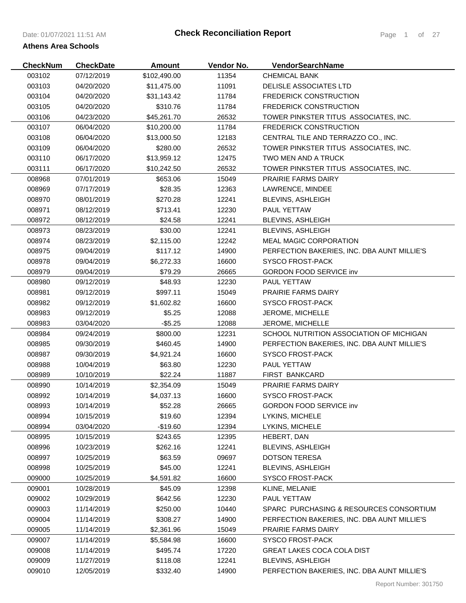| <b>CheckNum</b> | <b>CheckDate</b> | <b>Amount</b> | Vendor No. | VendorSearchName                            |
|-----------------|------------------|---------------|------------|---------------------------------------------|
| 003102          | 07/12/2019       | \$102,490.00  | 11354      | <b>CHEMICAL BANK</b>                        |
| 003103          | 04/20/2020       | \$11,475.00   | 11091      | DELISLE ASSOCIATES LTD                      |
| 003104          | 04/20/2020       | \$31,143.42   | 11784      | <b>FREDERICK CONSTRUCTION</b>               |
| 003105          | 04/20/2020       | \$310.76      | 11784      | <b>FREDERICK CONSTRUCTION</b>               |
| 003106          | 04/23/2020       | \$45,261.70   | 26532      | TOWER PINKSTER TITUS ASSOCIATES, INC.       |
| 003107          | 06/04/2020       | \$10,200.00   | 11784      | <b>FREDERICK CONSTRUCTION</b>               |
| 003108          | 06/04/2020       | \$13,000.50   | 12183      | CENTRAL TILE AND TERRAZZO CO., INC.         |
| 003109          | 06/04/2020       | \$280.00      | 26532      | TOWER PINKSTER TITUS ASSOCIATES, INC.       |
| 003110          | 06/17/2020       | \$13,959.12   | 12475      | TWO MEN AND A TRUCK                         |
| 003111          | 06/17/2020       | \$10,242.50   | 26532      | TOWER PINKSTER TITUS ASSOCIATES, INC.       |
| 008968          | 07/01/2019       | \$653.06      | 15049      | PRAIRIE FARMS DAIRY                         |
| 008969          | 07/17/2019       | \$28.35       | 12363      | LAWRENCE, MINDEE                            |
| 008970          | 08/01/2019       | \$270.28      | 12241      | <b>BLEVINS, ASHLEIGH</b>                    |
| 008971          | 08/12/2019       | \$713.41      | 12230      | PAUL YETTAW                                 |
| 008972          | 08/12/2019       | \$24.58       | 12241      | <b>BLEVINS, ASHLEIGH</b>                    |
| 008973          | 08/23/2019       | \$30.00       | 12241      | <b>BLEVINS, ASHLEIGH</b>                    |
| 008974          | 08/23/2019       | \$2,115.00    | 12242      | <b>MEAL MAGIC CORPORATION</b>               |
| 008975          | 09/04/2019       | \$117.12      | 14900      | PERFECTION BAKERIES, INC. DBA AUNT MILLIE'S |
| 008978          | 09/04/2019       | \$6,272.33    | 16600      | <b>SYSCO FROST-PACK</b>                     |
| 008979          | 09/04/2019       | \$79.29       | 26665      | <b>GORDON FOOD SERVICE inv</b>              |
| 008980          | 09/12/2019       | \$48.93       | 12230      | PAUL YETTAW                                 |
| 008981          | 09/12/2019       | \$997.11      | 15049      | <b>PRAIRIE FARMS DAIRY</b>                  |
| 008982          | 09/12/2019       | \$1,602.82    | 16600      | <b>SYSCO FROST-PACK</b>                     |
| 008983          | 09/12/2019       | \$5.25        | 12088      | JEROME, MICHELLE                            |
| 008983          | 03/04/2020       | $-$ \$5.25    | 12088      | JEROME, MICHELLE                            |
| 008984          | 09/24/2019       | \$800.00      | 12231      | SCHOOL NUTRITION ASSOCIATION OF MICHIGAN    |
| 008985          | 09/30/2019       | \$460.45      | 14900      | PERFECTION BAKERIES, INC. DBA AUNT MILLIE'S |
| 008987          | 09/30/2019       | \$4,921.24    | 16600      | <b>SYSCO FROST-PACK</b>                     |
| 008988          | 10/04/2019       | \$63.80       | 12230      | PAUL YETTAW                                 |
| 008989          | 10/10/2019       | \$22.24       | 11887      | FIRST BANKCARD                              |
| 008990          | 10/14/2019       | \$2,354.09    | 15049      | <b>PRAIRIE FARMS DAIRY</b>                  |
| 008992          | 10/14/2019       | \$4,037.13    | 16600      | <b>SYSCO FROST-PACK</b>                     |
| 008993          | 10/14/2019       | \$52.28       | 26665      | <b>GORDON FOOD SERVICE inv</b>              |
| 008994          | 10/15/2019       | \$19.60       | 12394      | LYKINS, MICHELE                             |
| 008994          | 03/04/2020       | $-$19.60$     | 12394      | LYKINS, MICHELE                             |
| 008995          | 10/15/2019       | \$243.65      | 12395      | HEBERT, DAN                                 |
| 008996          | 10/23/2019       | \$262.16      | 12241      | <b>BLEVINS, ASHLEIGH</b>                    |
| 008997          | 10/25/2019       | \$63.59       | 09697      | <b>DOTSON TERESA</b>                        |
| 008998          | 10/25/2019       | \$45.00       | 12241      | <b>BLEVINS, ASHLEIGH</b>                    |
| 009000          | 10/25/2019       | \$4,591.82    | 16600      | <b>SYSCO FROST-PACK</b>                     |
| 009001          | 10/28/2019       | \$45.09       | 12398      | KLINE, MELANIE                              |
| 009002          | 10/29/2019       | \$642.56      | 12230      | PAUL YETTAW                                 |
| 009003          | 11/14/2019       | \$250.00      | 10440      | SPARC PURCHASING & RESOURCES CONSORTIUM     |
| 009004          | 11/14/2019       | \$308.27      | 14900      | PERFECTION BAKERIES, INC. DBA AUNT MILLIE'S |
| 009005          | 11/14/2019       | \$2,361.96    | 15049      | <b>PRAIRIE FARMS DAIRY</b>                  |
| 009007          | 11/14/2019       | \$5,584.98    | 16600      | <b>SYSCO FROST-PACK</b>                     |
| 009008          | 11/14/2019       | \$495.74      | 17220      | <b>GREAT LAKES COCA COLA DIST</b>           |
| 009009          | 11/27/2019       | \$118.08      | 12241      | <b>BLEVINS, ASHLEIGH</b>                    |
| 009010          | 12/05/2019       | \$332.40      | 14900      | PERFECTION BAKERIES, INC. DBA AUNT MILLIE'S |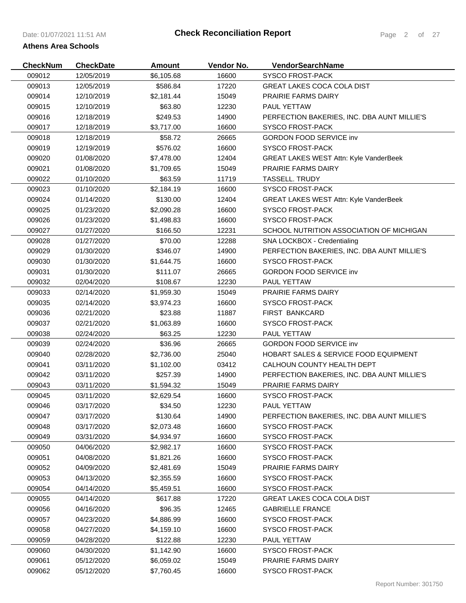| <b>CheckNum</b> | <b>CheckDate</b> | Amount     | Vendor No. | VendorSearchName                              |
|-----------------|------------------|------------|------------|-----------------------------------------------|
| 009012          | 12/05/2019       | \$6,105.68 | 16600      | <b>SYSCO FROST-PACK</b>                       |
| 009013          | 12/05/2019       | \$586.84   | 17220      | <b>GREAT LAKES COCA COLA DIST</b>             |
| 009014          | 12/10/2019       | \$2,181.44 | 15049      | PRAIRIE FARMS DAIRY                           |
| 009015          | 12/10/2019       | \$63.80    | 12230      | PAUL YETTAW                                   |
| 009016          | 12/18/2019       | \$249.53   | 14900      | PERFECTION BAKERIES, INC. DBA AUNT MILLIE'S   |
| 009017          | 12/18/2019       | \$3,717.00 | 16600      | <b>SYSCO FROST-PACK</b>                       |
| 009018          | 12/18/2019       | \$58.72    | 26665      | <b>GORDON FOOD SERVICE inv</b>                |
| 009019          | 12/19/2019       | \$576.02   | 16600      | <b>SYSCO FROST-PACK</b>                       |
| 009020          | 01/08/2020       | \$7,478.00 | 12404      | <b>GREAT LAKES WEST Attn: Kyle VanderBeek</b> |
| 009021          | 01/08/2020       | \$1,709.65 | 15049      | PRAIRIE FARMS DAIRY                           |
| 009022          | 01/10/2020       | \$63.59    | 11719      | <b>TASSELL. TRUDY</b>                         |
| 009023          | 01/10/2020       | \$2,184.19 | 16600      | <b>SYSCO FROST-PACK</b>                       |
| 009024          | 01/14/2020       | \$130.00   | 12404      | <b>GREAT LAKES WEST Attn: Kyle VanderBeek</b> |
| 009025          | 01/23/2020       | \$2,090.28 | 16600      | <b>SYSCO FROST-PACK</b>                       |
| 009026          | 01/23/2020       | \$1,498.83 | 16600      | <b>SYSCO FROST-PACK</b>                       |
| 009027          | 01/27/2020       | \$166.50   | 12231      | SCHOOL NUTRITION ASSOCIATION OF MICHIGAN      |
| 009028          | 01/27/2020       | \$70.00    | 12288      | SNA LOCKBOX - Credentialing                   |
| 009029          | 01/30/2020       | \$346.07   | 14900      | PERFECTION BAKERIES, INC. DBA AUNT MILLIE'S   |
| 009030          | 01/30/2020       | \$1,644.75 | 16600      | <b>SYSCO FROST-PACK</b>                       |
| 009031          | 01/30/2020       | \$111.07   | 26665      | <b>GORDON FOOD SERVICE inv</b>                |
| 009032          | 02/04/2020       | \$108.67   | 12230      | PAUL YETTAW                                   |
| 009033          | 02/14/2020       | \$1,959.30 | 15049      | <b>PRAIRIE FARMS DAIRY</b>                    |
| 009035          | 02/14/2020       | \$3,974.23 | 16600      | <b>SYSCO FROST-PACK</b>                       |
| 009036          | 02/21/2020       | \$23.88    | 11887      | <b>FIRST BANKCARD</b>                         |
| 009037          | 02/21/2020       | \$1,063.89 | 16600      | <b>SYSCO FROST-PACK</b>                       |
| 009038          | 02/24/2020       | \$63.25    | 12230      | PAUL YETTAW                                   |
| 009039          | 02/24/2020       | \$36.96    | 26665      | <b>GORDON FOOD SERVICE inv</b>                |
| 009040          | 02/28/2020       | \$2,736.00 | 25040      | HOBART SALES & SERVICE FOOD EQUIPMENT         |
| 009041          | 03/11/2020       | \$1,102.00 | 03412      | CALHOUN COUNTY HEALTH DEPT                    |
| 009042          | 03/11/2020       | \$257.39   | 14900      | PERFECTION BAKERIES, INC. DBA AUNT MILLIE'S   |
| 009043          | 03/11/2020       | \$1,594.32 | 15049      | <b>PRAIRIE FARMS DAIRY</b>                    |
| 009045          | 03/11/2020       | \$2,629.54 | 16600      | <b>SYSCO FROST-PACK</b>                       |
| 009046          | 03/17/2020       | \$34.50    | 12230      | PAUL YETTAW                                   |
| 009047          | 03/17/2020       | \$130.64   | 14900      | PERFECTION BAKERIES, INC. DBA AUNT MILLIE'S   |
| 009048          | 03/17/2020       | \$2,073.48 | 16600      | <b>SYSCO FROST-PACK</b>                       |
| 009049          | 03/31/2020       | \$4,934.97 | 16600      | <b>SYSCO FROST-PACK</b>                       |
| 009050          | 04/06/2020       | \$2,982.17 | 16600      | <b>SYSCO FROST-PACK</b>                       |
| 009051          | 04/08/2020       | \$1,821.26 | 16600      | <b>SYSCO FROST-PACK</b>                       |
| 009052          | 04/09/2020       | \$2,481.69 | 15049      | <b>PRAIRIE FARMS DAIRY</b>                    |
| 009053          | 04/13/2020       | \$2,355.59 | 16600      | <b>SYSCO FROST-PACK</b>                       |
| 009054          | 04/14/2020       | \$5,459.51 | 16600      | <b>SYSCO FROST-PACK</b>                       |
| 009055          | 04/14/2020       | \$617.88   | 17220      | <b>GREAT LAKES COCA COLA DIST</b>             |
| 009056          | 04/16/2020       | \$96.35    | 12465      | <b>GABRIELLE FRANCE</b>                       |
| 009057          | 04/23/2020       | \$4,886.99 | 16600      | <b>SYSCO FROST-PACK</b>                       |
| 009058          | 04/27/2020       | \$4,159.10 | 16600      | <b>SYSCO FROST-PACK</b>                       |
| 009059          | 04/28/2020       | \$122.88   | 12230      | PAUL YETTAW                                   |
| 009060          | 04/30/2020       | \$1,142.90 | 16600      | <b>SYSCO FROST-PACK</b>                       |
| 009061          | 05/12/2020       | \$6,059.02 | 15049      | <b>PRAIRIE FARMS DAIRY</b>                    |
| 009062          | 05/12/2020       | \$7,760.45 | 16600      | <b>SYSCO FROST-PACK</b>                       |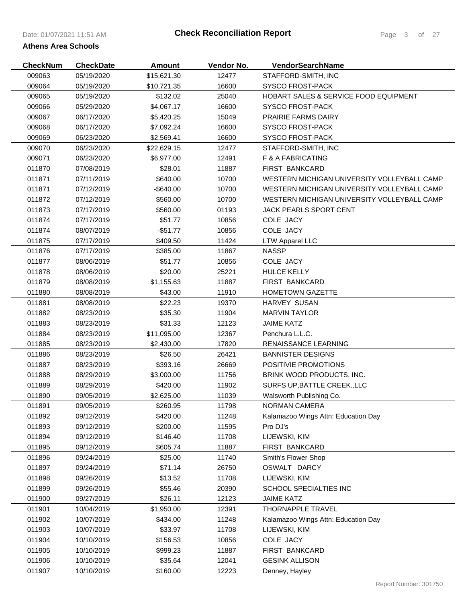| <b>CheckNum</b> | <b>CheckDate</b> | <b>Amount</b> | Vendor No. | VendorSearchName                                 |
|-----------------|------------------|---------------|------------|--------------------------------------------------|
| 009063          | 05/19/2020       | \$15,621.30   | 12477      | STAFFORD-SMITH, INC                              |
| 009064          | 05/19/2020       | \$10,721.35   | 16600      | <b>SYSCO FROST-PACK</b>                          |
| 009065          | 05/19/2020       | \$132.02      | 25040      | <b>HOBART SALES &amp; SERVICE FOOD EQUIPMENT</b> |
| 009066          | 05/29/2020       | \$4,067.17    | 16600      | <b>SYSCO FROST-PACK</b>                          |
| 009067          | 06/17/2020       | \$5,420.25    | 15049      | PRAIRIE FARMS DAIRY                              |
| 009068          | 06/17/2020       | \$7,092.24    | 16600      | <b>SYSCO FROST-PACK</b>                          |
| 009069          | 06/23/2020       | \$2,569.41    | 16600      | <b>SYSCO FROST-PACK</b>                          |
| 009070          | 06/23/2020       | \$22,629.15   | 12477      | STAFFORD-SMITH, INC                              |
| 009071          | 06/23/2020       | \$6,977.00    | 12491      | F & A FABRICATING                                |
| 011870          | 07/08/2019       | \$28.01       | 11887      | FIRST BANKCARD                                   |
| 011871          | 07/11/2019       | \$640.00      | 10700      | WESTERN MICHIGAN UNIVERSITY VOLLEYBALL CAMP      |
| 011871          | 07/12/2019       | -\$640.00     | 10700      | WESTERN MICHIGAN UNIVERSITY VOLLEYBALL CAMP      |
| 011872          | 07/12/2019       | \$560.00      | 10700      | WESTERN MICHIGAN UNIVERSITY VOLLEYBALL CAMP      |
| 011873          | 07/17/2019       | \$560.00      | 01193      | JACK PEARLS SPORT CENT                           |
| 011874          | 07/17/2019       | \$51.77       | 10856      | COLE JACY                                        |
| 011874          | 08/07/2019       | $-$ \$51.77   | 10856      | COLE JACY                                        |
| 011875          | 07/17/2019       | \$409.50      | 11424      | <b>LTW Apparel LLC</b>                           |
| 011876          | 07/17/2019       | \$385.00      | 11867      | <b>NASSP</b>                                     |
| 011877          | 08/06/2019       | \$51.77       | 10856      | COLE JACY                                        |
| 011878          | 08/06/2019       | \$20.00       | 25221      | <b>HULCE KELLY</b>                               |
| 011879          | 08/08/2019       | \$1,155.63    | 11887      | FIRST BANKCARD                                   |
| 011880          | 08/08/2019       | \$43.00       | 11910      | <b>HOMETOWN GAZETTE</b>                          |
| 011881          | 08/08/2019       | \$22.23       | 19370      | HARVEY SUSAN                                     |
| 011882          | 08/23/2019       | \$35.30       | 11904      | <b>MARVIN TAYLOR</b>                             |
| 011883          | 08/23/2019       | \$31.33       | 12123      | <b>JAIME KATZ</b>                                |
| 011884          | 08/23/2019       | \$11,095.00   | 12367      | Penchura L.L.C.                                  |
| 011885          | 08/23/2019       | \$2,430.00    | 17820      | RENAISSANCE LEARNING                             |
| 011886          | 08/23/2019       | \$26.50       | 26421      | <b>BANNISTER DESIGNS</b>                         |
| 011887          | 08/23/2019       | \$393.16      | 26669      | POSITIVIE PROMOTIONS                             |
| 011888          | 08/29/2019       | \$3,000.00    | 11756      | BRINK WOOD PRODUCTS, INC.                        |
| 011889          | 08/29/2019       | \$420.00      | 11902      | SURFS UP, BATTLE CREEK., LLC                     |
| 011890          | 09/05/2019       | \$2,625.00    | 11039      | Walsworth Publishing Co.                         |
| 011891          | 09/05/2019       | \$260.95      | 11798      | NORMAN CAMERA                                    |
| 011892          | 09/12/2019       | \$420.00      | 11248      | Kalamazoo Wings Attn: Education Day              |
| 011893          | 09/12/2019       | \$200.00      | 11595      | Pro DJ's                                         |
| 011894          | 09/12/2019       | \$146.40      | 11708      | LIJEWSKI, KIM                                    |
| 011895          | 09/12/2019       | \$605.74      | 11887      | FIRST BANKCARD                                   |
| 011896          | 09/24/2019       | \$25.00       | 11740      | Smith's Flower Shop                              |
| 011897          | 09/24/2019       | \$71.14       | 26750      | OSWALT DARCY                                     |
| 011898          | 09/26/2019       | \$13.52       | 11708      | LIJEWSKI, KIM                                    |
| 011899          | 09/26/2019       | \$55.46       | 20390      | SCHOOL SPECIALTIES INC                           |
| 011900          | 09/27/2019       | \$26.11       | 12123      | <b>JAIME KATZ</b>                                |
| 011901          | 10/04/2019       | \$1,950.00    | 12391      | THORNAPPLE TRAVEL                                |
| 011902          | 10/07/2019       | \$434.00      | 11248      | Kalamazoo Wings Attn: Education Day              |
| 011903          | 10/07/2019       | \$33.97       | 11708      | LIJEWSKI, KIM                                    |
| 011904          | 10/10/2019       | \$156.53      | 10856      | COLE JACY                                        |
| 011905          | 10/10/2019       | \$999.23      | 11887      | FIRST BANKCARD                                   |
| 011906          | 10/10/2019       | \$35.64       | 12041      | <b>GESINK ALLISON</b>                            |
| 011907          | 10/10/2019       | \$160.00      | 12223      | Denney, Hayley                                   |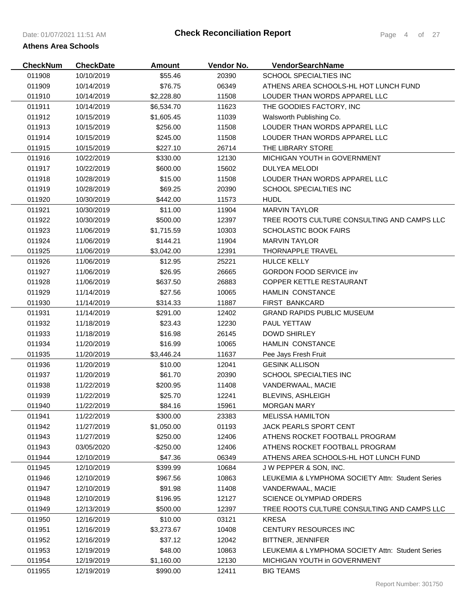| <b>CheckNum</b> | <b>CheckDate</b> | <b>Amount</b> | Vendor No. | <b>VendorSearchName</b>                          |
|-----------------|------------------|---------------|------------|--------------------------------------------------|
| 011908          | 10/10/2019       | \$55.46       | 20390      | SCHOOL SPECIALTIES INC                           |
| 011909          | 10/14/2019       | \$76.75       | 06349      | ATHENS AREA SCHOOLS-HL HOT LUNCH FUND            |
| 011910          | 10/14/2019       | \$2,228.80    | 11508      | LOUDER THAN WORDS APPAREL LLC                    |
| 011911          | 10/14/2019       | \$6,534.70    | 11623      | THE GOODIES FACTORY, INC                         |
| 011912          | 10/15/2019       | \$1,605.45    | 11039      | Walsworth Publishing Co.                         |
| 011913          | 10/15/2019       | \$256.00      | 11508      | LOUDER THAN WORDS APPAREL LLC                    |
| 011914          | 10/15/2019       | \$245.00      | 11508      | LOUDER THAN WORDS APPAREL LLC                    |
| 011915          | 10/15/2019       | \$227.10      | 26714      | THE LIBRARY STORE                                |
| 011916          | 10/22/2019       | \$330.00      | 12130      | MICHIGAN YOUTH in GOVERNMENT                     |
| 011917          | 10/22/2019       | \$600.00      | 15602      | DULYEA MELODI                                    |
| 011918          | 10/28/2019       | \$15.00       | 11508      | LOUDER THAN WORDS APPAREL LLC                    |
| 011919          | 10/28/2019       | \$69.25       | 20390      | SCHOOL SPECIALTIES INC                           |
| 011920          | 10/30/2019       | \$442.00      | 11573      | <b>HUDL</b>                                      |
| 011921          | 10/30/2019       | \$11.00       | 11904      | <b>MARVIN TAYLOR</b>                             |
| 011922          | 10/30/2019       | \$500.00      | 12397      | TREE ROOTS CULTURE CONSULTING AND CAMPS LLC      |
| 011923          | 11/06/2019       | \$1,715.59    | 10303      | SCHOLASTIC BOOK FAIRS                            |
| 011924          | 11/06/2019       | \$144.21      | 11904      | <b>MARVIN TAYLOR</b>                             |
| 011925          | 11/06/2019       | \$3,042.00    | 12391      | <b>THORNAPPLE TRAVEL</b>                         |
| 011926          | 11/06/2019       | \$12.95       | 25221      | <b>HULCE KELLY</b>                               |
| 011927          | 11/06/2019       | \$26.95       | 26665      | <b>GORDON FOOD SERVICE inv</b>                   |
| 011928          | 11/06/2019       | \$637.50      | 26883      | COPPER KETTLE RESTAURANT                         |
| 011929          | 11/14/2019       | \$27.56       | 10065      | <b>HAMLIN CONSTANCE</b>                          |
| 011930          | 11/14/2019       | \$314.33      | 11887      | <b>FIRST BANKCARD</b>                            |
| 011931          | 11/14/2019       | \$291.00      | 12402      | <b>GRAND RAPIDS PUBLIC MUSEUM</b>                |
| 011932          | 11/18/2019       | \$23.43       | 12230      | PAUL YETTAW                                      |
| 011933          | 11/18/2019       | \$16.98       | 26145      | <b>DOWD SHIRLEY</b>                              |
| 011934          | 11/20/2019       | \$16.99       | 10065      | <b>HAMLIN CONSTANCE</b>                          |
| 011935          | 11/20/2019       | \$3,446.24    | 11637      | Pee Jays Fresh Fruit                             |
| 011936          | 11/20/2019       | \$10.00       | 12041      | <b>GESINK ALLISON</b>                            |
| 011937          | 11/20/2019       | \$61.70       | 20390      | SCHOOL SPECIALTIES INC                           |
| 011938          | 11/22/2019       | \$200.95      | 11408      | VANDERWAAL, MACIE                                |
| 011939          | 11/22/2019       | \$25.70       | 12241      | <b>BLEVINS, ASHLEIGH</b>                         |
| 011940          | 11/22/2019       | \$84.16       | 15961      | <b>MORGAN MARY</b>                               |
| 011941          | 11/22/2019       | \$300.00      | 23383      | <b>MELISSA HAMILTON</b>                          |
| 011942          | 11/27/2019       | \$1,050.00    | 01193      | <b>JACK PEARLS SPORT CENT</b>                    |
| 011943          | 11/27/2019       | \$250.00      | 12406      | ATHENS ROCKET FOOTBALL PROGRAM                   |
| 011943          | 03/05/2020       | -\$250.00     | 12406      | ATHENS ROCKET FOOTBALL PROGRAM                   |
| 011944          | 12/10/2019       | \$47.36       | 06349      | ATHENS AREA SCHOOLS-HL HOT LUNCH FUND            |
| 011945          | 12/10/2019       | \$399.99      | 10684      | J W PEPPER & SON, INC.                           |
| 011946          | 12/10/2019       | \$967.56      | 10863      | LEUKEMIA & LYMPHOMA SOCIETY Attn: Student Series |
| 011947          | 12/10/2019       | \$91.98       | 11408      | VANDERWAAL, MACIE                                |
| 011948          | 12/10/2019       | \$196.95      | 12127      | <b>SCIENCE OLYMPIAD ORDERS</b>                   |
| 011949          | 12/13/2019       | \$500.00      | 12397      | TREE ROOTS CULTURE CONSULTING AND CAMPS LLC      |
| 011950          | 12/16/2019       | \$10.00       | 03121      | <b>KRESA</b>                                     |
| 011951          | 12/16/2019       | \$3,273.67    | 10408      | CENTURY RESOURCES INC                            |
| 011952          | 12/16/2019       | \$37.12       | 12042      | BITTNER, JENNIFER                                |
| 011953          | 12/19/2019       | \$48.00       | 10863      | LEUKEMIA & LYMPHOMA SOCIETY Attn: Student Series |
| 011954          | 12/19/2019       | \$1,160.00    | 12130      | MICHIGAN YOUTH in GOVERNMENT                     |
| 011955          | 12/19/2019       | \$990.00      | 12411      | <b>BIG TEAMS</b>                                 |

Report Number: 301750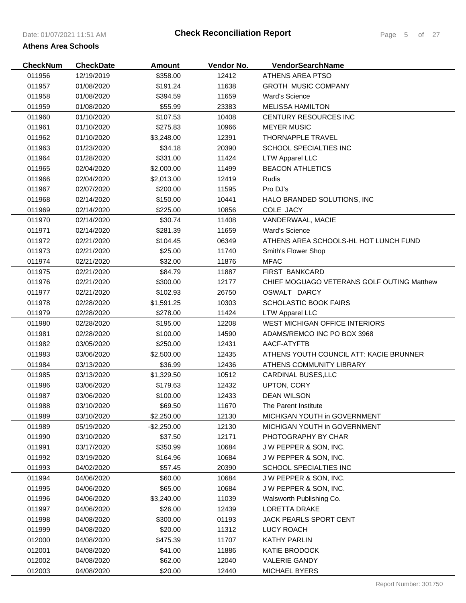| <b>CheckNum</b> | <b>CheckDate</b> | <b>Amount</b>          | Vendor No. | <b>VendorSearchName</b>                    |
|-----------------|------------------|------------------------|------------|--------------------------------------------|
| 011956          | 12/19/2019       | \$358.00               | 12412      | ATHENS AREA PTSO                           |
| 011957          | 01/08/2020       | \$191.24               | 11638      | <b>GROTH MUSIC COMPANY</b>                 |
| 011958          | 01/08/2020       | \$394.59               | 11659      | <b>Ward's Science</b>                      |
| 011959          | 01/08/2020       | \$55.99                | 23383      | <b>MELISSA HAMILTON</b>                    |
| 011960          | 01/10/2020       | \$107.53               | 10408      | CENTURY RESOURCES INC                      |
| 011961          | 01/10/2020       | \$275.83               | 10966      | <b>MEYER MUSIC</b>                         |
| 011962          | 01/10/2020       | \$3,248.00             | 12391      | THORNAPPLE TRAVEL                          |
| 011963          | 01/23/2020       | \$34.18                | 20390      | SCHOOL SPECIALTIES INC                     |
| 011964          | 01/28/2020       | \$331.00               | 11424      | <b>LTW Apparel LLC</b>                     |
| 011965          | 02/04/2020       | \$2,000.00             | 11499      | <b>BEACON ATHLETICS</b>                    |
| 011966          | 02/04/2020       | \$2,013.00             | 12419      | Rudis                                      |
| 011967          | 02/07/2020       | \$200.00               | 11595      | Pro DJ's                                   |
| 011968          | 02/14/2020       | \$150.00               | 10441      | HALO BRANDED SOLUTIONS, INC.               |
| 011969          | 02/14/2020       | \$225.00               | 10856      | COLE JACY                                  |
| 011970          | 02/14/2020       | \$30.74                | 11408      | VANDERWAAL, MACIE                          |
| 011971          | 02/14/2020       | \$281.39               | 11659      | <b>Ward's Science</b>                      |
| 011972          | 02/21/2020       | \$104.45               | 06349      | ATHENS AREA SCHOOLS-HL HOT LUNCH FUND      |
| 011973          | 02/21/2020       | \$25.00                | 11740      | Smith's Flower Shop                        |
| 011974          | 02/21/2020       | \$32.00                | 11876      | <b>MFAC</b>                                |
| 011975          | 02/21/2020       | \$84.79                | 11887      | <b>FIRST BANKCARD</b>                      |
| 011976          | 02/21/2020       | \$300.00               | 12177      | CHIEF MOGUAGO VETERANS GOLF OUTING Matthew |
| 011977          | 02/21/2020       | \$102.93               | 26750      | OSWALT DARCY                               |
| 011978          | 02/28/2020       |                        | 10303      | <b>SCHOLASTIC BOOK FAIRS</b>               |
|                 | 02/28/2020       | \$1,591.25<br>\$278.00 |            |                                            |
| 011979          |                  |                        | 11424      | <b>LTW Apparel LLC</b>                     |
| 011980          | 02/28/2020       | \$195.00               | 12208      | WEST MICHIGAN OFFICE INTERIORS             |
| 011981          | 02/28/2020       | \$100.00               | 14590      | ADAMS/REMCO INC PO BOX 3968                |
| 011982          | 03/05/2020       | \$250.00               | 12431      | AACF-ATYFTB                                |
| 011983          | 03/06/2020       | \$2,500.00             | 12435      | ATHENS YOUTH COUNCIL ATT: KACIE BRUNNER    |
| 011984          | 03/13/2020       | \$36.99                | 12436      | ATHENS COMMUNITY LIBRARY                   |
| 011985          | 03/13/2020       | \$1,329.50             | 10512      | CARDINAL BUSES, LLC                        |
| 011986          | 03/06/2020       | \$179.63               | 12432      | UPTON, CORY                                |
| 011987          | 03/06/2020       | \$100.00               | 12433      | <b>DEAN WILSON</b>                         |
| 011988          | 03/10/2020       | \$69.50                | 11670      | The Parent Institute                       |
| 011989          | 03/10/2020       | \$2,250.00             | 12130      | MICHIGAN YOUTH in GOVERNMENT               |
| 011989          | 05/19/2020       | $-$2,250.00$           | 12130      | MICHIGAN YOUTH in GOVERNMENT               |
| 011990          | 03/10/2020       | \$37.50                | 12171      | PHOTOGRAPHY BY CHAR                        |
| 011991          | 03/17/2020       | \$350.99               | 10684      | J W PEPPER & SON, INC.                     |
| 011992          | 03/19/2020       | \$164.96               | 10684      | J W PEPPER & SON, INC.                     |
| 011993          | 04/02/2020       | \$57.45                | 20390      | <b>SCHOOL SPECIALTIES INC</b>              |
| 011994          | 04/06/2020       | \$60.00                | 10684      | J W PEPPER & SON, INC.                     |
| 011995          | 04/06/2020       | \$65.00                | 10684      | J W PEPPER & SON, INC.                     |
| 011996          | 04/06/2020       | \$3,240.00             | 11039      | Walsworth Publishing Co.                   |
| 011997          | 04/06/2020       | \$26.00                | 12439      | <b>LORETTA DRAKE</b>                       |
| 011998          | 04/08/2020       | \$300.00               | 01193      | <b>JACK PEARLS SPORT CENT</b>              |
| 011999          | 04/08/2020       | \$20.00                | 11312      | LUCY ROACH                                 |
| 012000          | 04/08/2020       | \$475.39               | 11707      | KATHY PARLIN                               |
| 012001          | 04/08/2020       | \$41.00                | 11886      | KATIE BRODOCK                              |
| 012002          | 04/08/2020       | \$62.00                | 12040      | VALERIE GANDY                              |
| 012003          | 04/08/2020       | \$20.00                | 12440      | <b>MICHAEL BYERS</b>                       |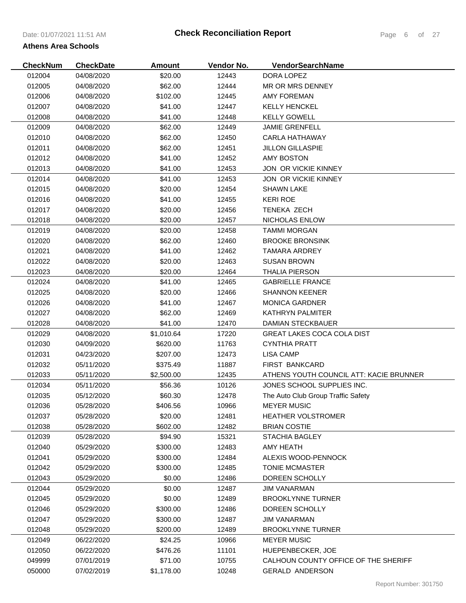| <b>CheckNum</b> | <b>CheckDate</b> | Amount     | Vendor No. | VendorSearchName                        |
|-----------------|------------------|------------|------------|-----------------------------------------|
| 012004          | 04/08/2020       | \$20.00    | 12443      | DORA LOPEZ                              |
| 012005          | 04/08/2020       | \$62.00    | 12444      | MR OR MRS DENNEY                        |
| 012006          | 04/08/2020       | \$102.00   | 12445      | <b>AMY FOREMAN</b>                      |
| 012007          | 04/08/2020       | \$41.00    | 12447      | <b>KELLY HENCKEL</b>                    |
| 012008          | 04/08/2020       | \$41.00    | 12448      | <b>KELLY GOWELL</b>                     |
| 012009          | 04/08/2020       | \$62.00    | 12449      | <b>JAMIE GRENFELL</b>                   |
| 012010          | 04/08/2020       | \$62.00    | 12450      | CARLA HATHAWAY                          |
| 012011          | 04/08/2020       | \$62.00    | 12451      | <b>JILLON GILLASPIE</b>                 |
| 012012          | 04/08/2020       | \$41.00    | 12452      | AMY BOSTON                              |
| 012013          | 04/08/2020       | \$41.00    | 12453      | JON OR VICKIE KINNEY                    |
| 012014          | 04/08/2020       | \$41.00    | 12453      | JON OR VICKIE KINNEY                    |
| 012015          | 04/08/2020       | \$20.00    | 12454      | <b>SHAWN LAKE</b>                       |
| 012016          | 04/08/2020       | \$41.00    | 12455      | <b>KERI ROE</b>                         |
| 012017          | 04/08/2020       | \$20.00    | 12456      | <b>TENEKA ZECH</b>                      |
| 012018          | 04/08/2020       | \$20.00    | 12457      | NICHOLAS ENLOW                          |
| 012019          | 04/08/2020       | \$20.00    | 12458      | <b>TAMMI MORGAN</b>                     |
| 012020          | 04/08/2020       | \$62.00    | 12460      | <b>BROOKE BRONSINK</b>                  |
| 012021          | 04/08/2020       | \$41.00    | 12462      | TAMARA ARDREY                           |
| 012022          | 04/08/2020       | \$20.00    | 12463      | <b>SUSAN BROWN</b>                      |
| 012023          | 04/08/2020       | \$20.00    | 12464      | <b>THALIA PIERSON</b>                   |
| 012024          | 04/08/2020       | \$41.00    | 12465      | <b>GABRIELLE FRANCE</b>                 |
| 012025          | 04/08/2020       | \$20.00    | 12466      | <b>SHANNON KEENER</b>                   |
| 012026          | 04/08/2020       | \$41.00    | 12467      | <b>MONICA GARDNER</b>                   |
| 012027          | 04/08/2020       | \$62.00    | 12469      | <b>KATHRYN PALMITER</b>                 |
| 012028          | 04/08/2020       | \$41.00    | 12470      | <b>DAMIAN STECKBAUER</b>                |
| 012029          | 04/08/2020       | \$1,010.64 | 17220      | <b>GREAT LAKES COCA COLA DIST</b>       |
| 012030          | 04/09/2020       | \$620.00   | 11763      | <b>CYNTHIA PRATT</b>                    |
| 012031          | 04/23/2020       | \$207.00   | 12473      | LISA CAMP                               |
| 012032          | 05/11/2020       | \$375.49   | 11887      | <b>FIRST BANKCARD</b>                   |
| 012033          | 05/11/2020       | \$2,500.00 | 12435      | ATHENS YOUTH COUNCIL ATT: KACIE BRUNNER |
| 012034          | 05/11/2020       | \$56.36    | 10126      | JONES SCHOOL SUPPLIES INC.              |
| 012035          | 05/12/2020       | \$60.30    | 12478      | The Auto Club Group Traffic Safety      |
| 012036          | 05/28/2020       | \$406.56   | 10966      | <b>MEYER MUSIC</b>                      |
| 012037          | 05/28/2020       | \$20.00    | 12481      | <b>HEATHER VOLSTROMER</b>               |
| 012038          | 05/28/2020       | \$602.00   | 12482      | <b>BRIAN COSTIE</b>                     |
| 012039          | 05/28/2020       | \$94.90    | 15321      | <b>STACHIA BAGLEY</b>                   |
| 012040          | 05/29/2020       | \$300.00   | 12483      | AMY HEATH                               |
| 012041          | 05/29/2020       | \$300.00   | 12484      | ALEXIS WOOD-PENNOCK                     |
| 012042          | 05/29/2020       | \$300.00   | 12485      | <b>TONIE MCMASTER</b>                   |
| 012043          | 05/29/2020       | \$0.00     | 12486      | DOREEN SCHOLLY                          |
| 012044          | 05/29/2020       | \$0.00     | 12487      | <b>JIM VANARMAN</b>                     |
| 012045          | 05/29/2020       | \$0.00     | 12489      | <b>BROOKLYNNE TURNER</b>                |
| 012046          | 05/29/2020       | \$300.00   | 12486      | DOREEN SCHOLLY                          |
| 012047          | 05/29/2020       | \$300.00   | 12487      | <b>JIM VANARMAN</b>                     |
| 012048          | 05/29/2020       | \$200.00   | 12489      | <b>BROOKLYNNE TURNER</b>                |
| 012049          | 06/22/2020       | \$24.25    | 10966      | <b>MEYER MUSIC</b>                      |
| 012050          | 06/22/2020       | \$476.26   | 11101      | HUEPENBECKER, JOE                       |
| 049999          | 07/01/2019       | \$71.00    | 10755      | CALHOUN COUNTY OFFICE OF THE SHERIFF    |
| 050000          | 07/02/2019       | \$1,178.00 | 10248      | <b>GERALD ANDERSON</b>                  |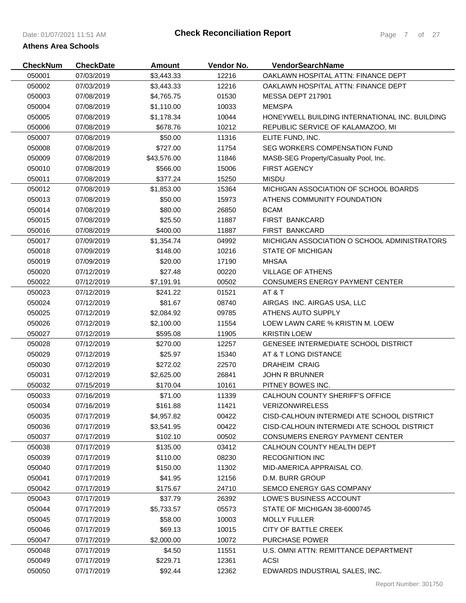| <b>CheckNum</b> | <b>CheckDate</b> | Amount      | Vendor No. | VendorSearchName                               |
|-----------------|------------------|-------------|------------|------------------------------------------------|
| 050001          | 07/03/2019       | \$3,443.33  | 12216      | OAKLAWN HOSPITAL ATTN: FINANCE DEPT            |
| 050002          | 07/03/2019       | \$3,443.33  | 12216      | OAKLAWN HOSPITAL ATTN: FINANCE DEPT            |
| 050003          | 07/08/2019       | \$4,765.75  | 01530      | MESSA DEPT 217901                              |
| 050004          | 07/08/2019       | \$1,110.00  | 10033      | <b>MEMSPA</b>                                  |
| 050005          | 07/08/2019       | \$1,178.34  | 10044      | HONEYWELL BUILDING INTERNATIONAL INC. BUILDING |
| 050006          | 07/08/2019       | \$678.76    | 10212      | REPUBLIC SERVICE OF KALAMAZOO, MI              |
| 050007          | 07/08/2019       | \$50.00     | 11316      | ELITE FUND, INC.                               |
| 050008          | 07/08/2019       | \$727.00    | 11754      | SEG WORKERS COMPENSATION FUND                  |
| 050009          | 07/08/2019       | \$43,576.00 | 11846      | MASB-SEG Property/Casualty Pool, Inc.          |
| 050010          | 07/08/2019       | \$566.00    | 15006      | <b>FIRST AGENCY</b>                            |
| 050011          | 07/08/2019       | \$377.24    | 15250      | <b>MISDU</b>                                   |
| 050012          | 07/08/2019       | \$1,853.00  | 15364      | MICHIGAN ASSOCIATION OF SCHOOL BOARDS          |
| 050013          | 07/08/2019       | \$50.00     | 15973      | ATHENS COMMUNITY FOUNDATION                    |
| 050014          | 07/08/2019       | \$80.00     | 26850      | <b>BCAM</b>                                    |
| 050015          | 07/08/2019       | \$25.50     | 11887      | <b>FIRST BANKCARD</b>                          |
| 050016          | 07/08/2019       | \$400.00    | 11887      | <b>FIRST BANKCARD</b>                          |
| 050017          | 07/09/2019       | \$1,354.74  | 04992      | MICHIGAN ASSOCIATION O SCHOOL ADMINISTRATORS   |
| 050018          | 07/09/2019       | \$148.00    | 10216      | <b>STATE OF MICHIGAN</b>                       |
| 050019          | 07/09/2019       | \$20.00     | 17190      | <b>MHSAA</b>                                   |
| 050020          | 07/12/2019       | \$27.48     | 00220      | <b>VILLAGE OF ATHENS</b>                       |
| 050022          | 07/12/2019       | \$7,191.91  | 00502      | <b>CONSUMERS ENERGY PAYMENT CENTER</b>         |
| 050023          | 07/12/2019       | \$241.22    | 01521      | AT&T                                           |
| 050024          | 07/12/2019       | \$81.67     | 08740      | AIRGAS INC. AIRGAS USA, LLC                    |
| 050025          | 07/12/2019       | \$2,084.92  | 09785      | ATHENS AUTO SUPPLY                             |
| 050026          | 07/12/2019       | \$2,100.00  | 11554      | LOEW LAWN CARE % KRISTIN M. LOEW               |
| 050027          | 07/12/2019       | \$595.08    | 11905      | <b>KRISTIN LOEW</b>                            |
| 050028          | 07/12/2019       | \$270.00    | 12257      | <b>GENESEE INTERMEDIATE SCHOOL DISTRICT</b>    |
| 050029          | 07/12/2019       | \$25.97     | 15340      | AT & T LONG DISTANCE                           |
| 050030          | 07/12/2019       | \$272.02    | 22570      | <b>DRAHEIM CRAIG</b>                           |
| 050031          | 07/12/2019       | \$2,625.00  | 26841      | <b>JOHN R BRUNNER</b>                          |
| 050032          | 07/15/2019       | \$170.04    | 10161      | PITNEY BOWES INC.                              |
| 050033          | 07/16/2019       | \$71.00     | 11339      | CALHOUN COUNTY SHERIFF'S OFFICE                |
| 050034          | 07/16/2019       | \$161.88    | 11421      | <b>VERIZONWIRELESS</b>                         |
| 050035          | 07/17/2019       | \$4,957.82  | 00422      | CISD-CALHOUN INTERMEDI ATE SCHOOL DISTRICT     |
| 050036          | 07/17/2019       | \$3,541.95  | 00422      | CISD-CALHOUN INTERMEDI ATE SCHOOL DISTRICT     |
| 050037          | 07/17/2019       | \$102.10    | 00502      | <b>CONSUMERS ENERGY PAYMENT CENTER</b>         |
| 050038          | 07/17/2019       | \$135.00    | 03412      | CALHOUN COUNTY HEALTH DEPT                     |
| 050039          | 07/17/2019       | \$110.00    | 08230      | <b>RECOGNITION INC</b>                         |
| 050040          | 07/17/2019       | \$150.00    | 11302      | MID-AMERICA APPRAISAL CO.                      |
| 050041          | 07/17/2019       | \$41.95     | 12156      | D.M. BURR GROUP                                |
| 050042          | 07/17/2019       | \$175.67    | 24710      | <b>SEMCO ENERGY GAS COMPANY</b>                |
| 050043          | 07/17/2019       | \$37.79     | 26392      | LOWE'S BUSINESS ACCOUNT                        |
| 050044          | 07/17/2019       | \$5,733.57  | 05573      | STATE OF MICHIGAN 38-6000745                   |
| 050045          | 07/17/2019       | \$58.00     | 10003      | <b>MOLLY FULLER</b>                            |
| 050046          | 07/17/2019       | \$69.13     | 10015      | CITY OF BATTLE CREEK                           |
| 050047          | 07/17/2019       | \$2,000.00  | 10072      | <b>PURCHASE POWER</b>                          |
| 050048          | 07/17/2019       | \$4.50      | 11551      | U.S. OMNI ATTN: REMITTANCE DEPARTMENT          |
| 050049          | 07/17/2019       | \$229.71    | 12361      | <b>ACSI</b>                                    |
| 050050          | 07/17/2019       | \$92.44     | 12362      | EDWARDS INDUSTRIAL SALES, INC.                 |
|                 |                  |             |            |                                                |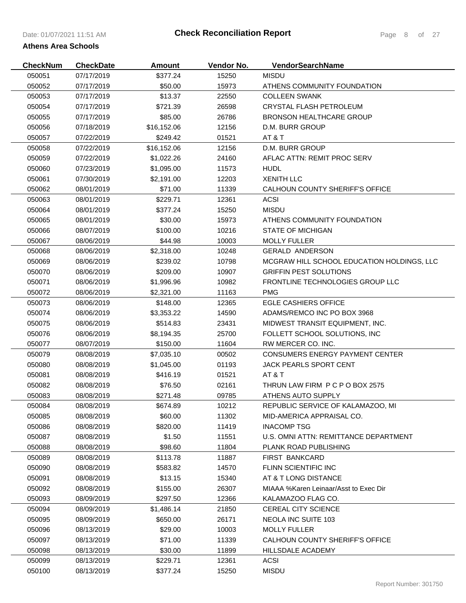| <b>CheckNum</b> | <b>CheckDate</b> | Amount      | Vendor No. | <b>VendorSearchName</b>                    |
|-----------------|------------------|-------------|------------|--------------------------------------------|
| 050051          | 07/17/2019       | \$377.24    | 15250      | <b>MISDU</b>                               |
| 050052          | 07/17/2019       | \$50.00     | 15973      | ATHENS COMMUNITY FOUNDATION                |
| 050053          | 07/17/2019       | \$13.37     | 22550      | <b>COLLEEN SWANK</b>                       |
| 050054          | 07/17/2019       | \$721.39    | 26598      | CRYSTAL FLASH PETROLEUM                    |
| 050055          | 07/17/2019       | \$85.00     | 26786      | <b>BRONSON HEALTHCARE GROUP</b>            |
| 050056          | 07/18/2019       | \$16,152.06 | 12156      | D.M. BURR GROUP                            |
| 050057          | 07/22/2019       | \$249.42    | 01521      | AT & T                                     |
| 050058          | 07/22/2019       | \$16,152.06 | 12156      | D.M. BURR GROUP                            |
| 050059          | 07/22/2019       | \$1,022.26  | 24160      | AFLAC ATTN: REMIT PROC SERV                |
| 050060          | 07/23/2019       | \$1,095.00  | 11573      | <b>HUDL</b>                                |
| 050061          | 07/30/2019       | \$2,191.00  | 12203      | <b>XENITH LLC</b>                          |
| 050062          | 08/01/2019       | \$71.00     | 11339      | CALHOUN COUNTY SHERIFF'S OFFICE            |
| 050063          | 08/01/2019       | \$229.71    | 12361      | <b>ACSI</b>                                |
| 050064          | 08/01/2019       | \$377.24    | 15250      | <b>MISDU</b>                               |
| 050065          | 08/01/2019       | \$30.00     | 15973      | ATHENS COMMUNITY FOUNDATION                |
| 050066          | 08/07/2019       | \$100.00    | 10216      | STATE OF MICHIGAN                          |
| 050067          | 08/06/2019       | \$44.98     | 10003      | <b>MOLLY FULLER</b>                        |
| 050068          | 08/06/2019       | \$2,318.00  | 10248      | <b>GERALD ANDERSON</b>                     |
| 050069          | 08/06/2019       | \$239.02    | 10798      | MCGRAW HILL SCHOOL EDUCATION HOLDINGS, LLC |
| 050070          | 08/06/2019       | \$209.00    | 10907      | <b>GRIFFIN PEST SOLUTIONS</b>              |
| 050071          | 08/06/2019       | \$1,996.96  | 10982      | FRONTLINE TECHNOLOGIES GROUP LLC           |
| 050072          | 08/06/2019       | \$2,321.00  | 11163      | <b>PMG</b>                                 |
| 050073          | 08/06/2019       | \$148.00    | 12365      | <b>EGLE CASHIERS OFFICE</b>                |
| 050074          | 08/06/2019       | \$3,353.22  | 14590      | ADAMS/REMCO INC PO BOX 3968                |
| 050075          | 08/06/2019       | \$514.83    | 23431      | MIDWEST TRANSIT EQUIPMENT, INC.            |
| 050076          | 08/06/2019       | \$8,194.35  | 25700      | FOLLETT SCHOOL SOLUTIONS, INC              |
| 050077          | 08/07/2019       | \$150.00    | 11604      | RW MERCER CO. INC.                         |
| 050079          | 08/08/2019       | \$7,035.10  | 00502      | <b>CONSUMERS ENERGY PAYMENT CENTER</b>     |
| 050080          | 08/08/2019       | \$1,045.00  | 01193      | <b>JACK PEARLS SPORT CENT</b>              |
| 050081          | 08/08/2019       | \$416.19    | 01521      | AT & T                                     |
| 050082          | 08/08/2019       | \$76.50     | 02161      | THRUN LAW FIRM P C P O BOX 2575            |
| 050083          | 08/08/2019       | \$271.48    | 09785      | ATHENS AUTO SUPPLY                         |
| 050084          | 08/08/2019       | \$674.89    | 10212      | REPUBLIC SERVICE OF KALAMAZOO, MI          |
| 050085          | 08/08/2019       | \$60.00     | 11302      | MID-AMERICA APPRAISAL CO.                  |
| 050086          | 08/08/2019       | \$820.00    | 11419      | <b>INACOMP TSG</b>                         |
| 050087          | 08/08/2019       | \$1.50      | 11551      | U.S. OMNI ATTN: REMITTANCE DEPARTMENT      |
| 050088          | 08/08/2019       | \$98.60     | 11804      | <b>PLANK ROAD PUBLISHING</b>               |
| 050089          | 08/08/2019       | \$113.78    | 11887      | <b>FIRST BANKCARD</b>                      |
| 050090          | 08/08/2019       | \$583.82    | 14570      | FLINN SCIENTIFIC INC                       |
| 050091          | 08/08/2019       | \$13.15     | 15340      | AT & T LONG DISTANCE                       |
| 050092          | 08/08/2019       | \$155.00    | 26307      | MIAAA %Karen Leinaar/Asst to Exec Dir      |
| 050093          | 08/09/2019       | \$297.50    | 12366      | KALAMAZOO FLAG CO.                         |
| 050094          | 08/09/2019       | \$1,486.14  | 21850      | <b>CEREAL CITY SCIENCE</b>                 |
| 050095          | 08/09/2019       | \$650.00    | 26171      | NEOLA INC SUITE 103                        |
| 050096          | 08/13/2019       | \$29.00     | 10003      | <b>MOLLY FULLER</b>                        |
| 050097          | 08/13/2019       | \$71.00     | 11339      | CALHOUN COUNTY SHERIFF'S OFFICE            |
| 050098          | 08/13/2019       | \$30.00     | 11899      | HILLSDALE ACADEMY                          |
| 050099          | 08/13/2019       | \$229.71    | 12361      | <b>ACSI</b>                                |
| 050100          | 08/13/2019       | \$377.24    | 15250      | <b>MISDU</b>                               |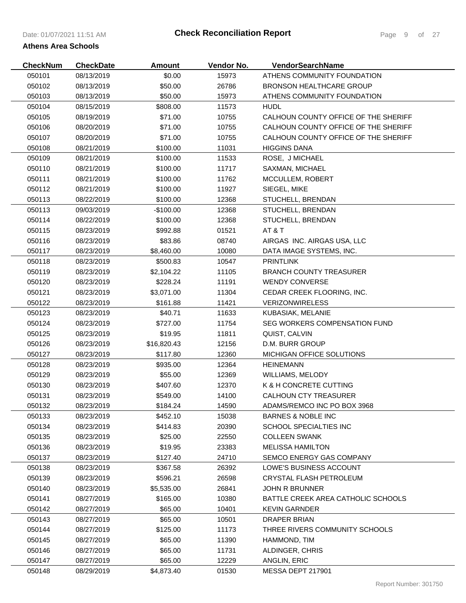| <b>CheckNum</b> | <b>CheckDate</b> | <b>Amount</b> | Vendor No. | VendorSearchName                     |
|-----------------|------------------|---------------|------------|--------------------------------------|
| 050101          | 08/13/2019       | \$0.00        | 15973      | ATHENS COMMUNITY FOUNDATION          |
| 050102          | 08/13/2019       | \$50.00       | 26786      | <b>BRONSON HEALTHCARE GROUP</b>      |
| 050103          | 08/13/2019       | \$50.00       | 15973      | ATHENS COMMUNITY FOUNDATION          |
| 050104          | 08/15/2019       | \$808.00      | 11573      | <b>HUDL</b>                          |
| 050105          | 08/19/2019       | \$71.00       | 10755      | CALHOUN COUNTY OFFICE OF THE SHERIFF |
| 050106          | 08/20/2019       | \$71.00       | 10755      | CALHOUN COUNTY OFFICE OF THE SHERIFF |
| 050107          | 08/20/2019       | \$71.00       | 10755      | CALHOUN COUNTY OFFICE OF THE SHERIFF |
| 050108          | 08/21/2019       | \$100.00      | 11031      | <b>HIGGINS DANA</b>                  |
| 050109          | 08/21/2019       | \$100.00      | 11533      | ROSE, J MICHAEL                      |
| 050110          | 08/21/2019       | \$100.00      | 11717      | SAXMAN, MICHAEL                      |
| 050111          | 08/21/2019       | \$100.00      | 11762      | MCCULLEM, ROBERT                     |
| 050112          | 08/21/2019       | \$100.00      | 11927      | SIEGEL, MIKE                         |
| 050113          | 08/22/2019       | \$100.00      | 12368      | STUCHELL, BRENDAN                    |
| 050113          | 09/03/2019       | $-$100.00$    | 12368      | STUCHELL, BRENDAN                    |
| 050114          | 08/22/2019       | \$100.00      | 12368      | STUCHELL, BRENDAN                    |
| 050115          | 08/23/2019       | \$992.88      | 01521      | AT&T                                 |
| 050116          | 08/23/2019       | \$83.86       | 08740      | AIRGAS INC. AIRGAS USA, LLC          |
| 050117          | 08/23/2019       | \$8,460.00    | 10080      | DATA IMAGE SYSTEMS, INC.             |
| 050118          | 08/23/2019       | \$500.83      | 10547      | <b>PRINTLINK</b>                     |
| 050119          | 08/23/2019       | \$2,104.22    | 11105      | <b>BRANCH COUNTY TREASURER</b>       |
| 050120          | 08/23/2019       | \$228.24      | 11191      | <b>WENDY CONVERSE</b>                |
| 050121          | 08/23/2019       | \$3,071.00    | 11304      | CEDAR CREEK FLOORING, INC.           |
| 050122          | 08/23/2019       | \$161.88      | 11421      | <b>VERIZONWIRELESS</b>               |
| 050123          | 08/23/2019       | \$40.71       | 11633      | KUBASIAK, MELANIE                    |
| 050124          | 08/23/2019       | \$727.00      | 11754      | SEG WORKERS COMPENSATION FUND        |
| 050125          | 08/23/2019       | \$19.95       | 11811      | QUIST, CALVIN                        |
| 050126          | 08/23/2019       | \$16,820.43   | 12156      | D.M. BURR GROUP                      |
| 050127          | 08/23/2019       | \$117.80      | 12360      | <b>MICHIGAN OFFICE SOLUTIONS</b>     |
| 050128          | 08/23/2019       | \$935.00      | 12364      | <b>HEINEMANN</b>                     |
| 050129          | 08/23/2019       | \$55.00       | 12369      | WILLIAMS, MELODY                     |
| 050130          | 08/23/2019       | \$407.60      | 12370      | K & H CONCRETE CUTTING               |
| 050131          | 08/23/2019       | \$549.00      | 14100      | <b>CALHOUN CTY TREASURER</b>         |
| 050132          | 08/23/2019       | \$184.24      | 14590      | ADAMS/REMCO INC PO BOX 3968          |
| 050133          | 08/23/2019       | \$452.10      | 15038      | <b>BARNES &amp; NOBLE INC</b>        |
| 050134          | 08/23/2019       | \$414.83      | 20390      | SCHOOL SPECIALTIES INC               |
| 050135          | 08/23/2019       | \$25.00       | 22550      | <b>COLLEEN SWANK</b>                 |
| 050136          | 08/23/2019       | \$19.95       | 23383      | <b>MELISSA HAMILTON</b>              |
| 050137          | 08/23/2019       | \$127.40      | 24710      | SEMCO ENERGY GAS COMPANY             |
| 050138          | 08/23/2019       | \$367.58      | 26392      | LOWE'S BUSINESS ACCOUNT              |
| 050139          | 08/23/2019       | \$596.21      | 26598      | CRYSTAL FLASH PETROLEUM              |
| 050140          | 08/23/2019       | \$5,535.00    | 26841      | <b>JOHN R BRUNNER</b>                |
| 050141          | 08/27/2019       | \$165.00      | 10380      | BATTLE CREEK AREA CATHOLIC SCHOOLS   |
| 050142          | 08/27/2019       | \$65.00       | 10401      | <b>KEVIN GARNDER</b>                 |
| 050143          | 08/27/2019       | \$65.00       | 10501      | <b>DRAPER BRIAN</b>                  |
| 050144          | 08/27/2019       | \$125.00      | 11173      | THREE RIVERS COMMUNITY SCHOOLS       |
| 050145          | 08/27/2019       | \$65.00       | 11390      | HAMMOND, TIM                         |
| 050146          | 08/27/2019       | \$65.00       | 11731      | ALDINGER, CHRIS                      |
| 050147          | 08/27/2019       | \$65.00       | 12229      | ANGLIN, ERIC                         |
| 050148          | 08/29/2019       | \$4,873.40    | 01530      | MESSA DEPT 217901                    |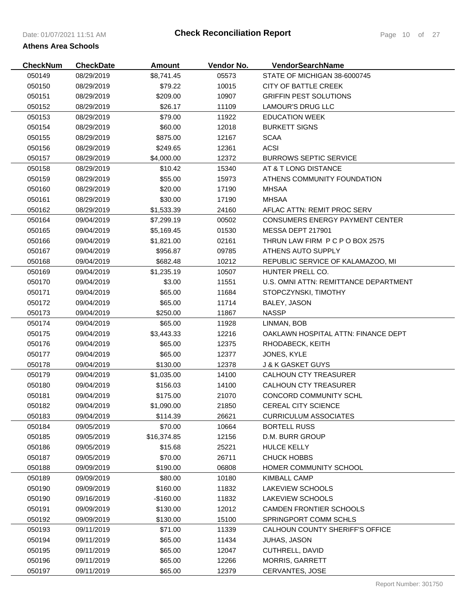| <b>CheckNum</b> | <b>CheckDate</b> | Amount      | Vendor No. | <b>VendorSearchName</b>                |
|-----------------|------------------|-------------|------------|----------------------------------------|
| 050149          | 08/29/2019       | \$8,741.45  | 05573      | STATE OF MICHIGAN 38-6000745           |
| 050150          | 08/29/2019       | \$79.22     | 10015      | <b>CITY OF BATTLE CREEK</b>            |
| 050151          | 08/29/2019       | \$209.00    | 10907      | <b>GRIFFIN PEST SOLUTIONS</b>          |
| 050152          | 08/29/2019       | \$26.17     | 11109      | <b>LAMOUR'S DRUG LLC</b>               |
| 050153          | 08/29/2019       | \$79.00     | 11922      | <b>EDUCATION WEEK</b>                  |
| 050154          | 08/29/2019       | \$60.00     | 12018      | <b>BURKETT SIGNS</b>                   |
| 050155          | 08/29/2019       | \$875.00    | 12167      | <b>SCAA</b>                            |
| 050156          | 08/29/2019       | \$249.65    | 12361      | <b>ACSI</b>                            |
| 050157          | 08/29/2019       | \$4,000.00  | 12372      | <b>BURROWS SEPTIC SERVICE</b>          |
| 050158          | 08/29/2019       | \$10.42     | 15340      | AT & T LONG DISTANCE                   |
| 050159          | 08/29/2019       | \$55.00     | 15973      | ATHENS COMMUNITY FOUNDATION            |
| 050160          | 08/29/2019       | \$20.00     | 17190      | <b>MHSAA</b>                           |
| 050161          | 08/29/2019       | \$30.00     | 17190      | <b>MHSAA</b>                           |
| 050162          | 08/29/2019       | \$1,533.39  | 24160      | AFLAC ATTN: REMIT PROC SERV            |
| 050164          | 09/04/2019       | \$7,299.19  | 00502      | <b>CONSUMERS ENERGY PAYMENT CENTER</b> |
| 050165          | 09/04/2019       | \$5,169.45  | 01530      | MESSA DEPT 217901                      |
| 050166          | 09/04/2019       | \$1,821.00  | 02161      | THRUN LAW FIRM P C P O BOX 2575        |
| 050167          | 09/04/2019       | \$956.87    | 09785      | ATHENS AUTO SUPPLY                     |
| 050168          | 09/04/2019       | \$682.48    | 10212      | REPUBLIC SERVICE OF KALAMAZOO, MI      |
| 050169          | 09/04/2019       | \$1,235.19  | 10507      | HUNTER PRELL CO.                       |
| 050170          | 09/04/2019       | \$3.00      | 11551      | U.S. OMNI ATTN: REMITTANCE DEPARTMENT  |
| 050171          | 09/04/2019       | \$65.00     | 11684      | STOPCZYNSKI, TIMOTHY                   |
| 050172          | 09/04/2019       | \$65.00     | 11714      | BALEY, JASON                           |
| 050173          | 09/04/2019       | \$250.00    | 11867      | <b>NASSP</b>                           |
| 050174          | 09/04/2019       | \$65.00     | 11928      | LINMAN, BOB                            |
| 050175          | 09/04/2019       | \$3,443.33  | 12216      | OAKLAWN HOSPITAL ATTN: FINANCE DEPT    |
| 050176          | 09/04/2019       | \$65.00     | 12375      | RHODABECK, KEITH                       |
| 050177          | 09/04/2019       | \$65.00     | 12377      | JONES, KYLE                            |
| 050178          | 09/04/2019       | \$130.00    | 12378      | <b>J &amp; K GASKET GUYS</b>           |
| 050179          | 09/04/2019       | \$1,035.00  | 14100      | CALHOUN CTY TREASURER                  |
| 050180          | 09/04/2019       | \$156.03    | 14100      | <b>CALHOUN CTY TREASURER</b>           |
| 050181          | 09/04/2019       | \$175.00    | 21070      | CONCORD COMMUNITY SCHL                 |
| 050182          | 09/04/2019       | \$1,090.00  | 21850      | <b>CEREAL CITY SCIENCE</b>             |
| 050183          | 09/04/2019       | \$114.39    | 26621      | <b>CURRICULUM ASSOCIATES</b>           |
| 050184          | 09/05/2019       | \$70.00     | 10664      | <b>BORTELL RUSS</b>                    |
| 050185          | 09/05/2019       | \$16,374.85 | 12156      | D.M. BURR GROUP                        |
| 050186          | 09/05/2019       | \$15.68     | 25221      | <b>HULCE KELLY</b>                     |
| 050187          | 09/05/2019       | \$70.00     | 26711      | <b>CHUCK HOBBS</b>                     |
| 050188          | 09/09/2019       | \$190.00    | 06808      | HOMER COMMUNITY SCHOOL                 |
| 050189          | 09/09/2019       | \$80.00     | 10180      | <b>KIMBALL CAMP</b>                    |
| 050190          | 09/09/2019       | \$160.00    | 11832      | LAKEVIEW SCHOOLS                       |
| 050190          | 09/16/2019       | $-$160.00$  | 11832      | LAKEVIEW SCHOOLS                       |
| 050191          | 09/09/2019       | \$130.00    | 12012      | CAMDEN FRONTIER SCHOOLS                |
| 050192          | 09/09/2019       | \$130.00    | 15100      | SPRINGPORT COMM SCHLS                  |
| 050193          | 09/11/2019       | \$71.00     | 11339      | CALHOUN COUNTY SHERIFF'S OFFICE        |
| 050194          | 09/11/2019       | \$65.00     | 11434      | <b>JUHAS, JASON</b>                    |
| 050195          | 09/11/2019       | \$65.00     | 12047      | CUTHRELL, DAVID                        |
| 050196          | 09/11/2019       | \$65.00     | 12266      | <b>MORRIS, GARRETT</b>                 |
| 050197          | 09/11/2019       | \$65.00     | 12379      | CERVANTES, JOSE                        |
|                 |                  |             |            |                                        |

Report Number: 301750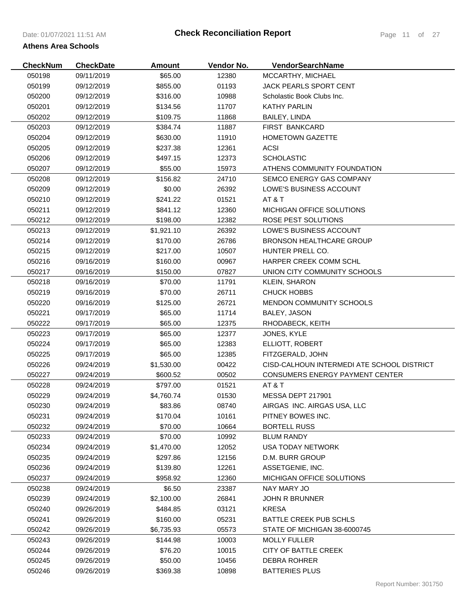| <b>CheckNum</b> | <b>CheckDate</b> | <b>Amount</b> | Vendor No. | VendorSearchName                           |
|-----------------|------------------|---------------|------------|--------------------------------------------|
| 050198          | 09/11/2019       | \$65.00       | 12380      | MCCARTHY, MICHAEL                          |
| 050199          | 09/12/2019       | \$855.00      | 01193      | JACK PEARLS SPORT CENT                     |
| 050200          | 09/12/2019       | \$316.00      | 10988      | Scholastic Book Clubs Inc.                 |
| 050201          | 09/12/2019       | \$134.56      | 11707      | <b>KATHY PARLIN</b>                        |
| 050202          | 09/12/2019       | \$109.75      | 11868      | BAILEY, LINDA                              |
| 050203          | 09/12/2019       | \$384.74      | 11887      | FIRST BANKCARD                             |
| 050204          | 09/12/2019       | \$630.00      | 11910      | <b>HOMETOWN GAZETTE</b>                    |
| 050205          | 09/12/2019       | \$237.38      | 12361      | <b>ACSI</b>                                |
| 050206          | 09/12/2019       | \$497.15      | 12373      | <b>SCHOLASTIC</b>                          |
| 050207          | 09/12/2019       | \$55.00       | 15973      | ATHENS COMMUNITY FOUNDATION                |
| 050208          | 09/12/2019       | \$156.82      | 24710      | SEMCO ENERGY GAS COMPANY                   |
| 050209          | 09/12/2019       | \$0.00        | 26392      | LOWE'S BUSINESS ACCOUNT                    |
| 050210          | 09/12/2019       | \$241.22      | 01521      | AT & T                                     |
| 050211          | 09/12/2019       | \$841.12      | 12360      | MICHIGAN OFFICE SOLUTIONS                  |
| 050212          | 09/12/2019       | \$198.00      | 12382      | ROSE PEST SOLUTIONS                        |
| 050213          | 09/12/2019       | \$1,921.10    | 26392      | LOWE'S BUSINESS ACCOUNT                    |
| 050214          | 09/12/2019       | \$170.00      | 26786      | <b>BRONSON HEALTHCARE GROUP</b>            |
| 050215          | 09/12/2019       | \$217.00      | 10507      | HUNTER PRELL CO.                           |
| 050216          | 09/16/2019       | \$160.00      | 00967      | HARPER CREEK COMM SCHL                     |
| 050217          | 09/16/2019       | \$150.00      | 07827      | UNION CITY COMMUNITY SCHOOLS               |
| 050218          | 09/16/2019       | \$70.00       | 11791      | <b>KLEIN, SHARON</b>                       |
| 050219          | 09/16/2019       | \$70.00       | 26711      | CHUCK HOBBS                                |
| 050220          | 09/16/2019       | \$125.00      | 26721      | <b>MENDON COMMUNITY SCHOOLS</b>            |
| 050221          | 09/17/2019       | \$65.00       | 11714      | BALEY, JASON                               |
| 050222          | 09/17/2019       | \$65.00       | 12375      | RHODABECK, KEITH                           |
| 050223          | 09/17/2019       | \$65.00       | 12377      | JONES, KYLE                                |
| 050224          | 09/17/2019       | \$65.00       | 12383      | ELLIOTT, ROBERT                            |
| 050225          | 09/17/2019       | \$65.00       | 12385      | FITZGERALD, JOHN                           |
| 050226          | 09/24/2019       | \$1,530.00    | 00422      | CISD-CALHOUN INTERMEDI ATE SCHOOL DISTRICT |
| 050227          | 09/24/2019       | \$600.52      | 00502      | CONSUMERS ENERGY PAYMENT CENTER            |
| 050228          | 09/24/2019       | \$797.00      | 01521      | AT & T                                     |
| 050229          | 09/24/2019       | \$4,760.74    | 01530      | MESSA DEPT 217901                          |
| 050230          | 09/24/2019       | \$83.86       | 08740      | AIRGAS INC. AIRGAS USA, LLC                |
| 050231          | 09/24/2019       | \$170.04      | 10161      | PITNEY BOWES INC.                          |
| 050232          | 09/24/2019       | \$70.00       | 10664      | <b>BORTELL RUSS</b>                        |
| 050233          | 09/24/2019       | \$70.00       | 10992      | <b>BLUM RANDY</b>                          |
| 050234          | 09/24/2019       | \$1,470.00    | 12052      | <b>USA TODAY NETWORK</b>                   |
| 050235          | 09/24/2019       | \$297.86      | 12156      | D.M. BURR GROUP                            |
| 050236          | 09/24/2019       | \$139.80      | 12261      | ASSETGENIE, INC.                           |
| 050237          | 09/24/2019       | \$958.92      | 12360      | <b>MICHIGAN OFFICE SOLUTIONS</b>           |
| 050238          | 09/24/2019       | \$6.50        | 23387      | NAY MARY JO                                |
| 050239          | 09/24/2019       | \$2,100.00    | 26841      | <b>JOHN R BRUNNER</b>                      |
| 050240          | 09/26/2019       | \$484.85      | 03121      | <b>KRESA</b>                               |
| 050241          | 09/26/2019       | \$160.00      | 05231      | BATTLE CREEK PUB SCHLS                     |
| 050242          | 09/26/2019       | \$6,735.93    | 05573      | STATE OF MICHIGAN 38-6000745               |
| 050243          | 09/26/2019       | \$144.98      | 10003      | <b>MOLLY FULLER</b>                        |
| 050244          | 09/26/2019       | \$76.20       | 10015      | CITY OF BATTLE CREEK                       |
| 050245          | 09/26/2019       | \$50.00       | 10456      | <b>DEBRA ROHRER</b>                        |
| 050246          | 09/26/2019       | \$369.38      | 10898      | <b>BATTERIES PLUS</b>                      |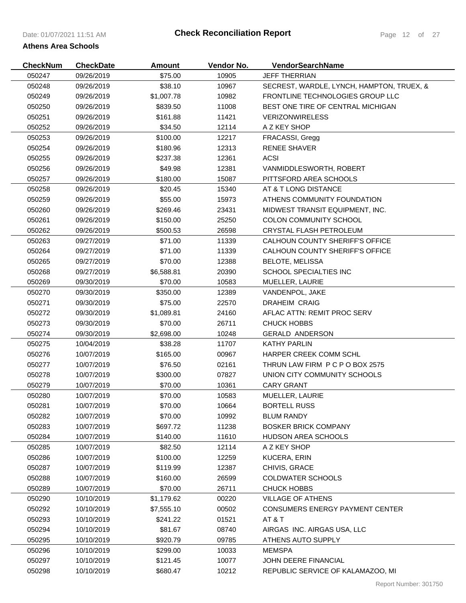# Date: 01/07/2021 11:51 AM **Athens Area Schools**

| <b>CheckNum</b> | <b>CheckDate</b> | <b>Amount</b> | Vendor No. | <b>VendorSearchName</b>                   |
|-----------------|------------------|---------------|------------|-------------------------------------------|
| 050247          | 09/26/2019       | \$75.00       | 10905      | <b>JEFF THERRIAN</b>                      |
| 050248          | 09/26/2019       | \$38.10       | 10967      | SECREST, WARDLE, LYNCH, HAMPTON, TRUEX, & |
| 050249          | 09/26/2019       | \$1,007.78    | 10982      | FRONTLINE TECHNOLOGIES GROUP LLC          |
| 050250          | 09/26/2019       | \$839.50      | 11008      | BEST ONE TIRE OF CENTRAL MICHIGAN         |
| 050251          | 09/26/2019       | \$161.88      | 11421      | <b>VERIZONWIRELESS</b>                    |
| 050252          | 09/26/2019       | \$34.50       | 12114      | A Z KEY SHOP                              |
| 050253          | 09/26/2019       | \$100.00      | 12217      | FRACASSI, Gregg                           |
| 050254          | 09/26/2019       | \$180.96      | 12313      | <b>RENEE SHAVER</b>                       |
| 050255          | 09/26/2019       | \$237.38      | 12361      | <b>ACSI</b>                               |
| 050256          | 09/26/2019       | \$49.98       | 12381      | VANMIDDLESWORTH, ROBERT                   |
| 050257          | 09/26/2019       | \$180.00      | 15087      | PITTSFORD AREA SCHOOLS                    |
| 050258          | 09/26/2019       | \$20.45       | 15340      | AT & T LONG DISTANCE                      |
| 050259          | 09/26/2019       | \$55.00       | 15973      | ATHENS COMMUNITY FOUNDATION               |
| 050260          | 09/26/2019       | \$269.46      | 23431      | MIDWEST TRANSIT EQUIPMENT, INC.           |
| 050261          | 09/26/2019       | \$150.00      | 25250      | COLON COMMUNITY SCHOOL                    |
| 050262          | 09/26/2019       | \$500.53      | 26598      | CRYSTAL FLASH PETROLEUM                   |
| 050263          | 09/27/2019       | \$71.00       | 11339      | CALHOUN COUNTY SHERIFF'S OFFICE           |
| 050264          | 09/27/2019       | \$71.00       | 11339      | CALHOUN COUNTY SHERIFF'S OFFICE           |
| 050265          | 09/27/2019       | \$70.00       | 12388      | <b>BELOTE, MELISSA</b>                    |
| 050268          | 09/27/2019       | \$6,588.81    | 20390      | <b>SCHOOL SPECIALTIES INC</b>             |
| 050269          | 09/30/2019       | \$70.00       | 10583      | MUELLER, LAURIE                           |
| 050270          | 09/30/2019       | \$350.00      | 12389      | VANDENPOL, JAKE                           |
| 050271          | 09/30/2019       | \$75.00       | 22570      | <b>DRAHEIM CRAIG</b>                      |
| 050272          | 09/30/2019       | \$1,089.81    | 24160      | AFLAC ATTN: REMIT PROC SERV               |
| 050273          | 09/30/2019       | \$70.00       | 26711      | <b>CHUCK HOBBS</b>                        |
| 050274          | 09/30/2019       | \$2,698.00    | 10248      | <b>GERALD ANDERSON</b>                    |
| 050275          | 10/04/2019       | \$38.28       | 11707      | <b>KATHY PARLIN</b>                       |
| 050276          | 10/07/2019       | \$165.00      | 00967      | HARPER CREEK COMM SCHL                    |
| 050277          | 10/07/2019       | \$76.50       | 02161      | THRUN LAW FIRM P C P O BOX 2575           |
| 050278          | 10/07/2019       | \$300.00      | 07827      | UNION CITY COMMUNITY SCHOOLS              |
| 050279          | 10/07/2019       | \$70.00       | 10361      | <b>CARY GRANT</b>                         |
| 050280          | 10/07/2019       | \$70.00       | 10583      | MUELLER, LAURIE                           |
| 050281          | 10/07/2019       | \$70.00       | 10664      | <b>BORTELL RUSS</b>                       |
| 050282          | 10/07/2019       | \$70.00       | 10992      | <b>BLUM RANDY</b>                         |
| 050283          | 10/07/2019       | \$697.72      | 11238      | <b>BOSKER BRICK COMPANY</b>               |
| 050284          | 10/07/2019       | \$140.00      | 11610      | <b>HUDSON AREA SCHOOLS</b>                |
| 050285          | 10/07/2019       | \$82.50       | 12114      | A Z KEY SHOP                              |
| 050286          | 10/07/2019       | \$100.00      | 12259      | KUCERA, ERIN                              |
| 050287          | 10/07/2019       | \$119.99      | 12387      | CHIVIS, GRACE                             |
| 050288          | 10/07/2019       | \$160.00      | 26599      | <b>COLDWATER SCHOOLS</b>                  |
| 050289          | 10/07/2019       | \$70.00       | 26711      | <b>CHUCK HOBBS</b>                        |
| 050290          | 10/10/2019       | \$1,179.62    | 00220      | <b>VILLAGE OF ATHENS</b>                  |
| 050292          | 10/10/2019       | \$7,555.10    | 00502      | CONSUMERS ENERGY PAYMENT CENTER           |
| 050293          | 10/10/2019       | \$241.22      | 01521      | AT&T                                      |
| 050294          | 10/10/2019       | \$81.67       | 08740      | AIRGAS INC. AIRGAS USA, LLC               |
| 050295          | 10/10/2019       | \$920.79      | 09785      | ATHENS AUTO SUPPLY                        |
| 050296          | 10/10/2019       | \$299.00      | 10033      | <b>MEMSPA</b>                             |
| 050297          | 10/10/2019       | \$121.45      | 10077      | JOHN DEERE FINANCIAL                      |
| 050298          | 10/10/2019       | \$680.47      | 10212      | REPUBLIC SERVICE OF KALAMAZOO, MI         |
|                 |                  |               |            |                                           |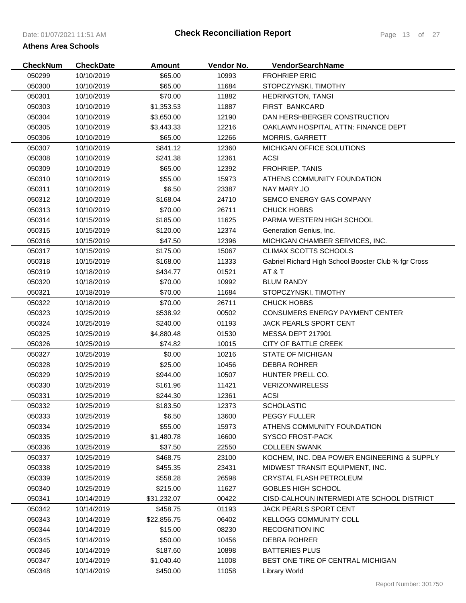| 050299<br>10/10/2019<br>\$65.00<br>10993<br><b>FROHRIEP ERIC</b><br>050300<br>10/10/2019<br>\$65.00<br>11684<br>STOPCZYNSKI, TIMOTHY<br>050301<br>10/10/2019<br>\$70.00<br>11882<br><b>HEDRINGTON, TANGI</b><br>050303<br>11887<br>10/10/2019<br>\$1,353.53<br><b>FIRST BANKCARD</b><br>050304<br>10/10/2019<br>12190<br>DAN HERSHBERGER CONSTRUCTION<br>\$3,650.00<br>050305<br>10/10/2019<br>\$3,443.33<br>12216<br>OAKLAWN HOSPITAL ATTN: FINANCE DEPT<br>050306<br>\$65.00<br>12266<br>10/10/2019<br><b>MORRIS, GARRETT</b><br>\$841.12<br>050307<br>10/10/2019<br>12360<br>MICHIGAN OFFICE SOLUTIONS<br><b>ACSI</b><br>050308<br>10/10/2019<br>\$241.38<br>12361<br><b>FROHRIEP, TANIS</b><br>050309<br>10/10/2019<br>\$65.00<br>12392<br>ATHENS COMMUNITY FOUNDATION<br>050310<br>10/10/2019<br>\$55.00<br>15973<br>050311<br>\$6.50<br>10/10/2019<br>23387<br>NAY MARY JO<br>050312<br>\$168.04<br>24710<br>SEMCO ENERGY GAS COMPANY<br>10/10/2019<br>050313<br>10/10/2019<br>\$70.00<br>26711<br><b>CHUCK HOBBS</b><br>11625<br>PARMA WESTERN HIGH SCHOOL<br>050314<br>10/15/2019<br>\$185.00<br>050315<br>10/15/2019<br>\$120.00<br>12374<br>Generation Genius, Inc.<br>12396<br>050316<br>10/15/2019<br>\$47.50<br>MICHIGAN CHAMBER SERVICES, INC.<br>15067<br><b>CLIMAX SCOTTS SCHOOLS</b><br>050317<br>10/15/2019<br>\$175.00<br>Gabriel Richard High School Booster Club % fgr Cross<br>050318<br>10/15/2019<br>\$168.00<br>11333<br>AT&T<br>050319<br>10/18/2019<br>\$434.77<br>01521<br>050320<br>10/18/2019<br>\$70.00<br>10992<br><b>BLUM RANDY</b><br>050321<br>10/18/2019<br>\$70.00<br>11684<br>STOPCZYNSKI, TIMOTHY<br>050322<br>10/18/2019<br>\$70.00<br>26711<br><b>CHUCK HOBBS</b><br>050323<br>10/25/2019<br>\$538.92<br>00502<br><b>CONSUMERS ENERGY PAYMENT CENTER</b><br>050324<br>10/25/2019<br>\$240.00<br>01193<br><b>JACK PEARLS SPORT CENT</b><br>MESSA DEPT 217901<br>050325<br>10/25/2019<br>\$4,880.48<br>01530<br><b>CITY OF BATTLE CREEK</b><br>050326<br>10/25/2019<br>\$74.82<br>10015<br>\$0.00<br>10216<br><b>STATE OF MICHIGAN</b><br>050327<br>10/25/2019<br>\$25.00<br>050328<br>10/25/2019<br>10456<br><b>DEBRA ROHRER</b><br>050329<br>10/25/2019<br>\$944.00<br>10507<br>HUNTER PRELL CO.<br><b>VERIZONWIRELESS</b><br>050330<br>10/25/2019<br>\$161.96<br>11421<br>10/25/2019<br>12361<br><b>ACSI</b><br>050331<br>\$244.30<br>050332<br>10/25/2019<br>\$183.50<br>12373<br><b>SCHOLASTIC</b><br>050333<br>\$6.50<br>13600<br>10/25/2019<br><b>PEGGY FULLER</b><br>\$55.00<br>050334<br>10/25/2019<br>15973<br>ATHENS COMMUNITY FOUNDATION<br>\$1,480.78<br>16600<br><b>SYSCO FROST-PACK</b><br>050335<br>10/25/2019<br><b>COLLEEN SWANK</b><br>050336<br>10/25/2019<br>\$37.50<br>22550<br>KOCHEM, INC. DBA POWER ENGINEERING & SUPPLY<br>050337<br>10/25/2019<br>\$468.75<br>23100<br>050338<br>10/25/2019<br>\$455.35<br>23431<br>MIDWEST TRANSIT EQUIPMENT, INC.<br>050339<br>10/25/2019<br>\$558.28<br>26598<br>CRYSTAL FLASH PETROLEUM<br>050340<br>10/25/2019<br>\$215.00<br>11627<br><b>GOBLES HIGH SCHOOL</b><br>CISD-CALHOUN INTERMEDI ATE SCHOOL DISTRICT<br>050341<br>10/14/2019<br>\$31,232.07<br>00422<br>050342<br>10/14/2019<br>\$458.75<br>01193<br><b>JACK PEARLS SPORT CENT</b><br>050343<br>10/14/2019<br>\$22,856.75<br>06402<br><b>KELLOGG COMMUNITY COLL</b><br><b>RECOGNITION INC</b><br>050344<br>10/14/2019<br>\$15.00<br>08230<br>050345<br>10/14/2019<br>\$50.00<br>10456<br><b>DEBRA ROHRER</b><br>050346<br>10/14/2019<br>\$187.60<br>10898<br><b>BATTERIES PLUS</b><br>11008<br>BEST ONE TIRE OF CENTRAL MICHIGAN<br>050347<br>10/14/2019<br>\$1,040.40<br>11058<br>050348<br>10/14/2019<br>\$450.00 | <b>CheckNum</b> | <b>CheckDate</b> | <b>Amount</b> | Vendor No. | VendorSearchName     |
|--------------------------------------------------------------------------------------------------------------------------------------------------------------------------------------------------------------------------------------------------------------------------------------------------------------------------------------------------------------------------------------------------------------------------------------------------------------------------------------------------------------------------------------------------------------------------------------------------------------------------------------------------------------------------------------------------------------------------------------------------------------------------------------------------------------------------------------------------------------------------------------------------------------------------------------------------------------------------------------------------------------------------------------------------------------------------------------------------------------------------------------------------------------------------------------------------------------------------------------------------------------------------------------------------------------------------------------------------------------------------------------------------------------------------------------------------------------------------------------------------------------------------------------------------------------------------------------------------------------------------------------------------------------------------------------------------------------------------------------------------------------------------------------------------------------------------------------------------------------------------------------------------------------------------------------------------------------------------------------------------------------------------------------------------------------------------------------------------------------------------------------------------------------------------------------------------------------------------------------------------------------------------------------------------------------------------------------------------------------------------------------------------------------------------------------------------------------------------------------------------------------------------------------------------------------------------------------------------------------------------------------------------------------------------------------------------------------------------------------------------------------------------------------------------------------------------------------------------------------------------------------------------------------------------------------------------------------------------------------------------------------------------------------------------------------------------------------------------------------------------------------------------------------------------------------------------------------------------------------------------------------------------------------------------------------------------------------------------------------------------------------------------------------------------------------------------------------------------------------------------------------------------------------------------------------------------------------------------------------------------------------------------------------------------------------|-----------------|------------------|---------------|------------|----------------------|
|                                                                                                                                                                                                                                                                                                                                                                                                                                                                                                                                                                                                                                                                                                                                                                                                                                                                                                                                                                                                                                                                                                                                                                                                                                                                                                                                                                                                                                                                                                                                                                                                                                                                                                                                                                                                                                                                                                                                                                                                                                                                                                                                                                                                                                                                                                                                                                                                                                                                                                                                                                                                                                                                                                                                                                                                                                                                                                                                                                                                                                                                                                                                                                                                                                                                                                                                                                                                                                                                                                                                                                                                                                                                                      |                 |                  |               |            |                      |
|                                                                                                                                                                                                                                                                                                                                                                                                                                                                                                                                                                                                                                                                                                                                                                                                                                                                                                                                                                                                                                                                                                                                                                                                                                                                                                                                                                                                                                                                                                                                                                                                                                                                                                                                                                                                                                                                                                                                                                                                                                                                                                                                                                                                                                                                                                                                                                                                                                                                                                                                                                                                                                                                                                                                                                                                                                                                                                                                                                                                                                                                                                                                                                                                                                                                                                                                                                                                                                                                                                                                                                                                                                                                                      |                 |                  |               |            |                      |
|                                                                                                                                                                                                                                                                                                                                                                                                                                                                                                                                                                                                                                                                                                                                                                                                                                                                                                                                                                                                                                                                                                                                                                                                                                                                                                                                                                                                                                                                                                                                                                                                                                                                                                                                                                                                                                                                                                                                                                                                                                                                                                                                                                                                                                                                                                                                                                                                                                                                                                                                                                                                                                                                                                                                                                                                                                                                                                                                                                                                                                                                                                                                                                                                                                                                                                                                                                                                                                                                                                                                                                                                                                                                                      |                 |                  |               |            |                      |
|                                                                                                                                                                                                                                                                                                                                                                                                                                                                                                                                                                                                                                                                                                                                                                                                                                                                                                                                                                                                                                                                                                                                                                                                                                                                                                                                                                                                                                                                                                                                                                                                                                                                                                                                                                                                                                                                                                                                                                                                                                                                                                                                                                                                                                                                                                                                                                                                                                                                                                                                                                                                                                                                                                                                                                                                                                                                                                                                                                                                                                                                                                                                                                                                                                                                                                                                                                                                                                                                                                                                                                                                                                                                                      |                 |                  |               |            |                      |
|                                                                                                                                                                                                                                                                                                                                                                                                                                                                                                                                                                                                                                                                                                                                                                                                                                                                                                                                                                                                                                                                                                                                                                                                                                                                                                                                                                                                                                                                                                                                                                                                                                                                                                                                                                                                                                                                                                                                                                                                                                                                                                                                                                                                                                                                                                                                                                                                                                                                                                                                                                                                                                                                                                                                                                                                                                                                                                                                                                                                                                                                                                                                                                                                                                                                                                                                                                                                                                                                                                                                                                                                                                                                                      |                 |                  |               |            |                      |
|                                                                                                                                                                                                                                                                                                                                                                                                                                                                                                                                                                                                                                                                                                                                                                                                                                                                                                                                                                                                                                                                                                                                                                                                                                                                                                                                                                                                                                                                                                                                                                                                                                                                                                                                                                                                                                                                                                                                                                                                                                                                                                                                                                                                                                                                                                                                                                                                                                                                                                                                                                                                                                                                                                                                                                                                                                                                                                                                                                                                                                                                                                                                                                                                                                                                                                                                                                                                                                                                                                                                                                                                                                                                                      |                 |                  |               |            |                      |
|                                                                                                                                                                                                                                                                                                                                                                                                                                                                                                                                                                                                                                                                                                                                                                                                                                                                                                                                                                                                                                                                                                                                                                                                                                                                                                                                                                                                                                                                                                                                                                                                                                                                                                                                                                                                                                                                                                                                                                                                                                                                                                                                                                                                                                                                                                                                                                                                                                                                                                                                                                                                                                                                                                                                                                                                                                                                                                                                                                                                                                                                                                                                                                                                                                                                                                                                                                                                                                                                                                                                                                                                                                                                                      |                 |                  |               |            |                      |
|                                                                                                                                                                                                                                                                                                                                                                                                                                                                                                                                                                                                                                                                                                                                                                                                                                                                                                                                                                                                                                                                                                                                                                                                                                                                                                                                                                                                                                                                                                                                                                                                                                                                                                                                                                                                                                                                                                                                                                                                                                                                                                                                                                                                                                                                                                                                                                                                                                                                                                                                                                                                                                                                                                                                                                                                                                                                                                                                                                                                                                                                                                                                                                                                                                                                                                                                                                                                                                                                                                                                                                                                                                                                                      |                 |                  |               |            |                      |
|                                                                                                                                                                                                                                                                                                                                                                                                                                                                                                                                                                                                                                                                                                                                                                                                                                                                                                                                                                                                                                                                                                                                                                                                                                                                                                                                                                                                                                                                                                                                                                                                                                                                                                                                                                                                                                                                                                                                                                                                                                                                                                                                                                                                                                                                                                                                                                                                                                                                                                                                                                                                                                                                                                                                                                                                                                                                                                                                                                                                                                                                                                                                                                                                                                                                                                                                                                                                                                                                                                                                                                                                                                                                                      |                 |                  |               |            |                      |
|                                                                                                                                                                                                                                                                                                                                                                                                                                                                                                                                                                                                                                                                                                                                                                                                                                                                                                                                                                                                                                                                                                                                                                                                                                                                                                                                                                                                                                                                                                                                                                                                                                                                                                                                                                                                                                                                                                                                                                                                                                                                                                                                                                                                                                                                                                                                                                                                                                                                                                                                                                                                                                                                                                                                                                                                                                                                                                                                                                                                                                                                                                                                                                                                                                                                                                                                                                                                                                                                                                                                                                                                                                                                                      |                 |                  |               |            |                      |
|                                                                                                                                                                                                                                                                                                                                                                                                                                                                                                                                                                                                                                                                                                                                                                                                                                                                                                                                                                                                                                                                                                                                                                                                                                                                                                                                                                                                                                                                                                                                                                                                                                                                                                                                                                                                                                                                                                                                                                                                                                                                                                                                                                                                                                                                                                                                                                                                                                                                                                                                                                                                                                                                                                                                                                                                                                                                                                                                                                                                                                                                                                                                                                                                                                                                                                                                                                                                                                                                                                                                                                                                                                                                                      |                 |                  |               |            |                      |
|                                                                                                                                                                                                                                                                                                                                                                                                                                                                                                                                                                                                                                                                                                                                                                                                                                                                                                                                                                                                                                                                                                                                                                                                                                                                                                                                                                                                                                                                                                                                                                                                                                                                                                                                                                                                                                                                                                                                                                                                                                                                                                                                                                                                                                                                                                                                                                                                                                                                                                                                                                                                                                                                                                                                                                                                                                                                                                                                                                                                                                                                                                                                                                                                                                                                                                                                                                                                                                                                                                                                                                                                                                                                                      |                 |                  |               |            |                      |
|                                                                                                                                                                                                                                                                                                                                                                                                                                                                                                                                                                                                                                                                                                                                                                                                                                                                                                                                                                                                                                                                                                                                                                                                                                                                                                                                                                                                                                                                                                                                                                                                                                                                                                                                                                                                                                                                                                                                                                                                                                                                                                                                                                                                                                                                                                                                                                                                                                                                                                                                                                                                                                                                                                                                                                                                                                                                                                                                                                                                                                                                                                                                                                                                                                                                                                                                                                                                                                                                                                                                                                                                                                                                                      |                 |                  |               |            |                      |
|                                                                                                                                                                                                                                                                                                                                                                                                                                                                                                                                                                                                                                                                                                                                                                                                                                                                                                                                                                                                                                                                                                                                                                                                                                                                                                                                                                                                                                                                                                                                                                                                                                                                                                                                                                                                                                                                                                                                                                                                                                                                                                                                                                                                                                                                                                                                                                                                                                                                                                                                                                                                                                                                                                                                                                                                                                                                                                                                                                                                                                                                                                                                                                                                                                                                                                                                                                                                                                                                                                                                                                                                                                                                                      |                 |                  |               |            |                      |
|                                                                                                                                                                                                                                                                                                                                                                                                                                                                                                                                                                                                                                                                                                                                                                                                                                                                                                                                                                                                                                                                                                                                                                                                                                                                                                                                                                                                                                                                                                                                                                                                                                                                                                                                                                                                                                                                                                                                                                                                                                                                                                                                                                                                                                                                                                                                                                                                                                                                                                                                                                                                                                                                                                                                                                                                                                                                                                                                                                                                                                                                                                                                                                                                                                                                                                                                                                                                                                                                                                                                                                                                                                                                                      |                 |                  |               |            |                      |
|                                                                                                                                                                                                                                                                                                                                                                                                                                                                                                                                                                                                                                                                                                                                                                                                                                                                                                                                                                                                                                                                                                                                                                                                                                                                                                                                                                                                                                                                                                                                                                                                                                                                                                                                                                                                                                                                                                                                                                                                                                                                                                                                                                                                                                                                                                                                                                                                                                                                                                                                                                                                                                                                                                                                                                                                                                                                                                                                                                                                                                                                                                                                                                                                                                                                                                                                                                                                                                                                                                                                                                                                                                                                                      |                 |                  |               |            |                      |
|                                                                                                                                                                                                                                                                                                                                                                                                                                                                                                                                                                                                                                                                                                                                                                                                                                                                                                                                                                                                                                                                                                                                                                                                                                                                                                                                                                                                                                                                                                                                                                                                                                                                                                                                                                                                                                                                                                                                                                                                                                                                                                                                                                                                                                                                                                                                                                                                                                                                                                                                                                                                                                                                                                                                                                                                                                                                                                                                                                                                                                                                                                                                                                                                                                                                                                                                                                                                                                                                                                                                                                                                                                                                                      |                 |                  |               |            |                      |
|                                                                                                                                                                                                                                                                                                                                                                                                                                                                                                                                                                                                                                                                                                                                                                                                                                                                                                                                                                                                                                                                                                                                                                                                                                                                                                                                                                                                                                                                                                                                                                                                                                                                                                                                                                                                                                                                                                                                                                                                                                                                                                                                                                                                                                                                                                                                                                                                                                                                                                                                                                                                                                                                                                                                                                                                                                                                                                                                                                                                                                                                                                                                                                                                                                                                                                                                                                                                                                                                                                                                                                                                                                                                                      |                 |                  |               |            |                      |
|                                                                                                                                                                                                                                                                                                                                                                                                                                                                                                                                                                                                                                                                                                                                                                                                                                                                                                                                                                                                                                                                                                                                                                                                                                                                                                                                                                                                                                                                                                                                                                                                                                                                                                                                                                                                                                                                                                                                                                                                                                                                                                                                                                                                                                                                                                                                                                                                                                                                                                                                                                                                                                                                                                                                                                                                                                                                                                                                                                                                                                                                                                                                                                                                                                                                                                                                                                                                                                                                                                                                                                                                                                                                                      |                 |                  |               |            |                      |
|                                                                                                                                                                                                                                                                                                                                                                                                                                                                                                                                                                                                                                                                                                                                                                                                                                                                                                                                                                                                                                                                                                                                                                                                                                                                                                                                                                                                                                                                                                                                                                                                                                                                                                                                                                                                                                                                                                                                                                                                                                                                                                                                                                                                                                                                                                                                                                                                                                                                                                                                                                                                                                                                                                                                                                                                                                                                                                                                                                                                                                                                                                                                                                                                                                                                                                                                                                                                                                                                                                                                                                                                                                                                                      |                 |                  |               |            |                      |
|                                                                                                                                                                                                                                                                                                                                                                                                                                                                                                                                                                                                                                                                                                                                                                                                                                                                                                                                                                                                                                                                                                                                                                                                                                                                                                                                                                                                                                                                                                                                                                                                                                                                                                                                                                                                                                                                                                                                                                                                                                                                                                                                                                                                                                                                                                                                                                                                                                                                                                                                                                                                                                                                                                                                                                                                                                                                                                                                                                                                                                                                                                                                                                                                                                                                                                                                                                                                                                                                                                                                                                                                                                                                                      |                 |                  |               |            |                      |
|                                                                                                                                                                                                                                                                                                                                                                                                                                                                                                                                                                                                                                                                                                                                                                                                                                                                                                                                                                                                                                                                                                                                                                                                                                                                                                                                                                                                                                                                                                                                                                                                                                                                                                                                                                                                                                                                                                                                                                                                                                                                                                                                                                                                                                                                                                                                                                                                                                                                                                                                                                                                                                                                                                                                                                                                                                                                                                                                                                                                                                                                                                                                                                                                                                                                                                                                                                                                                                                                                                                                                                                                                                                                                      |                 |                  |               |            |                      |
|                                                                                                                                                                                                                                                                                                                                                                                                                                                                                                                                                                                                                                                                                                                                                                                                                                                                                                                                                                                                                                                                                                                                                                                                                                                                                                                                                                                                                                                                                                                                                                                                                                                                                                                                                                                                                                                                                                                                                                                                                                                                                                                                                                                                                                                                                                                                                                                                                                                                                                                                                                                                                                                                                                                                                                                                                                                                                                                                                                                                                                                                                                                                                                                                                                                                                                                                                                                                                                                                                                                                                                                                                                                                                      |                 |                  |               |            |                      |
|                                                                                                                                                                                                                                                                                                                                                                                                                                                                                                                                                                                                                                                                                                                                                                                                                                                                                                                                                                                                                                                                                                                                                                                                                                                                                                                                                                                                                                                                                                                                                                                                                                                                                                                                                                                                                                                                                                                                                                                                                                                                                                                                                                                                                                                                                                                                                                                                                                                                                                                                                                                                                                                                                                                                                                                                                                                                                                                                                                                                                                                                                                                                                                                                                                                                                                                                                                                                                                                                                                                                                                                                                                                                                      |                 |                  |               |            |                      |
|                                                                                                                                                                                                                                                                                                                                                                                                                                                                                                                                                                                                                                                                                                                                                                                                                                                                                                                                                                                                                                                                                                                                                                                                                                                                                                                                                                                                                                                                                                                                                                                                                                                                                                                                                                                                                                                                                                                                                                                                                                                                                                                                                                                                                                                                                                                                                                                                                                                                                                                                                                                                                                                                                                                                                                                                                                                                                                                                                                                                                                                                                                                                                                                                                                                                                                                                                                                                                                                                                                                                                                                                                                                                                      |                 |                  |               |            |                      |
|                                                                                                                                                                                                                                                                                                                                                                                                                                                                                                                                                                                                                                                                                                                                                                                                                                                                                                                                                                                                                                                                                                                                                                                                                                                                                                                                                                                                                                                                                                                                                                                                                                                                                                                                                                                                                                                                                                                                                                                                                                                                                                                                                                                                                                                                                                                                                                                                                                                                                                                                                                                                                                                                                                                                                                                                                                                                                                                                                                                                                                                                                                                                                                                                                                                                                                                                                                                                                                                                                                                                                                                                                                                                                      |                 |                  |               |            |                      |
|                                                                                                                                                                                                                                                                                                                                                                                                                                                                                                                                                                                                                                                                                                                                                                                                                                                                                                                                                                                                                                                                                                                                                                                                                                                                                                                                                                                                                                                                                                                                                                                                                                                                                                                                                                                                                                                                                                                                                                                                                                                                                                                                                                                                                                                                                                                                                                                                                                                                                                                                                                                                                                                                                                                                                                                                                                                                                                                                                                                                                                                                                                                                                                                                                                                                                                                                                                                                                                                                                                                                                                                                                                                                                      |                 |                  |               |            |                      |
|                                                                                                                                                                                                                                                                                                                                                                                                                                                                                                                                                                                                                                                                                                                                                                                                                                                                                                                                                                                                                                                                                                                                                                                                                                                                                                                                                                                                                                                                                                                                                                                                                                                                                                                                                                                                                                                                                                                                                                                                                                                                                                                                                                                                                                                                                                                                                                                                                                                                                                                                                                                                                                                                                                                                                                                                                                                                                                                                                                                                                                                                                                                                                                                                                                                                                                                                                                                                                                                                                                                                                                                                                                                                                      |                 |                  |               |            |                      |
|                                                                                                                                                                                                                                                                                                                                                                                                                                                                                                                                                                                                                                                                                                                                                                                                                                                                                                                                                                                                                                                                                                                                                                                                                                                                                                                                                                                                                                                                                                                                                                                                                                                                                                                                                                                                                                                                                                                                                                                                                                                                                                                                                                                                                                                                                                                                                                                                                                                                                                                                                                                                                                                                                                                                                                                                                                                                                                                                                                                                                                                                                                                                                                                                                                                                                                                                                                                                                                                                                                                                                                                                                                                                                      |                 |                  |               |            |                      |
|                                                                                                                                                                                                                                                                                                                                                                                                                                                                                                                                                                                                                                                                                                                                                                                                                                                                                                                                                                                                                                                                                                                                                                                                                                                                                                                                                                                                                                                                                                                                                                                                                                                                                                                                                                                                                                                                                                                                                                                                                                                                                                                                                                                                                                                                                                                                                                                                                                                                                                                                                                                                                                                                                                                                                                                                                                                                                                                                                                                                                                                                                                                                                                                                                                                                                                                                                                                                                                                                                                                                                                                                                                                                                      |                 |                  |               |            |                      |
|                                                                                                                                                                                                                                                                                                                                                                                                                                                                                                                                                                                                                                                                                                                                                                                                                                                                                                                                                                                                                                                                                                                                                                                                                                                                                                                                                                                                                                                                                                                                                                                                                                                                                                                                                                                                                                                                                                                                                                                                                                                                                                                                                                                                                                                                                                                                                                                                                                                                                                                                                                                                                                                                                                                                                                                                                                                                                                                                                                                                                                                                                                                                                                                                                                                                                                                                                                                                                                                                                                                                                                                                                                                                                      |                 |                  |               |            |                      |
|                                                                                                                                                                                                                                                                                                                                                                                                                                                                                                                                                                                                                                                                                                                                                                                                                                                                                                                                                                                                                                                                                                                                                                                                                                                                                                                                                                                                                                                                                                                                                                                                                                                                                                                                                                                                                                                                                                                                                                                                                                                                                                                                                                                                                                                                                                                                                                                                                                                                                                                                                                                                                                                                                                                                                                                                                                                                                                                                                                                                                                                                                                                                                                                                                                                                                                                                                                                                                                                                                                                                                                                                                                                                                      |                 |                  |               |            |                      |
|                                                                                                                                                                                                                                                                                                                                                                                                                                                                                                                                                                                                                                                                                                                                                                                                                                                                                                                                                                                                                                                                                                                                                                                                                                                                                                                                                                                                                                                                                                                                                                                                                                                                                                                                                                                                                                                                                                                                                                                                                                                                                                                                                                                                                                                                                                                                                                                                                                                                                                                                                                                                                                                                                                                                                                                                                                                                                                                                                                                                                                                                                                                                                                                                                                                                                                                                                                                                                                                                                                                                                                                                                                                                                      |                 |                  |               |            |                      |
|                                                                                                                                                                                                                                                                                                                                                                                                                                                                                                                                                                                                                                                                                                                                                                                                                                                                                                                                                                                                                                                                                                                                                                                                                                                                                                                                                                                                                                                                                                                                                                                                                                                                                                                                                                                                                                                                                                                                                                                                                                                                                                                                                                                                                                                                                                                                                                                                                                                                                                                                                                                                                                                                                                                                                                                                                                                                                                                                                                                                                                                                                                                                                                                                                                                                                                                                                                                                                                                                                                                                                                                                                                                                                      |                 |                  |               |            |                      |
|                                                                                                                                                                                                                                                                                                                                                                                                                                                                                                                                                                                                                                                                                                                                                                                                                                                                                                                                                                                                                                                                                                                                                                                                                                                                                                                                                                                                                                                                                                                                                                                                                                                                                                                                                                                                                                                                                                                                                                                                                                                                                                                                                                                                                                                                                                                                                                                                                                                                                                                                                                                                                                                                                                                                                                                                                                                                                                                                                                                                                                                                                                                                                                                                                                                                                                                                                                                                                                                                                                                                                                                                                                                                                      |                 |                  |               |            |                      |
|                                                                                                                                                                                                                                                                                                                                                                                                                                                                                                                                                                                                                                                                                                                                                                                                                                                                                                                                                                                                                                                                                                                                                                                                                                                                                                                                                                                                                                                                                                                                                                                                                                                                                                                                                                                                                                                                                                                                                                                                                                                                                                                                                                                                                                                                                                                                                                                                                                                                                                                                                                                                                                                                                                                                                                                                                                                                                                                                                                                                                                                                                                                                                                                                                                                                                                                                                                                                                                                                                                                                                                                                                                                                                      |                 |                  |               |            |                      |
|                                                                                                                                                                                                                                                                                                                                                                                                                                                                                                                                                                                                                                                                                                                                                                                                                                                                                                                                                                                                                                                                                                                                                                                                                                                                                                                                                                                                                                                                                                                                                                                                                                                                                                                                                                                                                                                                                                                                                                                                                                                                                                                                                                                                                                                                                                                                                                                                                                                                                                                                                                                                                                                                                                                                                                                                                                                                                                                                                                                                                                                                                                                                                                                                                                                                                                                                                                                                                                                                                                                                                                                                                                                                                      |                 |                  |               |            |                      |
|                                                                                                                                                                                                                                                                                                                                                                                                                                                                                                                                                                                                                                                                                                                                                                                                                                                                                                                                                                                                                                                                                                                                                                                                                                                                                                                                                                                                                                                                                                                                                                                                                                                                                                                                                                                                                                                                                                                                                                                                                                                                                                                                                                                                                                                                                                                                                                                                                                                                                                                                                                                                                                                                                                                                                                                                                                                                                                                                                                                                                                                                                                                                                                                                                                                                                                                                                                                                                                                                                                                                                                                                                                                                                      |                 |                  |               |            |                      |
|                                                                                                                                                                                                                                                                                                                                                                                                                                                                                                                                                                                                                                                                                                                                                                                                                                                                                                                                                                                                                                                                                                                                                                                                                                                                                                                                                                                                                                                                                                                                                                                                                                                                                                                                                                                                                                                                                                                                                                                                                                                                                                                                                                                                                                                                                                                                                                                                                                                                                                                                                                                                                                                                                                                                                                                                                                                                                                                                                                                                                                                                                                                                                                                                                                                                                                                                                                                                                                                                                                                                                                                                                                                                                      |                 |                  |               |            |                      |
|                                                                                                                                                                                                                                                                                                                                                                                                                                                                                                                                                                                                                                                                                                                                                                                                                                                                                                                                                                                                                                                                                                                                                                                                                                                                                                                                                                                                                                                                                                                                                                                                                                                                                                                                                                                                                                                                                                                                                                                                                                                                                                                                                                                                                                                                                                                                                                                                                                                                                                                                                                                                                                                                                                                                                                                                                                                                                                                                                                                                                                                                                                                                                                                                                                                                                                                                                                                                                                                                                                                                                                                                                                                                                      |                 |                  |               |            |                      |
|                                                                                                                                                                                                                                                                                                                                                                                                                                                                                                                                                                                                                                                                                                                                                                                                                                                                                                                                                                                                                                                                                                                                                                                                                                                                                                                                                                                                                                                                                                                                                                                                                                                                                                                                                                                                                                                                                                                                                                                                                                                                                                                                                                                                                                                                                                                                                                                                                                                                                                                                                                                                                                                                                                                                                                                                                                                                                                                                                                                                                                                                                                                                                                                                                                                                                                                                                                                                                                                                                                                                                                                                                                                                                      |                 |                  |               |            |                      |
|                                                                                                                                                                                                                                                                                                                                                                                                                                                                                                                                                                                                                                                                                                                                                                                                                                                                                                                                                                                                                                                                                                                                                                                                                                                                                                                                                                                                                                                                                                                                                                                                                                                                                                                                                                                                                                                                                                                                                                                                                                                                                                                                                                                                                                                                                                                                                                                                                                                                                                                                                                                                                                                                                                                                                                                                                                                                                                                                                                                                                                                                                                                                                                                                                                                                                                                                                                                                                                                                                                                                                                                                                                                                                      |                 |                  |               |            |                      |
|                                                                                                                                                                                                                                                                                                                                                                                                                                                                                                                                                                                                                                                                                                                                                                                                                                                                                                                                                                                                                                                                                                                                                                                                                                                                                                                                                                                                                                                                                                                                                                                                                                                                                                                                                                                                                                                                                                                                                                                                                                                                                                                                                                                                                                                                                                                                                                                                                                                                                                                                                                                                                                                                                                                                                                                                                                                                                                                                                                                                                                                                                                                                                                                                                                                                                                                                                                                                                                                                                                                                                                                                                                                                                      |                 |                  |               |            |                      |
|                                                                                                                                                                                                                                                                                                                                                                                                                                                                                                                                                                                                                                                                                                                                                                                                                                                                                                                                                                                                                                                                                                                                                                                                                                                                                                                                                                                                                                                                                                                                                                                                                                                                                                                                                                                                                                                                                                                                                                                                                                                                                                                                                                                                                                                                                                                                                                                                                                                                                                                                                                                                                                                                                                                                                                                                                                                                                                                                                                                                                                                                                                                                                                                                                                                                                                                                                                                                                                                                                                                                                                                                                                                                                      |                 |                  |               |            |                      |
|                                                                                                                                                                                                                                                                                                                                                                                                                                                                                                                                                                                                                                                                                                                                                                                                                                                                                                                                                                                                                                                                                                                                                                                                                                                                                                                                                                                                                                                                                                                                                                                                                                                                                                                                                                                                                                                                                                                                                                                                                                                                                                                                                                                                                                                                                                                                                                                                                                                                                                                                                                                                                                                                                                                                                                                                                                                                                                                                                                                                                                                                                                                                                                                                                                                                                                                                                                                                                                                                                                                                                                                                                                                                                      |                 |                  |               |            |                      |
|                                                                                                                                                                                                                                                                                                                                                                                                                                                                                                                                                                                                                                                                                                                                                                                                                                                                                                                                                                                                                                                                                                                                                                                                                                                                                                                                                                                                                                                                                                                                                                                                                                                                                                                                                                                                                                                                                                                                                                                                                                                                                                                                                                                                                                                                                                                                                                                                                                                                                                                                                                                                                                                                                                                                                                                                                                                                                                                                                                                                                                                                                                                                                                                                                                                                                                                                                                                                                                                                                                                                                                                                                                                                                      |                 |                  |               |            |                      |
|                                                                                                                                                                                                                                                                                                                                                                                                                                                                                                                                                                                                                                                                                                                                                                                                                                                                                                                                                                                                                                                                                                                                                                                                                                                                                                                                                                                                                                                                                                                                                                                                                                                                                                                                                                                                                                                                                                                                                                                                                                                                                                                                                                                                                                                                                                                                                                                                                                                                                                                                                                                                                                                                                                                                                                                                                                                                                                                                                                                                                                                                                                                                                                                                                                                                                                                                                                                                                                                                                                                                                                                                                                                                                      |                 |                  |               |            |                      |
|                                                                                                                                                                                                                                                                                                                                                                                                                                                                                                                                                                                                                                                                                                                                                                                                                                                                                                                                                                                                                                                                                                                                                                                                                                                                                                                                                                                                                                                                                                                                                                                                                                                                                                                                                                                                                                                                                                                                                                                                                                                                                                                                                                                                                                                                                                                                                                                                                                                                                                                                                                                                                                                                                                                                                                                                                                                                                                                                                                                                                                                                                                                                                                                                                                                                                                                                                                                                                                                                                                                                                                                                                                                                                      |                 |                  |               |            |                      |
|                                                                                                                                                                                                                                                                                                                                                                                                                                                                                                                                                                                                                                                                                                                                                                                                                                                                                                                                                                                                                                                                                                                                                                                                                                                                                                                                                                                                                                                                                                                                                                                                                                                                                                                                                                                                                                                                                                                                                                                                                                                                                                                                                                                                                                                                                                                                                                                                                                                                                                                                                                                                                                                                                                                                                                                                                                                                                                                                                                                                                                                                                                                                                                                                                                                                                                                                                                                                                                                                                                                                                                                                                                                                                      |                 |                  |               |            | <b>Library World</b> |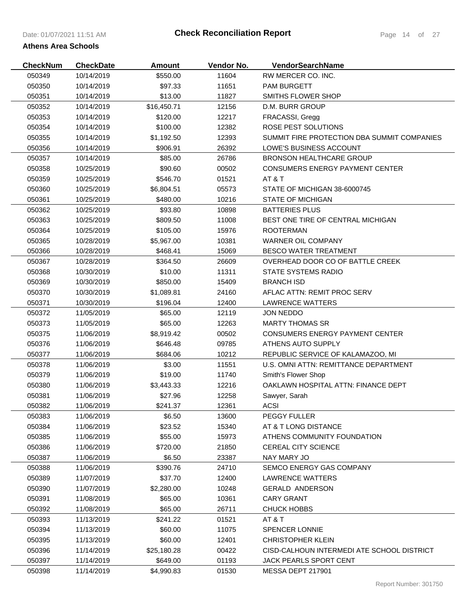| <b>CheckNum</b>  | <b>CheckDate</b> | <b>Amount</b> | Vendor No.     | <b>VendorSearchName</b>                     |
|------------------|------------------|---------------|----------------|---------------------------------------------|
| 050349           | 10/14/2019       | \$550.00      | 11604          | RW MERCER CO. INC.                          |
| 050350           | 10/14/2019       | \$97.33       | 11651          | <b>PAM BURGETT</b>                          |
| 050351           | 10/14/2019       | \$13.00       | 11827          | SMITHS FLOWER SHOP                          |
| 050352           | 10/14/2019       | \$16,450.71   | 12156          | D.M. BURR GROUP                             |
| 050353           | 10/14/2019       | \$120.00      | 12217          | FRACASSI, Gregg                             |
| 050354           | 10/14/2019       | \$100.00      | 12382          | ROSE PEST SOLUTIONS                         |
| 050355           | 10/14/2019       | \$1,192.50    | 12393          | SUMMIT FIRE PROTECTION DBA SUMMIT COMPANIES |
| 050356           | 10/14/2019       | \$906.91      | 26392          | LOWE'S BUSINESS ACCOUNT                     |
| 050357           | 10/14/2019       | \$85.00       | 26786          | <b>BRONSON HEALTHCARE GROUP</b>             |
| 050358           | 10/25/2019       | \$90.60       | 00502          | CONSUMERS ENERGY PAYMENT CENTER             |
| 050359           | 10/25/2019       | \$546.70      | 01521          | AT & T                                      |
| 050360           | 10/25/2019       | \$6,804.51    | 05573          | STATE OF MICHIGAN 38-6000745                |
| 050361           | 10/25/2019       | \$480.00      | 10216          | <b>STATE OF MICHIGAN</b>                    |
| 050362           | 10/25/2019       | \$93.80       | 10898          | <b>BATTERIES PLUS</b>                       |
| 050363           | 10/25/2019       | \$809.50      | 11008          | BEST ONE TIRE OF CENTRAL MICHIGAN           |
| 050364           | 10/25/2019       | \$105.00      | 15976          | <b>ROOTERMAN</b>                            |
| 050365           | 10/28/2019       | \$5,967.00    | 10381          | WARNER OIL COMPANY                          |
| 050366           | 10/28/2019       | \$468.41      | 15069          | <b>BESCO WATER TREATMENT</b>                |
| 050367           | 10/28/2019       | \$364.50      | 26609          | OVERHEAD DOOR CO OF BATTLE CREEK            |
| 050368           | 10/30/2019       | \$10.00       | 11311          | <b>STATE SYSTEMS RADIO</b>                  |
| 050369           | 10/30/2019       | \$850.00      | 15409          | <b>BRANCH ISD</b>                           |
| 050370           | 10/30/2019       | \$1,089.81    | 24160          | AFLAC ATTN: REMIT PROC SERV                 |
| 050371           | 10/30/2019       | \$196.04      | 12400          | <b>LAWRENCE WATTERS</b>                     |
| 050372           | 11/05/2019       | \$65.00       | 12119          | <b>JON NEDDO</b>                            |
| 050373           | 11/05/2019       | \$65.00       | 12263          | <b>MARTY THOMAS SR</b>                      |
| 050375           | 11/06/2019       | \$8,919.42    | 00502          | CONSUMERS ENERGY PAYMENT CENTER             |
| 050376           | 11/06/2019       | \$646.48      | 09785          | ATHENS AUTO SUPPLY                          |
| 050377           | 11/06/2019       | \$684.06      | 10212          | REPUBLIC SERVICE OF KALAMAZOO, MI           |
| 050378           | 11/06/2019       | \$3.00        | 11551          | U.S. OMNI ATTN: REMITTANCE DEPARTMENT       |
| 050379           | 11/06/2019       | \$19.00       | 11740          | Smith's Flower Shop                         |
| 050380           | 11/06/2019       | \$3,443.33    | 12216          | OAKLAWN HOSPITAL ATTN: FINANCE DEPT         |
| 050381           | 11/06/2019       | \$27.96       | 12258          | Sawyer, Sarah                               |
| 050382           | 11/06/2019       | \$241.37      |                |                                             |
| 050383           | 11/06/2019       | \$6.50        | 12361<br>13600 | ACSI<br><b>PEGGY FULLER</b>                 |
| 050384           | 11/06/2019       |               |                | AT & T LONG DISTANCE                        |
| 050385           | 11/06/2019       | \$23.52       | 15340          | ATHENS COMMUNITY FOUNDATION                 |
|                  |                  | \$55.00       | 15973          | <b>CEREAL CITY SCIENCE</b>                  |
| 050386<br>050387 | 11/06/2019       | \$720.00      | 21850          | NAY MARY JO                                 |
|                  | 11/06/2019       | \$6.50        | 23387          |                                             |
| 050388           | 11/06/2019       | \$390.76      | 24710          | SEMCO ENERGY GAS COMPANY                    |
| 050389           | 11/07/2019       | \$37.70       | 12400          | LAWRENCE WATTERS                            |
| 050390           | 11/07/2019       | \$2,280.00    | 10248          | <b>GERALD ANDERSON</b>                      |
| 050391           | 11/08/2019       | \$65.00       | 10361          | <b>CARY GRANT</b>                           |
| 050392           | 11/08/2019       | \$65.00       | 26711          | CHUCK HOBBS                                 |
| 050393           | 11/13/2019       | \$241.22      | 01521          | AT&T                                        |
| 050394           | 11/13/2019       | \$60.00       | 11075          | <b>SPENCER LONNIE</b>                       |
| 050395           | 11/13/2019       | \$60.00       | 12401          | <b>CHRISTOPHER KLEIN</b>                    |
| 050396           | 11/14/2019       | \$25,180.28   | 00422          | CISD-CALHOUN INTERMEDI ATE SCHOOL DISTRICT  |
| 050397           | 11/14/2019       | \$649.00      | 01193          | <b>JACK PEARLS SPORT CENT</b>               |
| 050398           | 11/14/2019       | \$4,990.83    | 01530          | MESSA DEPT 217901                           |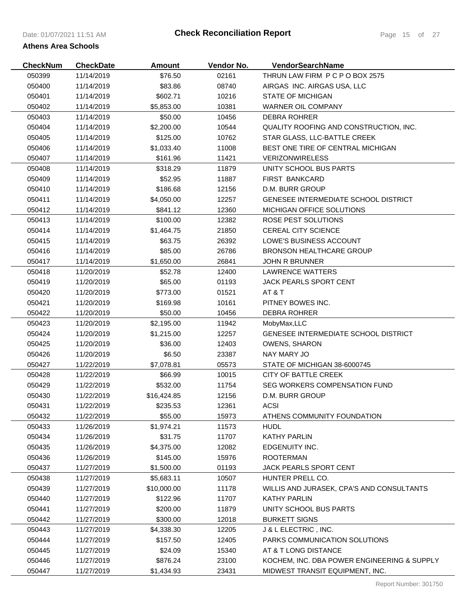| <b>CheckNum</b> | <b>CheckDate</b> | <b>Amount</b> | Vendor No. | <b>VendorSearchName</b>                     |
|-----------------|------------------|---------------|------------|---------------------------------------------|
| 050399          | 11/14/2019       | \$76.50       | 02161      | THRUN LAW FIRM P C P O BOX 2575             |
| 050400          | 11/14/2019       | \$83.86       | 08740      | AIRGAS INC. AIRGAS USA, LLC                 |
| 050401          | 11/14/2019       | \$602.71      | 10216      | <b>STATE OF MICHIGAN</b>                    |
| 050402          | 11/14/2019       | \$5,853.00    | 10381      | WARNER OIL COMPANY                          |
| 050403          | 11/14/2019       | \$50.00       | 10456      | DEBRA ROHRER                                |
| 050404          | 11/14/2019       | \$2,200.00    | 10544      | QUALITY ROOFING AND CONSTRUCTION, INC.      |
| 050405          | 11/14/2019       | \$125.00      | 10762      | STAR GLASS, LLC-BATTLE CREEK                |
| 050406          | 11/14/2019       | \$1,033.40    | 11008      | BEST ONE TIRE OF CENTRAL MICHIGAN           |
| 050407          | 11/14/2019       | \$161.96      | 11421      | <b>VERIZONWIRELESS</b>                      |
| 050408          | 11/14/2019       | \$318.29      | 11879      | UNITY SCHOOL BUS PARTS                      |
| 050409          | 11/14/2019       | \$52.95       | 11887      | FIRST BANKCARD                              |
| 050410          | 11/14/2019       | \$186.68      | 12156      | D.M. BURR GROUP                             |
| 050411          | 11/14/2019       | \$4,050.00    | 12257      | GENESEE INTERMEDIATE SCHOOL DISTRICT        |
| 050412          | 11/14/2019       | \$841.12      | 12360      | MICHIGAN OFFICE SOLUTIONS                   |
| 050413          | 11/14/2019       | \$100.00      | 12382      | ROSE PEST SOLUTIONS                         |
| 050414          | 11/14/2019       | \$1,464.75    | 21850      | CEREAL CITY SCIENCE                         |
| 050415          | 11/14/2019       | \$63.75       | 26392      | <b>LOWE'S BUSINESS ACCOUNT</b>              |
| 050416          | 11/14/2019       | \$85.00       | 26786      | BRONSON HEALTHCARE GROUP                    |
| 050417          | 11/14/2019       | \$1,650.00    | 26841      | <b>JOHN R BRUNNER</b>                       |
| 050418          | 11/20/2019       | \$52.78       | 12400      | <b>LAWRENCE WATTERS</b>                     |
| 050419          | 11/20/2019       | \$65.00       | 01193      | <b>JACK PEARLS SPORT CENT</b>               |
| 050420          | 11/20/2019       | \$773.00      | 01521      | AT & T                                      |
| 050421          | 11/20/2019       | \$169.98      | 10161      | PITNEY BOWES INC.                           |
| 050422          | 11/20/2019       | \$50.00       | 10456      | <b>DEBRA ROHRER</b>                         |
| 050423          | 11/20/2019       | \$2,195.00    | 11942      | MobyMax, LLC                                |
| 050424          | 11/20/2019       | \$1,215.00    | 12257      | <b>GENESEE INTERMEDIATE SCHOOL DISTRICT</b> |
| 050425          | 11/20/2019       | \$36.00       | 12403      | <b>OWENS, SHARON</b>                        |
| 050426          | 11/20/2019       | \$6.50        | 23387      | NAY MARY JO                                 |
| 050427          | 11/22/2019       | \$7,078.81    | 05573      | STATE OF MICHIGAN 38-6000745                |
| 050428          | 11/22/2019       | \$66.99       | 10015      | <b>CITY OF BATTLE CREEK</b>                 |
| 050429          | 11/22/2019       | \$532.00      | 11754      | SEG WORKERS COMPENSATION FUND               |
| 050430          | 11/22/2019       | \$16,424.85   | 12156      | D.M. BURR GROUP                             |
| 050431          | 11/22/2019       | \$235.53      | 12361      | <b>ACSI</b>                                 |
| 050432          | 11/22/2019       | \$55.00       | 15973      | ATHENS COMMUNITY FOUNDATION                 |
| 050433          | 11/26/2019       | \$1,974.21    | 11573      | <b>HUDL</b>                                 |
| 050434          | 11/26/2019       | \$31.75       | 11707      | <b>KATHY PARLIN</b>                         |
| 050435          | 11/26/2019       | \$4,375.00    | 12082      | EDGENUITY INC.                              |
| 050436          | 11/26/2019       | \$145.00      | 15976      | <b>ROOTERMAN</b>                            |
| 050437          | 11/27/2019       | \$1,500.00    | 01193      | JACK PEARLS SPORT CENT                      |
| 050438          | 11/27/2019       | \$5,683.11    | 10507      | HUNTER PRELL CO.                            |
| 050439          | 11/27/2019       | \$10,000.00   | 11178      | WILLIS AND JURASEK, CPA'S AND CONSULTANTS   |
| 050440          | 11/27/2019       | \$122.96      | 11707      | <b>KATHY PARLIN</b>                         |
| 050441          | 11/27/2019       | \$200.00      | 11879      | UNITY SCHOOL BUS PARTS                      |
| 050442          | 11/27/2019       | \$300.00      | 12018      | <b>BURKETT SIGNS</b>                        |
| 050443          | 11/27/2019       | \$4,338.30    | 12205      | J & L ELECTRIC, INC.                        |
| 050444          | 11/27/2019       | \$157.50      | 12405      | PARKS COMMUNICATION SOLUTIONS               |
| 050445          | 11/27/2019       | \$24.09       | 15340      | AT & T LONG DISTANCE                        |
| 050446          | 11/27/2019       | \$876.24      | 23100      | KOCHEM, INC. DBA POWER ENGINEERING & SUPPLY |
| 050447          | 11/27/2019       | \$1,434.93    | 23431      | MIDWEST TRANSIT EQUIPMENT, INC.             |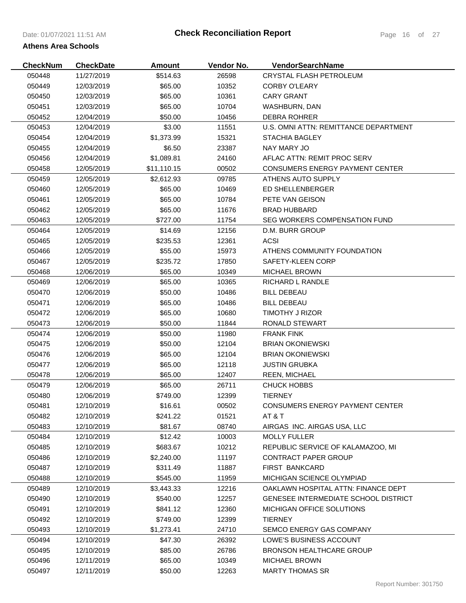| <b>CheckNum</b> | <b>CheckDate</b> | <b>Amount</b> | Vendor No. | VendorSearchName                            |
|-----------------|------------------|---------------|------------|---------------------------------------------|
| 050448          | 11/27/2019       | \$514.63      | 26598      | CRYSTAL FLASH PETROLEUM                     |
| 050449          | 12/03/2019       | \$65.00       | 10352      | <b>CORBY O'LEARY</b>                        |
| 050450          | 12/03/2019       | \$65.00       | 10361      | <b>CARY GRANT</b>                           |
| 050451          | 12/03/2019       | \$65.00       | 10704      | WASHBURN, DAN                               |
| 050452          | 12/04/2019       | \$50.00       | 10456      | <b>DEBRA ROHRER</b>                         |
| 050453          | 12/04/2019       | \$3.00        | 11551      | U.S. OMNI ATTN: REMITTANCE DEPARTMENT       |
| 050454          | 12/04/2019       | \$1,373.99    | 15321      | <b>STACHIA BAGLEY</b>                       |
| 050455          | 12/04/2019       | \$6.50        | 23387      | NAY MARY JO                                 |
| 050456          | 12/04/2019       | \$1,089.81    | 24160      | AFLAC ATTN: REMIT PROC SERV                 |
| 050458          | 12/05/2019       | \$11,110.15   | 00502      | <b>CONSUMERS ENERGY PAYMENT CENTER</b>      |
| 050459          | 12/05/2019       | \$2,612.93    | 09785      | ATHENS AUTO SUPPLY                          |
| 050460          | 12/05/2019       | \$65.00       | 10469      | ED SHELLENBERGER                            |
| 050461          | 12/05/2019       | \$65.00       | 10784      | PETE VAN GEISON                             |
| 050462          | 12/05/2019       | \$65.00       | 11676      | <b>BRAD HUBBARD</b>                         |
| 050463          | 12/05/2019       | \$727.00      | 11754      | SEG WORKERS COMPENSATION FUND               |
| 050464          | 12/05/2019       | \$14.69       | 12156      | D.M. BURR GROUP                             |
| 050465          | 12/05/2019       | \$235.53      | 12361      | <b>ACSI</b>                                 |
| 050466          | 12/05/2019       | \$55.00       | 15973      | ATHENS COMMUNITY FOUNDATION                 |
| 050467          | 12/05/2019       | \$235.72      | 17850      | SAFETY-KLEEN CORP                           |
| 050468          | 12/06/2019       | \$65.00       | 10349      | <b>MICHAEL BROWN</b>                        |
| 050469          | 12/06/2019       | \$65.00       | 10365      | RICHARD L RANDLE                            |
| 050470          | 12/06/2019       | \$50.00       | 10486      | <b>BILL DEBEAU</b>                          |
| 050471          | 12/06/2019       | \$65.00       | 10486      | <b>BILL DEBEAU</b>                          |
| 050472          | 12/06/2019       | \$65.00       | 10680      | TIMOTHY J RIZOR                             |
| 050473          | 12/06/2019       | \$50.00       | 11844      | RONALD STEWART                              |
| 050474          | 12/06/2019       | \$50.00       | 11980      | <b>FRANK FINK</b>                           |
| 050475          | 12/06/2019       | \$50.00       | 12104      | <b>BRIAN OKONIEWSKI</b>                     |
| 050476          | 12/06/2019       | \$65.00       | 12104      | <b>BRIAN OKONIEWSKI</b>                     |
| 050477          | 12/06/2019       | \$65.00       | 12118      | <b>JUSTIN GRUBKA</b>                        |
| 050478          | 12/06/2019       | \$65.00       | 12407      | <b>REEN, MICHAEL</b>                        |
| 050479          | 12/06/2019       | \$65.00       | 26711      | CHUCK HOBBS                                 |
| 050480          | 12/06/2019       | \$749.00      | 12399      | <b>TIERNEY</b>                              |
| 050481          | 12/10/2019       | \$16.61       | 00502      | <b>CONSUMERS ENERGY PAYMENT CENTER</b>      |
| 050482          | 12/10/2019       | \$241.22      | 01521      | AT & T                                      |
| 050483          | 12/10/2019       | \$81.67       | 08740      | AIRGAS INC. AIRGAS USA, LLC                 |
| 050484          | 12/10/2019       | \$12.42       | 10003      | <b>MOLLY FULLER</b>                         |
| 050485          | 12/10/2019       | \$683.67      | 10212      | REPUBLIC SERVICE OF KALAMAZOO, MI           |
| 050486          | 12/10/2019       | \$2,240.00    | 11197      | <b>CONTRACT PAPER GROUP</b>                 |
| 050487          | 12/10/2019       | \$311.49      | 11887      | <b>FIRST BANKCARD</b>                       |
| 050488          | 12/10/2019       | \$545.00      | 11959      | MICHIGAN SCIENCE OLYMPIAD                   |
| 050489          | 12/10/2019       | \$3,443.33    | 12216      | OAKLAWN HOSPITAL ATTN: FINANCE DEPT         |
| 050490          | 12/10/2019       | \$540.00      | 12257      | <b>GENESEE INTERMEDIATE SCHOOL DISTRICT</b> |
| 050491          | 12/10/2019       | \$841.12      | 12360      | <b>MICHIGAN OFFICE SOLUTIONS</b>            |
| 050492          | 12/10/2019       | \$749.00      | 12399      | <b>TIERNEY</b>                              |
| 050493          | 12/10/2019       | \$1,273.41    | 24710      | SEMCO ENERGY GAS COMPANY                    |
| 050494          | 12/10/2019       | \$47.30       | 26392      | LOWE'S BUSINESS ACCOUNT                     |
| 050495          | 12/10/2019       | \$85.00       | 26786      | <b>BRONSON HEALTHCARE GROUP</b>             |
| 050496          | 12/11/2019       | \$65.00       | 10349      | <b>MICHAEL BROWN</b>                        |
| 050497          | 12/11/2019       | \$50.00       | 12263      | <b>MARTY THOMAS SR</b>                      |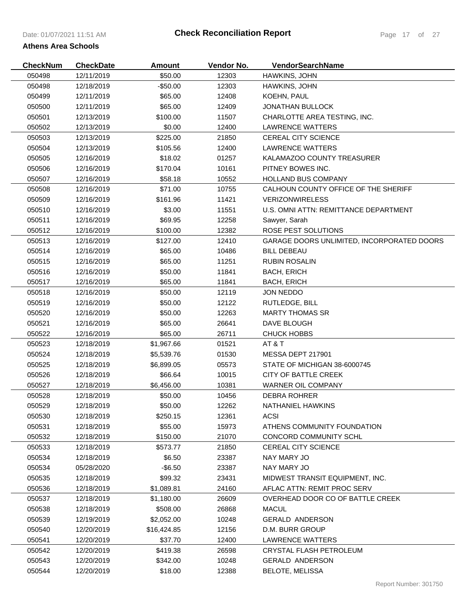| <b>CheckNum</b> | <b>CheckDate</b> | <b>Amount</b> | Vendor No. | <b>VendorSearchName</b>                    |
|-----------------|------------------|---------------|------------|--------------------------------------------|
| 050498          | 12/11/2019       | \$50.00       | 12303      | HAWKINS, JOHN                              |
| 050498          | 12/18/2019       | $-$50.00$     | 12303      | HAWKINS, JOHN                              |
| 050499          | 12/11/2019       | \$65.00       | 12408      | KOEHN, PAUL                                |
| 050500          | 12/11/2019       | \$65.00       | 12409      | <b>JONATHAN BULLOCK</b>                    |
| 050501          | 12/13/2019       | \$100.00      | 11507      | CHARLOTTE AREA TESTING, INC.               |
| 050502          | 12/13/2019       | \$0.00        | 12400      | <b>LAWRENCE WATTERS</b>                    |
| 050503          | 12/13/2019       | \$225.00      | 21850      | CEREAL CITY SCIENCE                        |
| 050504          | 12/13/2019       | \$105.56      | 12400      | <b>LAWRENCE WATTERS</b>                    |
| 050505          | 12/16/2019       | \$18.02       | 01257      | KALAMAZOO COUNTY TREASURER                 |
| 050506          | 12/16/2019       | \$170.04      | 10161      | PITNEY BOWES INC.                          |
| 050507          | 12/16/2019       | \$58.18       | 10552      | <b>HOLLAND BUS COMPANY</b>                 |
| 050508          | 12/16/2019       | \$71.00       | 10755      | CALHOUN COUNTY OFFICE OF THE SHERIFF       |
| 050509          | 12/16/2019       | \$161.96      | 11421      | <b>VERIZONWIRELESS</b>                     |
| 050510          | 12/16/2019       | \$3.00        | 11551      | U.S. OMNI ATTN: REMITTANCE DEPARTMENT      |
| 050511          | 12/16/2019       | \$69.95       | 12258      | Sawyer, Sarah                              |
| 050512          | 12/16/2019       | \$100.00      | 12382      | ROSE PEST SOLUTIONS                        |
| 050513          | 12/16/2019       | \$127.00      | 12410      | GARAGE DOORS UNLIMITED, INCORPORATED DOORS |
| 050514          | 12/16/2019       | \$65.00       | 10486      | <b>BILL DEBEAU</b>                         |
| 050515          | 12/16/2019       | \$65.00       | 11251      | <b>RUBIN ROSALIN</b>                       |
| 050516          | 12/16/2019       | \$50.00       | 11841      | <b>BACH, ERICH</b>                         |
| 050517          | 12/16/2019       | \$65.00       | 11841      | <b>BACH, ERICH</b>                         |
| 050518          | 12/16/2019       | \$50.00       | 12119      | <b>JON NEDDO</b>                           |
| 050519          | 12/16/2019       | \$50.00       | 12122      | RUTLEDGE, BILL                             |
| 050520          | 12/16/2019       | \$50.00       | 12263      | <b>MARTY THOMAS SR</b>                     |
| 050521          | 12/16/2019       | \$65.00       | 26641      | DAVE BLOUGH                                |
| 050522          | 12/16/2019       | \$65.00       | 26711      | <b>CHUCK HOBBS</b>                         |
| 050523          | 12/18/2019       | \$1,967.66    | 01521      | AT&T                                       |
| 050524          | 12/18/2019       | \$5,539.76    | 01530      | MESSA DEPT 217901                          |
| 050525          | 12/18/2019       | \$6,899.05    | 05573      | STATE OF MICHIGAN 38-6000745               |
| 050526          | 12/18/2019       | \$66.64       | 10015      | CITY OF BATTLE CREEK                       |
| 050527          | 12/18/2019       | \$6,456.00    | 10381      | WARNER OIL COMPANY                         |
| 050528          | 12/18/2019       | \$50.00       | 10456      | <b>DEBRA ROHRER</b>                        |
| 050529          | 12/18/2019       | \$50.00       | 12262      | NATHANIEL HAWKINS                          |
| 050530          | 12/18/2019       | \$250.15      | 12361      | <b>ACSI</b>                                |
| 050531          | 12/18/2019       | \$55.00       | 15973      | ATHENS COMMUNITY FOUNDATION                |
| 050532          | 12/18/2019       | \$150.00      | 21070      | CONCORD COMMUNITY SCHL                     |
| 050533          | 12/18/2019       | \$573.77      | 21850      | <b>CEREAL CITY SCIENCE</b>                 |
| 050534          | 12/18/2019       | \$6.50        | 23387      | NAY MARY JO                                |
| 050534          | 05/28/2020       | $-$ \$6.50    | 23387      | NAY MARY JO                                |
| 050535          | 12/18/2019       | \$99.32       | 23431      | MIDWEST TRANSIT EQUIPMENT, INC.            |
| 050536          | 12/18/2019       | \$1,089.81    | 24160      | AFLAC ATTN: REMIT PROC SERV                |
| 050537          | 12/18/2019       | \$1,180.00    | 26609      | OVERHEAD DOOR CO OF BATTLE CREEK           |
| 050538          | 12/18/2019       | \$508.00      | 26868      | <b>MACUL</b>                               |
| 050539          | 12/19/2019       | \$2,052.00    | 10248      | <b>GERALD ANDERSON</b>                     |
| 050540          | 12/20/2019       | \$16,424.85   | 12156      | D.M. BURR GROUP                            |
| 050541          | 12/20/2019       | \$37.70       | 12400      | <b>LAWRENCE WATTERS</b>                    |
| 050542          | 12/20/2019       | \$419.38      | 26598      | CRYSTAL FLASH PETROLEUM                    |
| 050543          | 12/20/2019       | \$342.00      | 10248      | <b>GERALD ANDERSON</b>                     |
| 050544          | 12/20/2019       | \$18.00       | 12388      | <b>BELOTE, MELISSA</b>                     |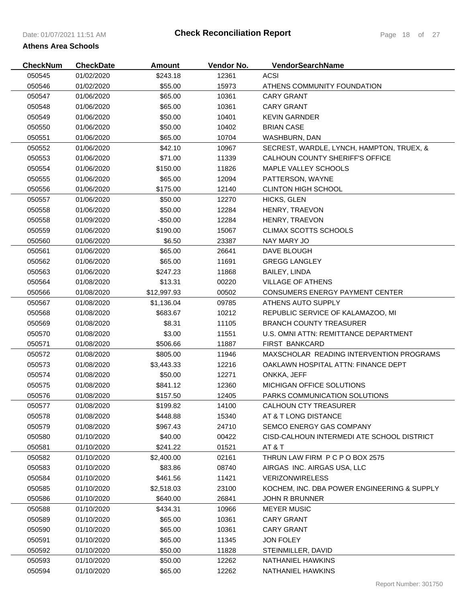| <b>CheckNum</b> | <b>CheckDate</b> | <b>Amount</b> | Vendor No. | VendorSearchName                            |
|-----------------|------------------|---------------|------------|---------------------------------------------|
| 050545          | 01/02/2020       | \$243.18      | 12361      | <b>ACSI</b>                                 |
| 050546          | 01/02/2020       | \$55.00       | 15973      | ATHENS COMMUNITY FOUNDATION                 |
| 050547          | 01/06/2020       | \$65.00       | 10361      | <b>CARY GRANT</b>                           |
| 050548          | 01/06/2020       | \$65.00       | 10361      | <b>CARY GRANT</b>                           |
| 050549          | 01/06/2020       | \$50.00       | 10401      | <b>KEVIN GARNDER</b>                        |
| 050550          | 01/06/2020       | \$50.00       | 10402      | <b>BRIAN CASE</b>                           |
| 050551          | 01/06/2020       | \$65.00       | 10704      | WASHBURN, DAN                               |
| 050552          | 01/06/2020       | \$42.10       | 10967      | SECREST, WARDLE, LYNCH, HAMPTON, TRUEX, &   |
| 050553          | 01/06/2020       | \$71.00       | 11339      | CALHOUN COUNTY SHERIFF'S OFFICE             |
| 050554          | 01/06/2020       | \$150.00      | 11826      | MAPLE VALLEY SCHOOLS                        |
| 050555          | 01/06/2020       | \$65.00       | 12094      | PATTERSON, WAYNE                            |
| 050556          | 01/06/2020       | \$175.00      | 12140      | <b>CLINTON HIGH SCHOOL</b>                  |
| 050557          | 01/06/2020       | \$50.00       | 12270      | HICKS, GLEN                                 |
| 050558          | 01/06/2020       | \$50.00       | 12284      | HENRY, TRAEVON                              |
| 050558          | 01/09/2020       | $-$ \$50.00   | 12284      | HENRY, TRAEVON                              |
| 050559          | 01/06/2020       | \$190.00      | 15067      | CLIMAX SCOTTS SCHOOLS                       |
| 050560          | 01/06/2020       | \$6.50        | 23387      | NAY MARY JO                                 |
| 050561          | 01/06/2020       | \$65.00       | 26641      | DAVE BLOUGH                                 |
| 050562          | 01/06/2020       | \$65.00       | 11691      | <b>GREGG LANGLEY</b>                        |
| 050563          | 01/06/2020       | \$247.23      | 11868      | BAILEY, LINDA                               |
| 050564          | 01/08/2020       | \$13.31       | 00220      | <b>VILLAGE OF ATHENS</b>                    |
| 050566          | 01/08/2020       | \$12,997.93   | 00502      | <b>CONSUMERS ENERGY PAYMENT CENTER</b>      |
| 050567          | 01/08/2020       | \$1,136.04    | 09785      | ATHENS AUTO SUPPLY                          |
| 050568          | 01/08/2020       | \$683.67      | 10212      | REPUBLIC SERVICE OF KALAMAZOO, MI           |
| 050569          | 01/08/2020       | \$8.31        | 11105      | <b>BRANCH COUNTY TREASURER</b>              |
| 050570          | 01/08/2020       | \$3.00        | 11551      | U.S. OMNI ATTN: REMITTANCE DEPARTMENT       |
| 050571          | 01/08/2020       | \$506.66      | 11887      | <b>FIRST BANKCARD</b>                       |
| 050572          | 01/08/2020       | \$805.00      | 11946      | MAXSCHOLAR READING INTERVENTION PROGRAMS    |
| 050573          | 01/08/2020       | \$3,443.33    | 12216      | OAKLAWN HOSPITAL ATTN: FINANCE DEPT         |
| 050574          | 01/08/2020       | \$50.00       | 12271      | ONKKA, JEFF                                 |
| 050575          | 01/08/2020       | \$841.12      | 12360      | MICHIGAN OFFICE SOLUTIONS                   |
| 050576          | 01/08/2020       | \$157.50      | 12405      | PARKS COMMUNICATION SOLUTIONS               |
| 050577          | 01/08/2020       | \$199.82      | 14100      | <b>CALHOUN CTY TREASURER</b>                |
| 050578          | 01/08/2020       | \$448.88      | 15340      | AT & T LONG DISTANCE                        |
| 050579          | 01/08/2020       | \$967.43      | 24710      | SEMCO ENERGY GAS COMPANY                    |
| 050580          | 01/10/2020       | \$40.00       | 00422      | CISD-CALHOUN INTERMEDI ATE SCHOOL DISTRICT  |
| 050581          | 01/10/2020       | \$241.22      | 01521      | AT & T                                      |
| 050582          | 01/10/2020       | \$2,400.00    | 02161      | THRUN LAW FIRM P C P O BOX 2575             |
| 050583          | 01/10/2020       | \$83.86       | 08740      | AIRGAS INC. AIRGAS USA, LLC                 |
| 050584          | 01/10/2020       | \$461.56      | 11421      | <b>VERIZONWIRELESS</b>                      |
| 050585          | 01/10/2020       | \$2,518.03    | 23100      | KOCHEM, INC. DBA POWER ENGINEERING & SUPPLY |
| 050586          | 01/10/2020       | \$640.00      | 26841      | <b>JOHN R BRUNNER</b>                       |
| 050588          | 01/10/2020       | \$434.31      | 10966      | <b>MEYER MUSIC</b>                          |
| 050589          | 01/10/2020       | \$65.00       | 10361      | <b>CARY GRANT</b>                           |
| 050590          | 01/10/2020       | \$65.00       | 10361      | <b>CARY GRANT</b>                           |
| 050591          | 01/10/2020       | \$65.00       | 11345      | <b>JON FOLEY</b>                            |
| 050592          | 01/10/2020       | \$50.00       | 11828      | STEINMILLER, DAVID                          |
| 050593          | 01/10/2020       | \$50.00       | 12262      | NATHANIEL HAWKINS                           |
| 050594          | 01/10/2020       | \$65.00       | 12262      | NATHANIEL HAWKINS                           |
|                 |                  |               |            |                                             |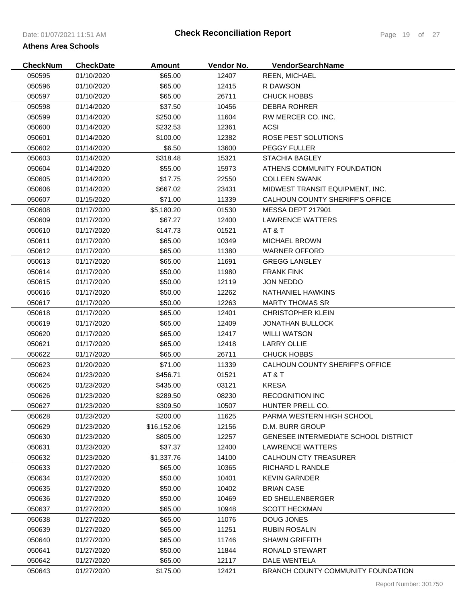| <b>CheckNum</b> | <b>CheckDate</b> | <b>Amount</b> | Vendor No. | VendorSearchName                            |
|-----------------|------------------|---------------|------------|---------------------------------------------|
| 050595          | 01/10/2020       | \$65.00       | 12407      | <b>REEN, MICHAEL</b>                        |
| 050596          | 01/10/2020       | \$65.00       | 12415      | R DAWSON                                    |
| 050597          | 01/10/2020       | \$65.00       | 26711      | <b>CHUCK HOBBS</b>                          |
| 050598          | 01/14/2020       | \$37.50       | 10456      | <b>DEBRA ROHRER</b>                         |
| 050599          | 01/14/2020       | \$250.00      | 11604      | RW MERCER CO. INC.                          |
| 050600          | 01/14/2020       | \$232.53      | 12361      | <b>ACSI</b>                                 |
| 050601          | 01/14/2020       | \$100.00      | 12382      | ROSE PEST SOLUTIONS                         |
| 050602          | 01/14/2020       | \$6.50        | 13600      | <b>PEGGY FULLER</b>                         |
| 050603          | 01/14/2020       | \$318.48      | 15321      | <b>STACHIA BAGLEY</b>                       |
| 050604          | 01/14/2020       | \$55.00       | 15973      | ATHENS COMMUNITY FOUNDATION                 |
| 050605          | 01/14/2020       | \$17.75       | 22550      | <b>COLLEEN SWANK</b>                        |
| 050606          | 01/14/2020       | \$667.02      | 23431      | MIDWEST TRANSIT EQUIPMENT, INC.             |
| 050607          | 01/15/2020       | \$71.00       | 11339      | CALHOUN COUNTY SHERIFF'S OFFICE             |
| 050608          | 01/17/2020       | \$5,180.20    | 01530      | MESSA DEPT 217901                           |
| 050609          | 01/17/2020       | \$67.27       | 12400      | <b>LAWRENCE WATTERS</b>                     |
| 050610          | 01/17/2020       | \$147.73      | 01521      | AT & T                                      |
| 050611          | 01/17/2020       | \$65.00       | 10349      | <b>MICHAEL BROWN</b>                        |
| 050612          | 01/17/2020       | \$65.00       | 11380      | <b>WARNER OFFORD</b>                        |
| 050613          | 01/17/2020       | \$65.00       | 11691      | <b>GREGG LANGLEY</b>                        |
| 050614          | 01/17/2020       | \$50.00       | 11980      | <b>FRANK FINK</b>                           |
| 050615          | 01/17/2020       | \$50.00       | 12119      | JON NEDDO                                   |
| 050616          | 01/17/2020       | \$50.00       | 12262      | NATHANIEL HAWKINS                           |
| 050617          | 01/17/2020       | \$50.00       | 12263      | <b>MARTY THOMAS SR</b>                      |
| 050618          | 01/17/2020       | \$65.00       | 12401      | CHRISTOPHER KLEIN                           |
| 050619          | 01/17/2020       | \$65.00       | 12409      | <b>JONATHAN BULLOCK</b>                     |
| 050620          | 01/17/2020       | \$65.00       | 12417      | <b>WILLI WATSON</b>                         |
| 050621          | 01/17/2020       | \$65.00       | 12418      | <b>LARRY OLLIE</b>                          |
| 050622          | 01/17/2020       | \$65.00       | 26711      | <b>CHUCK HOBBS</b>                          |
| 050623          | 01/20/2020       | \$71.00       | 11339      | CALHOUN COUNTY SHERIFF'S OFFICE             |
| 050624          | 01/23/2020       | \$456.71      | 01521      | AT & T                                      |
| 050625          | 01/23/2020       | \$435.00      | 03121      | <b>KRESA</b>                                |
| 050626          | 01/23/2020       | \$289.50      | 08230      | <b>RECOGNITION INC</b>                      |
| 050627          | 01/23/2020       | \$309.50      | 10507      | HUNTER PRELL CO.                            |
| 050628          | 01/23/2020       | \$200.00      | 11625      | PARMA WESTERN HIGH SCHOOL                   |
| 050629          | 01/23/2020       | \$16,152.06   | 12156      | D.M. BURR GROUP                             |
| 050630          | 01/23/2020       | \$805.00      | 12257      | <b>GENESEE INTERMEDIATE SCHOOL DISTRICT</b> |
| 050631          | 01/23/2020       | \$37.37       | 12400      | <b>LAWRENCE WATTERS</b>                     |
| 050632          | 01/23/2020       | \$1,337.76    | 14100      | CALHOUN CTY TREASURER                       |
| 050633          | 01/27/2020       | \$65.00       | 10365      | RICHARD L RANDLE                            |
| 050634          | 01/27/2020       | \$50.00       | 10401      | <b>KEVIN GARNDER</b>                        |
| 050635          | 01/27/2020       | \$50.00       | 10402      | <b>BRIAN CASE</b>                           |
| 050636          | 01/27/2020       | \$50.00       | 10469      | ED SHELLENBERGER                            |
| 050637          | 01/27/2020       | \$65.00       | 10948      | <b>SCOTT HECKMAN</b>                        |
| 050638          | 01/27/2020       | \$65.00       | 11076      | DOUG JONES                                  |
| 050639          | 01/27/2020       | \$65.00       | 11251      | <b>RUBIN ROSALIN</b>                        |
| 050640          | 01/27/2020       | \$65.00       | 11746      | <b>SHAWN GRIFFITH</b>                       |
| 050641          | 01/27/2020       | \$50.00       | 11844      | RONALD STEWART                              |
| 050642          | 01/27/2020       | \$65.00       | 12117      | DALE WENTELA                                |
| 050643          | 01/27/2020       | \$175.00      | 12421      | BRANCH COUNTY COMMUNITY FOUNDATION          |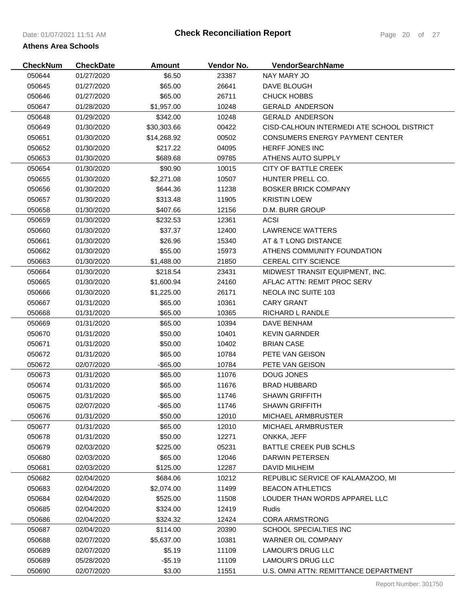| <b>CheckNum</b> | <b>CheckDate</b> | <b>Amount</b> | Vendor No. | VendorSearchName                           |
|-----------------|------------------|---------------|------------|--------------------------------------------|
| 050644          | 01/27/2020       | \$6.50        | 23387      | NAY MARY JO                                |
| 050645          | 01/27/2020       | \$65.00       | 26641      | DAVE BLOUGH                                |
| 050646          | 01/27/2020       | \$65.00       | 26711      | <b>CHUCK HOBBS</b>                         |
| 050647          | 01/28/2020       | \$1,957.00    | 10248      | <b>GERALD ANDERSON</b>                     |
| 050648          | 01/29/2020       | \$342.00      | 10248      | <b>GERALD ANDERSON</b>                     |
| 050649          | 01/30/2020       | \$30,303.66   | 00422      | CISD-CALHOUN INTERMEDI ATE SCHOOL DISTRICT |
| 050651          | 01/30/2020       | \$14,268.92   | 00502      | <b>CONSUMERS ENERGY PAYMENT CENTER</b>     |
| 050652          | 01/30/2020       | \$217.22      | 04095      | <b>HERFF JONES INC</b>                     |
| 050653          | 01/30/2020       | \$689.68      | 09785      | ATHENS AUTO SUPPLY                         |
| 050654          | 01/30/2020       | \$90.90       | 10015      | CITY OF BATTLE CREEK                       |
| 050655          | 01/30/2020       | \$2,271.08    | 10507      | HUNTER PRELL CO.                           |
| 050656          | 01/30/2020       | \$644.36      | 11238      | <b>BOSKER BRICK COMPANY</b>                |
| 050657          | 01/30/2020       | \$313.48      | 11905      | <b>KRISTIN LOEW</b>                        |
| 050658          | 01/30/2020       | \$407.66      | 12156      | D.M. BURR GROUP                            |
| 050659          | 01/30/2020       | \$232.53      | 12361      | <b>ACSI</b>                                |
| 050660          | 01/30/2020       | \$37.37       | 12400      | LAWRENCE WATTERS                           |
| 050661          | 01/30/2020       | \$26.96       | 15340      | AT & T LONG DISTANCE                       |
| 050662          | 01/30/2020       | \$55.00       | 15973      | ATHENS COMMUNITY FOUNDATION                |
| 050663          | 01/30/2020       | \$1,488.00    | 21850      | CEREAL CITY SCIENCE                        |
| 050664          | 01/30/2020       | \$218.54      | 23431      | MIDWEST TRANSIT EQUIPMENT, INC.            |
| 050665          | 01/30/2020       | \$1,600.94    | 24160      | AFLAC ATTN: REMIT PROC SERV                |
| 050666          | 01/30/2020       | \$1,225.00    | 26171      | <b>NEOLA INC SUITE 103</b>                 |
| 050667          | 01/31/2020       | \$65.00       | 10361      | <b>CARY GRANT</b>                          |
| 050668          | 01/31/2020       | \$65.00       | 10365      | <b>RICHARD L RANDLE</b>                    |
| 050669          | 01/31/2020       | \$65.00       | 10394      | DAVE BENHAM                                |
| 050670          | 01/31/2020       | \$50.00       | 10401      | <b>KEVIN GARNDER</b>                       |
| 050671          | 01/31/2020       | \$50.00       | 10402      | <b>BRIAN CASE</b>                          |
| 050672          | 01/31/2020       | \$65.00       | 10784      | PETE VAN GEISON                            |
| 050672          | 02/07/2020       | $-$ \$65.00   | 10784      | PETE VAN GEISON                            |
| 050673          | 01/31/2020       | \$65.00       | 11076      | DOUG JONES                                 |
| 050674          | 01/31/2020       | \$65.00       | 11676      | <b>BRAD HUBBARD</b>                        |
| 050675          | 01/31/2020       | \$65.00       | 11746      | <b>SHAWN GRIFFITH</b>                      |
| 050675          | 02/07/2020       | $-$ \$65.00   | 11746      | <b>SHAWN GRIFFITH</b>                      |
| 050676          | 01/31/2020       | \$50.00       | 12010      | MICHAEL ARMBRUSTER                         |
| 050677          | 01/31/2020       | \$65.00       | 12010      | MICHAEL ARMBRUSTER                         |
| 050678          | 01/31/2020       | \$50.00       | 12271      | ONKKA, JEFF                                |
| 050679          | 02/03/2020       | \$225.00      | 05231      | BATTLE CREEK PUB SCHLS                     |
| 050680          | 02/03/2020       | \$65.00       | 12046      | <b>DARWIN PETERSEN</b>                     |
| 050681          | 02/03/2020       | \$125.00      | 12287      | <b>DAVID MILHEIM</b>                       |
| 050682          | 02/04/2020       | \$684.06      | 10212      | REPUBLIC SERVICE OF KALAMAZOO, MI          |
| 050683          | 02/04/2020       | \$2,074.00    | 11499      | <b>BEACON ATHLETICS</b>                    |
| 050684          | 02/04/2020       | \$525.00      | 11508      | LOUDER THAN WORDS APPAREL LLC              |
| 050685          | 02/04/2020       | \$324.00      | 12419      | Rudis                                      |
| 050686          | 02/04/2020       | \$324.32      | 12424      | <b>CORA ARMSTRONG</b>                      |
| 050687          | 02/04/2020       | \$114.00      | 20390      | SCHOOL SPECIALTIES INC                     |
| 050688          | 02/07/2020       | \$5,637.00    | 10381      | <b>WARNER OIL COMPANY</b>                  |
| 050689          | 02/07/2020       | \$5.19        | 11109      | <b>LAMOUR'S DRUG LLC</b>                   |
| 050689          | 05/28/2020       | $-$5.19$      | 11109      | <b>LAMOUR'S DRUG LLC</b>                   |
| 050690          | 02/07/2020       | \$3.00        | 11551      | U.S. OMNI ATTN: REMITTANCE DEPARTMENT      |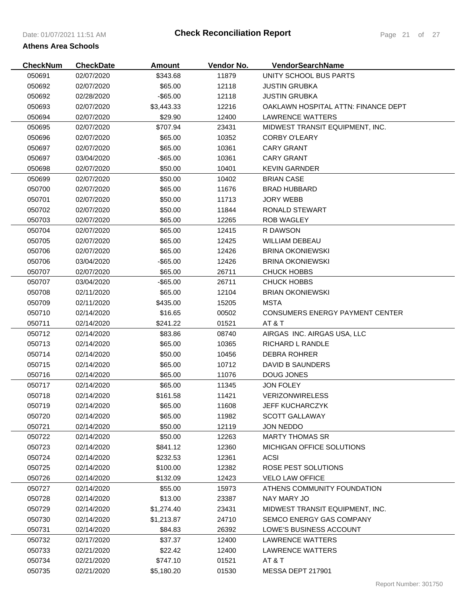| <b>CheckNum</b> | <b>CheckDate</b> | <b>Amount</b> | Vendor No. | VendorSearchName                    |
|-----------------|------------------|---------------|------------|-------------------------------------|
| 050691          | 02/07/2020       | \$343.68      | 11879      | UNITY SCHOOL BUS PARTS              |
| 050692          | 02/07/2020       | \$65.00       | 12118      | <b>JUSTIN GRUBKA</b>                |
| 050692          | 02/28/2020       | $-$ \$65.00   | 12118      | <b>JUSTIN GRUBKA</b>                |
| 050693          | 02/07/2020       | \$3,443.33    | 12216      | OAKLAWN HOSPITAL ATTN: FINANCE DEPT |
| 050694          | 02/07/2020       | \$29.90       | 12400      | LAWRENCE WATTERS                    |
| 050695          | 02/07/2020       | \$707.94      | 23431      | MIDWEST TRANSIT EQUIPMENT, INC.     |
| 050696          | 02/07/2020       | \$65.00       | 10352      | <b>CORBY O'LEARY</b>                |
| 050697          | 02/07/2020       | \$65.00       | 10361      | <b>CARY GRANT</b>                   |
| 050697          | 03/04/2020       | $-$ \$65.00   | 10361      | <b>CARY GRANT</b>                   |
| 050698          | 02/07/2020       | \$50.00       | 10401      | <b>KEVIN GARNDER</b>                |
| 050699          | 02/07/2020       | \$50.00       | 10402      | <b>BRIAN CASE</b>                   |
| 050700          | 02/07/2020       | \$65.00       | 11676      | <b>BRAD HUBBARD</b>                 |
| 050701          | 02/07/2020       | \$50.00       | 11713      | JORY WEBB                           |
| 050702          | 02/07/2020       | \$50.00       | 11844      | RONALD STEWART                      |
| 050703          | 02/07/2020       | \$65.00       | 12265      | <b>ROB WAGLEY</b>                   |
| 050704          | 02/07/2020       | \$65.00       | 12415      | R DAWSON                            |
| 050705          | 02/07/2020       | \$65.00       | 12425      | <b>WILLIAM DEBEAU</b>               |
| 050706          | 02/07/2020       | \$65.00       | 12426      | <b>BRINA OKONIEWSKI</b>             |
| 050706          | 03/04/2020       | $-$ \$65.00   | 12426      | <b>BRINA OKONIEWSKI</b>             |
| 050707          | 02/07/2020       | \$65.00       | 26711      | <b>CHUCK HOBBS</b>                  |
| 050707          | 03/04/2020       | $-$ \$65.00   | 26711      | CHUCK HOBBS                         |
| 050708          | 02/11/2020       | \$65.00       | 12104      | <b>BRIAN OKONIEWSKI</b>             |
| 050709          | 02/11/2020       | \$435.00      | 15205      | <b>MSTA</b>                         |
| 050710          | 02/14/2020       | \$16.65       | 00502      | CONSUMERS ENERGY PAYMENT CENTER     |
| 050711          | 02/14/2020       | \$241.22      | 01521      | AT&T                                |
| 050712          | 02/14/2020       | \$83.86       | 08740      | AIRGAS INC. AIRGAS USA, LLC         |
| 050713          | 02/14/2020       | \$65.00       | 10365      | RICHARD L RANDLE                    |
| 050714          | 02/14/2020       | \$50.00       | 10456      | <b>DEBRA ROHRER</b>                 |
| 050715          | 02/14/2020       | \$65.00       | 10712      | DAVID B SAUNDERS                    |
| 050716          | 02/14/2020       | \$65.00       | 11076      | DOUG JONES                          |
| 050717          | 02/14/2020       | \$65.00       | 11345      | JON FOLEY                           |
| 050718          | 02/14/2020       | \$161.58      | 11421      | <b>VERIZONWIRELESS</b>              |
| 050719          | 02/14/2020       | \$65.00       | 11608      | <b>JEFF KUCHARCZYK</b>              |
| 050720          | 02/14/2020       | \$65.00       | 11982      | <b>SCOTT GALLAWAY</b>               |
| 050721          | 02/14/2020       | \$50.00       | 12119      | <b>JON NEDDO</b>                    |
| 050722          | 02/14/2020       | \$50.00       | 12263      | <b>MARTY THOMAS SR</b>              |
| 050723          | 02/14/2020       | \$841.12      | 12360      | MICHIGAN OFFICE SOLUTIONS           |
| 050724          | 02/14/2020       | \$232.53      | 12361      | <b>ACSI</b>                         |
| 050725          | 02/14/2020       | \$100.00      | 12382      | ROSE PEST SOLUTIONS                 |
| 050726          | 02/14/2020       | \$132.09      | 12423      | <b>VELO LAW OFFICE</b>              |
| 050727          | 02/14/2020       | \$55.00       | 15973      | ATHENS COMMUNITY FOUNDATION         |
| 050728          | 02/14/2020       | \$13.00       | 23387      | NAY MARY JO                         |
| 050729          | 02/14/2020       | \$1,274.40    | 23431      | MIDWEST TRANSIT EQUIPMENT, INC.     |
| 050730          | 02/14/2020       | \$1,213.87    | 24710      | SEMCO ENERGY GAS COMPANY            |
| 050731          | 02/14/2020       | \$84.83       | 26392      | LOWE'S BUSINESS ACCOUNT             |
| 050732          | 02/17/2020       | \$37.37       | 12400      | LAWRENCE WATTERS                    |
| 050733          | 02/21/2020       | \$22.42       | 12400      | LAWRENCE WATTERS                    |
| 050734          | 02/21/2020       | \$747.10      | 01521      | AT & T                              |
| 050735          | 02/21/2020       | \$5,180.20    | 01530      | MESSA DEPT 217901                   |
|                 |                  |               |            |                                     |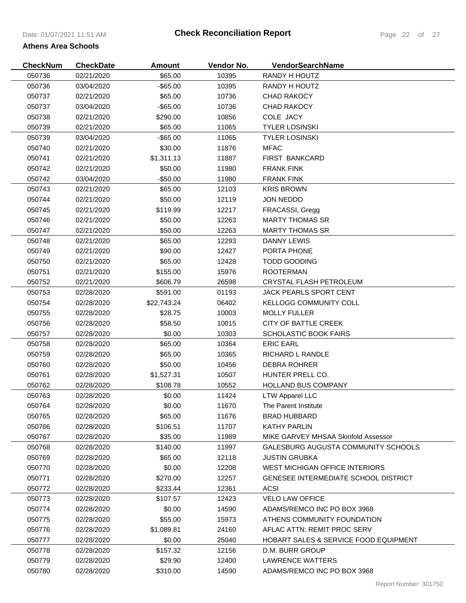# 050736 02/21/2020 \$65.00 10395 RANDY H HOUTZ 050736 03/04/2020 -\$65.00 10395 RANDY H HOUTZ 02/21/2020 \$65.00 10736 CHAD RAKOCY **CheckNum CheckDate Amount Vendor No. VendorSearchName Athens Area Schools**

| 050737 | 03/04/2020 | $-$ \$65.00 | 10736 | <b>CHAD RAKOCY</b>                               |
|--------|------------|-------------|-------|--------------------------------------------------|
| 050738 | 02/21/2020 | \$290.00    | 10856 | COLE JACY                                        |
| 050739 | 02/21/2020 | \$65.00     | 11065 | <b>TYLER LOSINSKI</b>                            |
| 050739 | 03/04/2020 | $-$ \$65.00 | 11065 | <b>TYLER LOSINSKI</b>                            |
| 050740 | 02/21/2020 | \$30.00     | 11876 | <b>MFAC</b>                                      |
| 050741 | 02/21/2020 | \$1,311.13  | 11887 | <b>FIRST BANKCARD</b>                            |
| 050742 | 02/21/2020 | \$50.00     | 11980 | <b>FRANK FINK</b>                                |
| 050742 | 03/04/2020 | $-$50.00$   | 11980 | <b>FRANK FINK</b>                                |
| 050743 | 02/21/2020 | \$65.00     | 12103 | <b>KRIS BROWN</b>                                |
| 050744 | 02/21/2020 | \$50.00     | 12119 | <b>JON NEDDO</b>                                 |
| 050745 | 02/21/2020 | \$119.99    | 12217 | FRACASSI, Gregg                                  |
| 050746 | 02/21/2020 | \$50.00     | 12263 | <b>MARTY THOMAS SR</b>                           |
| 050747 | 02/21/2020 | \$50.00     | 12263 | <b>MARTY THOMAS SR</b>                           |
| 050748 | 02/21/2020 | \$65.00     | 12293 | <b>DANNY LEWIS</b>                               |
| 050749 | 02/21/2020 | \$90.00     | 12427 | PORTA PHONE                                      |
| 050750 | 02/21/2020 | \$65.00     | 12428 | <b>TODD GOODING</b>                              |
| 050751 | 02/21/2020 | \$155.00    | 15976 | <b>ROOTERMAN</b>                                 |
| 050752 | 02/21/2020 | \$606.79    | 26598 | CRYSTAL FLASH PETROLEUM                          |
| 050753 | 02/28/2020 | \$591.00    | 01193 | JACK PEARLS SPORT CENT                           |
| 050754 | 02/28/2020 | \$22,743.24 | 06402 | <b>KELLOGG COMMUNITY COLL</b>                    |
| 050755 | 02/28/2020 | \$28.75     | 10003 | <b>MOLLY FULLER</b>                              |
| 050756 | 02/28/2020 | \$58.50     | 10015 | CITY OF BATTLE CREEK                             |
| 050757 | 02/28/2020 | \$0.00      | 10303 | <b>SCHOLASTIC BOOK FAIRS</b>                     |
| 050758 | 02/28/2020 | \$65.00     | 10364 | <b>ERIC EARL</b>                                 |
| 050759 | 02/28/2020 | \$65.00     | 10365 | RICHARD L RANDLE                                 |
| 050760 | 02/28/2020 | \$50.00     | 10456 | <b>DEBRA ROHRER</b>                              |
| 050761 | 02/28/2020 | \$1,527.31  | 10507 | HUNTER PRELL CO.                                 |
| 050762 | 02/28/2020 | \$108.78    | 10552 | <b>HOLLAND BUS COMPANY</b>                       |
| 050763 | 02/28/2020 | \$0.00      | 11424 | <b>LTW Apparel LLC</b>                           |
| 050764 | 02/28/2020 | \$0.00      | 11670 | The Parent Institute                             |
| 050765 | 02/28/2020 | \$65.00     | 11676 | <b>BRAD HUBBARD</b>                              |
| 050766 | 02/28/2020 | \$106.51    | 11707 | <b>KATHY PARLIN</b>                              |
| 050767 | 02/28/2020 | \$35.00     | 11989 | MIKE GARVEY MHSAA Skinfold Assessor              |
| 050768 | 02/28/2020 | \$140.00    | 11997 | GALESBURG AUGUSTA COMMUNITY SCHOOLS              |
| 050769 | 02/28/2020 | \$65.00     | 12118 | <b>JUSTIN GRUBKA</b>                             |
| 050770 | 02/28/2020 | \$0.00      | 12208 | WEST MICHIGAN OFFICE INTERIORS                   |
| 050771 | 02/28/2020 | \$270.00    | 12257 | <b>GENESEE INTERMEDIATE SCHOOL DISTRICT</b>      |
| 050772 | 02/28/2020 | \$233.44    | 12361 | <b>ACSI</b>                                      |
| 050773 | 02/28/2020 | \$107.57    | 12423 | <b>VELO LAW OFFICE</b>                           |
| 050774 | 02/28/2020 | \$0.00      | 14590 | ADAMS/REMCO INC PO BOX 3968                      |
| 050775 | 02/28/2020 | \$55.00     | 15973 | ATHENS COMMUNITY FOUNDATION                      |
| 050776 | 02/28/2020 | \$1,089.81  | 24160 | AFLAC ATTN: REMIT PROC SERV                      |
| 050777 | 02/28/2020 | \$0.00      | 25040 | <b>HOBART SALES &amp; SERVICE FOOD EQUIPMENT</b> |
| 050778 | 02/28/2020 | \$157.32    | 12156 | D.M. BURR GROUP                                  |
| 050779 | 02/28/2020 | \$29.90     | 12400 | <b>LAWRENCE WATTERS</b>                          |
| 050780 | 02/28/2020 | \$310.00    | 14590 | ADAMS/REMCO INC PO BOX 3968                      |
|        |            |             |       | Report Number: 301750                            |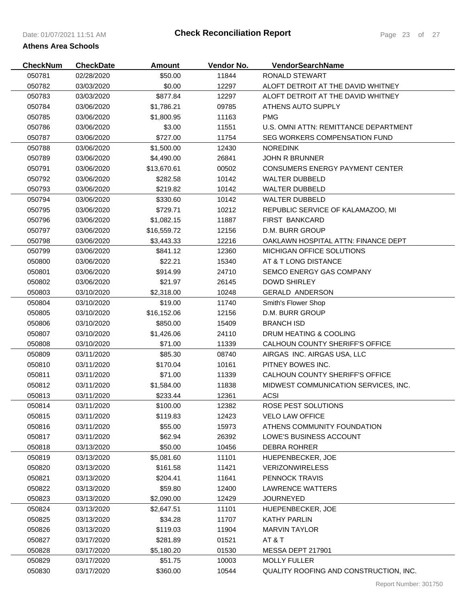| <b>CheckNum</b> | <b>CheckDate</b> | <b>Amount</b> | Vendor No. | <b>VendorSearchName</b>                |
|-----------------|------------------|---------------|------------|----------------------------------------|
| 050781          | 02/28/2020       | \$50.00       | 11844      | RONALD STEWART                         |
| 050782          | 03/03/2020       | \$0.00        | 12297      | ALOFT DETROIT AT THE DAVID WHITNEY     |
| 050783          | 03/03/2020       | \$877.84      | 12297      | ALOFT DETROIT AT THE DAVID WHITNEY     |
| 050784          | 03/06/2020       | \$1,786.21    | 09785      | ATHENS AUTO SUPPLY                     |
| 050785          | 03/06/2020       | \$1,800.95    | 11163      | <b>PMG</b>                             |
| 050786          | 03/06/2020       | \$3.00        | 11551      | U.S. OMNI ATTN: REMITTANCE DEPARTMENT  |
| 050787          | 03/06/2020       | \$727.00      | 11754      | SEG WORKERS COMPENSATION FUND          |
| 050788          | 03/06/2020       | \$1,500.00    | 12430      | <b>NOREDINK</b>                        |
| 050789          | 03/06/2020       | \$4,490.00    | 26841      | <b>JOHN R BRUNNER</b>                  |
| 050791          | 03/06/2020       | \$13,670.61   | 00502      | <b>CONSUMERS ENERGY PAYMENT CENTER</b> |
| 050792          | 03/06/2020       | \$282.58      | 10142      | <b>WALTER DUBBELD</b>                  |
| 050793          | 03/06/2020       | \$219.82      | 10142      | <b>WALTER DUBBELD</b>                  |
| 050794          | 03/06/2020       | \$330.60      | 10142      | <b>WALTER DUBBELD</b>                  |
| 050795          | 03/06/2020       | \$729.71      | 10212      | REPUBLIC SERVICE OF KALAMAZOO, MI      |
| 050796          | 03/06/2020       | \$1,082.15    | 11887      | <b>FIRST BANKCARD</b>                  |
| 050797          | 03/06/2020       | \$16,559.72   | 12156      | D.M. BURR GROUP                        |
| 050798          | 03/06/2020       | \$3,443.33    | 12216      | OAKLAWN HOSPITAL ATTN: FINANCE DEPT    |
| 050799          | 03/06/2020       | \$841.12      | 12360      | <b>MICHIGAN OFFICE SOLUTIONS</b>       |
| 050800          | 03/06/2020       | \$22.21       | 15340      | AT & T LONG DISTANCE                   |
| 050801          | 03/06/2020       | \$914.99      | 24710      | SEMCO ENERGY GAS COMPANY               |
| 050802          | 03/06/2020       | \$21.97       | 26145      | <b>DOWD SHIRLEY</b>                    |
| 050803          | 03/10/2020       | \$2,318.00    | 10248      | <b>GERALD ANDERSON</b>                 |
| 050804          | 03/10/2020       | \$19.00       | 11740      | Smith's Flower Shop                    |
| 050805          | 03/10/2020       | \$16,152.06   | 12156      | D.M. BURR GROUP                        |
| 050806          | 03/10/2020       | \$850.00      | 15409      | <b>BRANCH ISD</b>                      |
| 050807          | 03/10/2020       | \$1,426.06    | 24110      | DRUM HEATING & COOLING                 |
| 050808          | 03/10/2020       | \$71.00       | 11339      | CALHOUN COUNTY SHERIFF'S OFFICE        |
| 050809          | 03/11/2020       | \$85.30       | 08740      | AIRGAS INC. AIRGAS USA, LLC            |
| 050810          | 03/11/2020       | \$170.04      | 10161      | PITNEY BOWES INC.                      |
| 050811          | 03/11/2020       | \$71.00       | 11339      | CALHOUN COUNTY SHERIFF'S OFFICE        |
| 050812          | 03/11/2020       | \$1,584.00    | 11838      | MIDWEST COMMUNICATION SERVICES, INC.   |
| 050813          | 03/11/2020       | \$233.44      | 12361      | <b>ACSI</b>                            |
| 050814          | 03/11/2020       | \$100.00      | 12382      | ROSE PEST SOLUTIONS                    |
| 050815          | 03/11/2020       | \$119.83      | 12423      | <b>VELO LAW OFFICE</b>                 |
| 050816          | 03/11/2020       | \$55.00       | 15973      | ATHENS COMMUNITY FOUNDATION            |
| 050817          | 03/11/2020       | \$62.94       | 26392      | LOWE'S BUSINESS ACCOUNT                |
| 050818          | 03/13/2020       | \$50.00       | 10456      | <b>DEBRA ROHRER</b>                    |
| 050819          | 03/13/2020       | \$5,081.60    | 11101      | HUEPENBECKER, JOE                      |
| 050820          | 03/13/2020       | \$161.58      | 11421      | <b>VERIZONWIRELESS</b>                 |
| 050821          | 03/13/2020       | \$204.41      | 11641      | PENNOCK TRAVIS                         |
| 050822          | 03/13/2020       | \$59.80       | 12400      | <b>LAWRENCE WATTERS</b>                |
| 050823          | 03/13/2020       | \$2,090.00    | 12429      | <b>JOURNEYED</b>                       |
| 050824          | 03/13/2020       | \$2,647.51    | 11101      | HUEPENBECKER, JOE                      |
| 050825          | 03/13/2020       | \$34.28       | 11707      | <b>KATHY PARLIN</b>                    |
| 050826          | 03/13/2020       | \$119.03      | 11904      | <b>MARVIN TAYLOR</b>                   |
| 050827          | 03/17/2020       | \$281.89      | 01521      | AT & T                                 |
| 050828          | 03/17/2020       | \$5,180.20    | 01530      | MESSA DEPT 217901                      |
| 050829          | 03/17/2020       | \$51.75       | 10003      | <b>MOLLY FULLER</b>                    |
| 050830          | 03/17/2020       | \$360.00      | 10544      | QUALITY ROOFING AND CONSTRUCTION, INC. |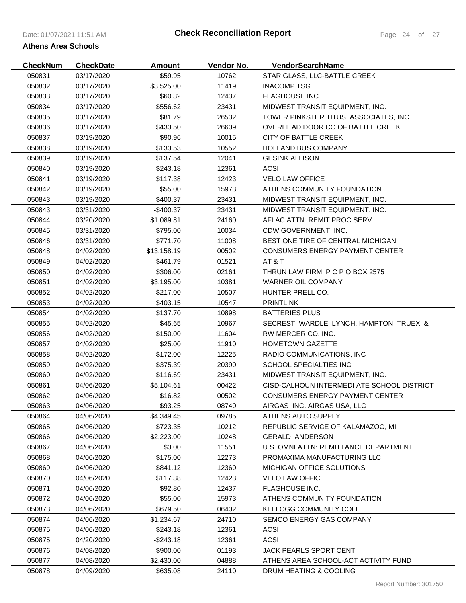# Date: 01/07/2021 11:51 AM **Athens Area Schools**

| <b>CheckNum</b>  | <b>CheckDate</b>         | <b>Amount</b> | Vendor No.     | <b>VendorSearchName</b>                    |
|------------------|--------------------------|---------------|----------------|--------------------------------------------|
| 050831           | 03/17/2020               | \$59.95       | 10762          | STAR GLASS, LLC-BATTLE CREEK               |
| 050832           | 03/17/2020               | \$3,525.00    | 11419          | <b>INACOMP TSG</b>                         |
| 050833           | 03/17/2020               | \$60.32       | 12437          | <b>FLAGHOUSE INC.</b>                      |
| 050834           | 03/17/2020               | \$556.62      | 23431          | MIDWEST TRANSIT EQUIPMENT, INC.            |
| 050835           | 03/17/2020               | \$81.79       | 26532          | TOWER PINKSTER TITUS ASSOCIATES, INC.      |
| 050836           | 03/17/2020               | \$433.50      | 26609          | OVERHEAD DOOR CO OF BATTLE CREEK           |
| 050837           | 03/19/2020               | \$90.96       | 10015          | CITY OF BATTLE CREEK                       |
| 050838           | 03/19/2020               | \$133.53      | 10552          | HOLLAND BUS COMPANY                        |
| 050839           | 03/19/2020               | \$137.54      | 12041          | <b>GESINK ALLISON</b>                      |
| 050840           | 03/19/2020               | \$243.18      | 12361          | <b>ACSI</b>                                |
| 050841           | 03/19/2020               | \$117.38      | 12423          | <b>VELO LAW OFFICE</b>                     |
| 050842           | 03/19/2020               | \$55.00       | 15973          | ATHENS COMMUNITY FOUNDATION                |
| 050843           | 03/19/2020               | \$400.37      | 23431          | MIDWEST TRANSIT EQUIPMENT, INC.            |
| 050843           | 03/31/2020               | $-$400.37$    | 23431          | MIDWEST TRANSIT EQUIPMENT, INC.            |
| 050844           | 03/20/2020               | \$1,089.81    | 24160          | AFLAC ATTN: REMIT PROC SERV                |
| 050845           | 03/31/2020               | \$795.00      | 10034          | CDW GOVERNMENT, INC.                       |
| 050846           | 03/31/2020               | \$771.70      | 11008          | BEST ONE TIRE OF CENTRAL MICHIGAN          |
| 050848           | 04/02/2020               | \$13,158.19   | 00502          | CONSUMERS ENERGY PAYMENT CENTER            |
| 050849           | 04/02/2020               | \$461.79      | 01521          | AT&T                                       |
| 050850           | 04/02/2020               | \$306.00      | 02161          | THRUN LAW FIRM P C P O BOX 2575            |
| 050851           | 04/02/2020               | \$3,195.00    | 10381          | WARNER OIL COMPANY                         |
| 050852           | 04/02/2020               | \$217.00      | 10507          | HUNTER PRELL CO.                           |
| 050853           | 04/02/2020               | \$403.15      | 10547          | <b>PRINTLINK</b>                           |
| 050854           | 04/02/2020               | \$137.70      | 10898          | <b>BATTERIES PLUS</b>                      |
| 050855           | 04/02/2020               | \$45.65       | 10967          | SECREST, WARDLE, LYNCH, HAMPTON, TRUEX, &  |
| 050856           | 04/02/2020               | \$150.00      | 11604          | RW MERCER CO. INC.                         |
| 050857           | 04/02/2020               | \$25.00       | 11910          | <b>HOMETOWN GAZETTE</b>                    |
| 050858           | 04/02/2020               | \$172.00      | 12225          | RADIO COMMUNICATIONS, INC.                 |
| 050859           | 04/02/2020               | \$375.39      | 20390          | SCHOOL SPECIALTIES INC                     |
| 050860           | 04/02/2020               | \$116.69      | 23431          | MIDWEST TRANSIT EQUIPMENT, INC.            |
| 050861           | 04/06/2020               | \$5,104.61    | 00422          | CISD-CALHOUN INTERMEDI ATE SCHOOL DISTRICT |
| 050862           | 04/06/2020               | \$16.82       | 00502          | <b>CONSUMERS ENERGY PAYMENT CENTER</b>     |
|                  |                          |               |                | AIRGAS INC. AIRGAS USA, LLC                |
| 050863<br>050864 | 04/06/2020<br>04/06/2020 | \$93.25       | 08740<br>09785 | ATHENS AUTO SUPPLY                         |
|                  |                          | \$4,349.45    |                |                                            |
| 050865           | 04/06/2020               | \$723.35      | 10212          | REPUBLIC SERVICE OF KALAMAZOO, MI          |
| 050866           | 04/06/2020               | \$2,223.00    | 10248          | <b>GERALD ANDERSON</b>                     |
| 050867           | 04/06/2020               | \$3.00        | 11551          | U.S. OMNI ATTN: REMITTANCE DEPARTMENT      |
| 050868           | 04/06/2020               | \$175.00      | 12273          | PROMAXIMA MANUFACTURING LLC                |
| 050869           | 04/06/2020               | \$841.12      | 12360          | MICHIGAN OFFICE SOLUTIONS                  |
| 050870           | 04/06/2020               | \$117.38      | 12423          | <b>VELO LAW OFFICE</b>                     |
| 050871           | 04/06/2020               | \$92.80       | 12437          | <b>FLAGHOUSE INC.</b>                      |
| 050872           | 04/06/2020               | \$55.00       | 15973          | ATHENS COMMUNITY FOUNDATION                |
| 050873           | 04/06/2020               | \$679.50      | 06402          | KELLOGG COMMUNITY COLL                     |
| 050874           | 04/06/2020               | \$1,234.67    | 24710          | SEMCO ENERGY GAS COMPANY                   |
| 050875           | 04/06/2020               | \$243.18      | 12361          | <b>ACSI</b>                                |
| 050875           | 04/20/2020               | $-$243.18$    | 12361          | <b>ACSI</b>                                |
| 050876           | 04/08/2020               | \$900.00      | 01193          | <b>JACK PEARLS SPORT CENT</b>              |
| 050877           | 04/08/2020               | \$2,430.00    | 04888          | ATHENS AREA SCHOOL-ACT ACTIVITY FUND       |
| 050878           | 04/09/2020               | \$635.08      | 24110          | DRUM HEATING & COOLING                     |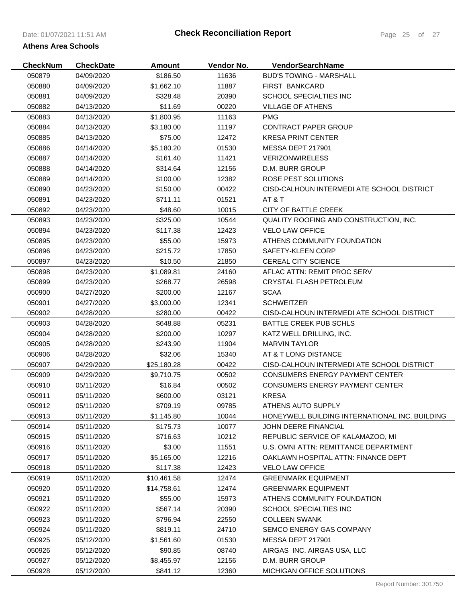| <b>CheckNum</b> | <b>CheckDate</b> | <b>Amount</b> | Vendor No. | <b>VendorSearchName</b>                        |
|-----------------|------------------|---------------|------------|------------------------------------------------|
| 050879          | 04/09/2020       | \$186.50      | 11636      | <b>BUD'S TOWING - MARSHALL</b>                 |
| 050880          | 04/09/2020       | \$1,662.10    | 11887      | <b>FIRST BANKCARD</b>                          |
| 050881          | 04/09/2020       | \$328.48      | 20390      | <b>SCHOOL SPECIALTIES INC</b>                  |
| 050882          | 04/13/2020       | \$11.69       | 00220      | <b>VILLAGE OF ATHENS</b>                       |
| 050883          | 04/13/2020       | \$1,800.95    | 11163      | <b>PMG</b>                                     |
| 050884          | 04/13/2020       | \$3,180.00    | 11197      | CONTRACT PAPER GROUP                           |
| 050885          | 04/13/2020       | \$75.00       | 12472      | <b>KRESA PRINT CENTER</b>                      |
| 050886          | 04/14/2020       | \$5,180.20    | 01530      | MESSA DEPT 217901                              |
| 050887          | 04/14/2020       | \$161.40      | 11421      | <b>VERIZONWIRELESS</b>                         |
| 050888          | 04/14/2020       | \$314.64      | 12156      | D.M. BURR GROUP                                |
| 050889          | 04/14/2020       | \$100.00      | 12382      | ROSE PEST SOLUTIONS                            |
| 050890          | 04/23/2020       | \$150.00      | 00422      | CISD-CALHOUN INTERMEDI ATE SCHOOL DISTRICT     |
| 050891          | 04/23/2020       | \$711.11      | 01521      | AT&T                                           |
| 050892          | 04/23/2020       | \$48.60       | 10015      | <b>CITY OF BATTLE CREEK</b>                    |
| 050893          | 04/23/2020       | \$325.00      | 10544      | QUALITY ROOFING AND CONSTRUCTION, INC.         |
| 050894          | 04/23/2020       | \$117.38      | 12423      | <b>VELO LAW OFFICE</b>                         |
| 050895          | 04/23/2020       | \$55.00       | 15973      | ATHENS COMMUNITY FOUNDATION                    |
| 050896          | 04/23/2020       | \$215.72      | 17850      | SAFETY-KLEEN CORP                              |
| 050897          | 04/23/2020       | \$10.50       | 21850      | <b>CEREAL CITY SCIENCE</b>                     |
| 050898          | 04/23/2020       | \$1,089.81    | 24160      | AFLAC ATTN: REMIT PROC SERV                    |
| 050899          | 04/23/2020       | \$268.77      | 26598      | CRYSTAL FLASH PETROLEUM                        |
| 050900          | 04/27/2020       | \$200.00      | 12167      | <b>SCAA</b>                                    |
| 050901          | 04/27/2020       | \$3,000.00    | 12341      | <b>SCHWEITZER</b>                              |
| 050902          | 04/28/2020       | \$280.00      | 00422      | CISD-CALHOUN INTERMEDI ATE SCHOOL DISTRICT     |
| 050903          | 04/28/2020       | \$648.88      | 05231      | <b>BATTLE CREEK PUB SCHLS</b>                  |
| 050904          | 04/28/2020       | \$200.00      | 10297      | KATZ WELL DRILLING, INC.                       |
| 050905          | 04/28/2020       | \$243.90      | 11904      | <b>MARVIN TAYLOR</b>                           |
| 050906          | 04/28/2020       | \$32.06       | 15340      | AT & T LONG DISTANCE                           |
| 050907          | 04/29/2020       |               | 00422      | CISD-CALHOUN INTERMEDI ATE SCHOOL DISTRICT     |
| 050909          | 04/29/2020       | \$25,180.28   | 00502      | <b>CONSUMERS ENERGY PAYMENT CENTER</b>         |
| 050910          | 05/11/2020       | \$9,710.75    | 00502      | <b>CONSUMERS ENERGY PAYMENT CENTER</b>         |
| 050911          | 05/11/2020       | \$16.84       | 03121      | <b>KRESA</b>                                   |
|                 |                  | \$600.00      |            |                                                |
| 050912          | 05/11/2020       | \$709.19      | 09785      | ATHENS AUTO SUPPLY                             |
| 050913          | 05/11/2020       | \$1,145.80    | 10044      | HONEYWELL BUILDING INTERNATIONAL INC. BUILDING |
| 050914          | 05/11/2020       | \$175.73      | 10077      | JOHN DEERE FINANCIAL                           |
| 050915          | 05/11/2020       | \$716.63      | 10212      | REPUBLIC SERVICE OF KALAMAZOO, MI              |
| 050916          | 05/11/2020       | \$3.00        | 11551      | U.S. OMNI ATTN: REMITTANCE DEPARTMENT          |
| 050917          | 05/11/2020       | \$5,165.00    | 12216      | OAKLAWN HOSPITAL ATTN: FINANCE DEPT            |
| 050918          | 05/11/2020       | \$117.38      | 12423      | <b>VELO LAW OFFICE</b>                         |
| 050919          | 05/11/2020       | \$10,461.58   | 12474      | <b>GREENMARK EQUIPMENT</b>                     |
| 050920          | 05/11/2020       | \$14,758.61   | 12474      | <b>GREENMARK EQUIPMENT</b>                     |
| 050921          | 05/11/2020       | \$55.00       | 15973      | ATHENS COMMUNITY FOUNDATION                    |
| 050922          | 05/11/2020       | \$567.14      | 20390      | SCHOOL SPECIALTIES INC                         |
| 050923          | 05/11/2020       | \$796.94      | 22550      | <b>COLLEEN SWANK</b>                           |
| 050924          | 05/11/2020       | \$819.11      | 24710      | SEMCO ENERGY GAS COMPANY                       |
| 050925          | 05/12/2020       | \$1,561.60    | 01530      | MESSA DEPT 217901                              |
| 050926          | 05/12/2020       | \$90.85       | 08740      | AIRGAS INC. AIRGAS USA, LLC                    |
| 050927          | 05/12/2020       | \$8,455.97    | 12156      | D.M. BURR GROUP                                |
| 050928          | 05/12/2020       | \$841.12      | 12360      | MICHIGAN OFFICE SOLUTIONS                      |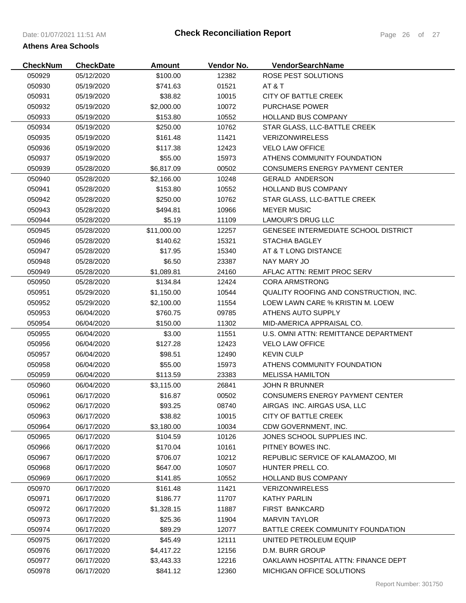| <b>CheckNum</b> | <b>CheckDate</b> | <b>Amount</b> | Vendor No. | VendorSearchName                       |
|-----------------|------------------|---------------|------------|----------------------------------------|
| 050929          | 05/12/2020       | \$100.00      | 12382      | ROSE PEST SOLUTIONS                    |
| 050930          | 05/19/2020       | \$741.63      | 01521      | AT & T                                 |
| 050931          | 05/19/2020       | \$38.82       | 10015      | <b>CITY OF BATTLE CREEK</b>            |
| 050932          | 05/19/2020       | \$2,000.00    | 10072      | <b>PURCHASE POWER</b>                  |
| 050933          | 05/19/2020       | \$153.80      | 10552      | <b>HOLLAND BUS COMPANY</b>             |
| 050934          | 05/19/2020       | \$250.00      | 10762      | STAR GLASS, LLC-BATTLE CREEK           |
| 050935          | 05/19/2020       | \$161.48      | 11421      | <b>VERIZONWIRELESS</b>                 |
| 050936          | 05/19/2020       | \$117.38      | 12423      | <b>VELO LAW OFFICE</b>                 |
| 050937          | 05/19/2020       | \$55.00       | 15973      | ATHENS COMMUNITY FOUNDATION            |
| 050939          | 05/28/2020       | \$6,817.09    | 00502      | <b>CONSUMERS ENERGY PAYMENT CENTER</b> |
| 050940          | 05/28/2020       | \$2,166.00    | 10248      | <b>GERALD ANDERSON</b>                 |
| 050941          | 05/28/2020       | \$153.80      | 10552      | <b>HOLLAND BUS COMPANY</b>             |
| 050942          | 05/28/2020       | \$250.00      | 10762      | STAR GLASS, LLC-BATTLE CREEK           |
| 050943          | 05/28/2020       | \$494.81      | 10966      | <b>MEYER MUSIC</b>                     |
| 050944          | 05/28/2020       | \$5.19        | 11109      | <b>LAMOUR'S DRUG LLC</b>               |
| 050945          | 05/28/2020       | \$11,000.00   | 12257      | GENESEE INTERMEDIATE SCHOOL DISTRICT   |
| 050946          | 05/28/2020       | \$140.62      | 15321      | <b>STACHIA BAGLEY</b>                  |
| 050947          | 05/28/2020       | \$17.95       | 15340      | AT & T LONG DISTANCE                   |
| 050948          | 05/28/2020       | \$6.50        | 23387      | NAY MARY JO                            |
| 050949          | 05/28/2020       | \$1,089.81    | 24160      | AFLAC ATTN: REMIT PROC SERV            |
| 050950          | 05/28/2020       | \$134.84      | 12424      | <b>CORA ARMSTRONG</b>                  |
| 050951          | 05/29/2020       | \$1,150.00    | 10544      | QUALITY ROOFING AND CONSTRUCTION, INC. |
| 050952          | 05/29/2020       | \$2,100.00    | 11554      | LOEW LAWN CARE % KRISTIN M. LOEW       |
| 050953          | 06/04/2020       | \$760.75      | 09785      | ATHENS AUTO SUPPLY                     |
| 050954          | 06/04/2020       | \$150.00      | 11302      | MID-AMERICA APPRAISAL CO.              |
| 050955          | 06/04/2020       | \$3.00        | 11551      | U.S. OMNI ATTN: REMITTANCE DEPARTMENT  |
| 050956          | 06/04/2020       | \$127.28      | 12423      | <b>VELO LAW OFFICE</b>                 |
| 050957          | 06/04/2020       | \$98.51       | 12490      | <b>KEVIN CULP</b>                      |
| 050958          | 06/04/2020       | \$55.00       | 15973      | ATHENS COMMUNITY FOUNDATION            |
| 050959          | 06/04/2020       | \$113.59      | 23383      | <b>MELISSA HAMILTON</b>                |
| 050960          | 06/04/2020       | \$3,115.00    | 26841      | <b>JOHN R BRUNNER</b>                  |
| 050961          | 06/17/2020       | \$16.87       | 00502      | <b>CONSUMERS ENERGY PAYMENT CENTER</b> |
| 050962          | 06/17/2020       | \$93.25       | 08740      | AIRGAS INC. AIRGAS USA, LLC            |
| 050963          | 06/17/2020       | \$38.82       | 10015      | <b>CITY OF BATTLE CREEK</b>            |
| 050964          | 06/17/2020       | \$3,180.00    | 10034      | CDW GOVERNMENT, INC.                   |
| 050965          | 06/17/2020       | \$104.59      | 10126      | JONES SCHOOL SUPPLIES INC.             |
| 050966          | 06/17/2020       | \$170.04      | 10161      | PITNEY BOWES INC.                      |
| 050967          | 06/17/2020       | \$706.07      | 10212      | REPUBLIC SERVICE OF KALAMAZOO, MI      |
| 050968          | 06/17/2020       | \$647.00      | 10507      | HUNTER PRELL CO.                       |
| 050969          | 06/17/2020       | \$141.85      | 10552      | <b>HOLLAND BUS COMPANY</b>             |
| 050970          | 06/17/2020       | \$161.48      | 11421      | <b>VERIZONWIRELESS</b>                 |
| 050971          | 06/17/2020       | \$186.77      | 11707      | <b>KATHY PARLIN</b>                    |
| 050972          | 06/17/2020       | \$1,328.15    | 11887      | <b>FIRST BANKCARD</b>                  |
| 050973          | 06/17/2020       | \$25.36       | 11904      | <b>MARVIN TAYLOR</b>                   |
| 050974          | 06/17/2020       | \$89.29       | 12077      | BATTLE CREEK COMMUNITY FOUNDATION      |
| 050975          | 06/17/2020       | \$45.49       | 12111      | UNITED PETROLEUM EQUIP                 |
| 050976          | 06/17/2020       | \$4,417.22    | 12156      | D.M. BURR GROUP                        |
| 050977          | 06/17/2020       | \$3,443.33    | 12216      | OAKLAWN HOSPITAL ATTN: FINANCE DEPT    |
| 050978          | 06/17/2020       | \$841.12      | 12360      | MICHIGAN OFFICE SOLUTIONS              |